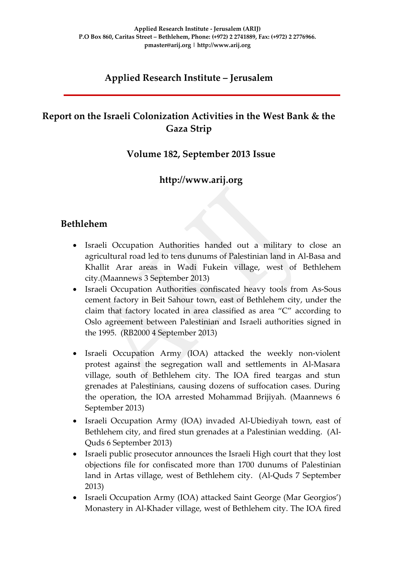# **Applied Research Institute – Jerusalem**

## **Report on the Israeli Colonization Activities in the West Bank & the Gaza Strip**

### **Volume 182, September 2013 Issue**

## **http://www.arij.org**

### **Bethlehem**

- Israeli Occupation Authorities handed out a military to close an agricultural road led to tens dunums of Palestinian land in Al-Basa and Khallit Arar areas in Wadi Fukein village, west of Bethlehem city.(Maannews 3 September 2013)
- Israeli Occupation Authorities confiscated heavy tools from As-Sous cement factory in Beit Sahour town, east of Bethlehem city, under the claim that factory located in area classified as area "C" according to Oslo agreement between Palestinian and Israeli authorities signed in the 1995. (RB2000 4 September 2013)
- Israeli Occupation Army (IOA) attacked the weekly non-violent protest against the segregation wall and settlements in Al-Masara village, south of Bethlehem city. The IOA fired teargas and stun grenades at Palestinians, causing dozens of suffocation cases. During the operation, the IOA arrested Mohammad Brijiyah. (Maannews 6 September 2013)
- Israeli Occupation Army (IOA) invaded Al-Ubiediyah town, east of Bethlehem city, and fired stun grenades at a Palestinian wedding. (Al-Quds 6 September 2013)
- Israeli public prosecutor announces the Israeli High court that they lost objections file for confiscated more than 1700 dunums of Palestinian land in Artas village, west of Bethlehem city. (Al-Quds 7 September 2013)
- Israeli Occupation Army (IOA) attacked Saint George (Mar Georgios') Monastery in Al-Khader village, west of Bethlehem city. The IOA fired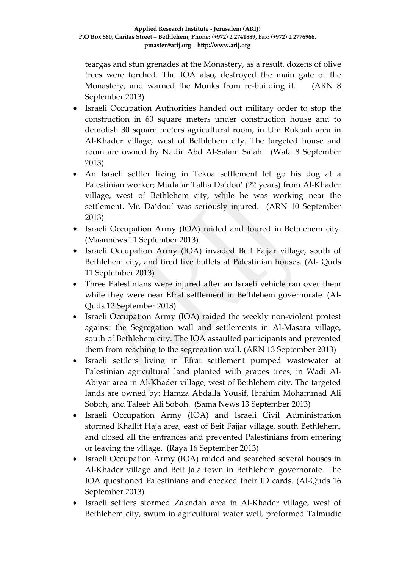teargas and stun grenades at the Monastery, as a result, dozens of olive trees were torched. The IOA also, destroyed the main gate of the Monastery, and warned the Monks from re-building it. (ARN 8 September 2013)

- Israeli Occupation Authorities handed out military order to stop the construction in 60 square meters under construction house and to demolish 30 square meters agricultural room, in Um Rukbah area in Al-Khader village, west of Bethlehem city. The targeted house and room are owned by Nadir Abd Al-Salam Salah. (Wafa 8 September 2013)
- An Israeli settler living in Tekoa settlement let go his dog at a Palestinian worker; Mudafar Talha Da'dou' (22 years) from Al-Khader village, west of Bethlehem city, while he was working near the settlement. Mr. Da'dou' was seriously injured. (ARN 10 September 2013)
- Israeli Occupation Army (IOA) raided and toured in Bethlehem city. (Maannews 11 September 2013)
- Israeli Occupation Army (IOA) invaded Beit Fajjar village, south of Bethlehem city, and fired live bullets at Palestinian houses. (Al- Quds 11 September 2013)
- Three Palestinians were injured after an Israeli vehicle ran over them while they were near Efrat settlement in Bethlehem governorate. (Al-Quds 12 September 2013)
- Israeli Occupation Army (IOA) raided the weekly non-violent protest against the Segregation wall and settlements in Al-Masara village, south of Bethlehem city. The IOA assaulted participants and prevented them from reaching to the segregation wall. (ARN 13 September 2013)
- Israeli settlers living in Efrat settlement pumped wastewater at Palestinian agricultural land planted with grapes trees, in Wadi Al-Abiyar area in Al-Khader village, west of Bethlehem city. The targeted lands are owned by: Hamza Abdalla Yousif, Ibrahim Mohammad Ali Soboh, and Taleeb Ali Soboh. (Sama News 13 September 2013)
- Israeli Occupation Army (IOA) and Israeli Civil Administration stormed Khallit Haja area, east of Beit Fajjar village, south Bethlehem, and closed all the entrances and prevented Palestinians from entering or leaving the village. (Raya 16 September 2013)
- Israeli Occupation Army (IOA) raided and searched several houses in Al-Khader village and Beit Jala town in Bethlehem governorate. The IOA questioned Palestinians and checked their ID cards. (Al-Quds 16 September 2013)
- Israeli settlers stormed Zakndah area in Al-Khader village, west of Bethlehem city, swum in agricultural water well, preformed Talmudic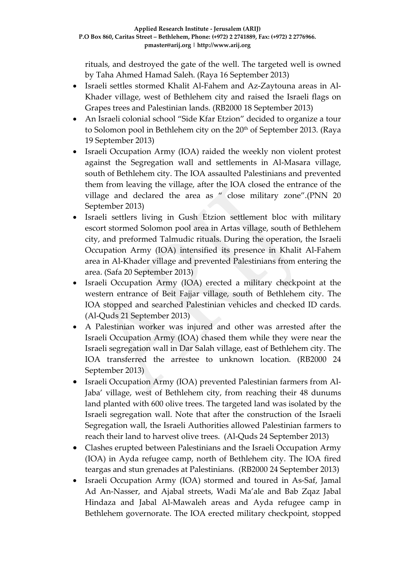rituals, and destroyed the gate of the well. The targeted well is owned by Taha Ahmed Hamad Saleh. (Raya 16 September 2013)

- Israeli settles stormed Khalit Al-Fahem and Az-Zaytouna areas in Al-Khader village, west of Bethlehem city and raised the Israeli flags on Grapes trees and Palestinian lands. (RB2000 18 September 2013)
- An Israeli colonial school "Side Kfar Etzion" decided to organize a tour to Solomon pool in Bethlehem city on the 20<sup>th</sup> of September 2013. (Raya 19 September 2013)
- Israeli Occupation Army (IOA) raided the weekly non violent protest against the Segregation wall and settlements in Al-Masara village, south of Bethlehem city. The IOA assaulted Palestinians and prevented them from leaving the village, after the IOA closed the entrance of the village and declared the area as " close military zone".(PNN 20 September 2013)
- Israeli settlers living in Gush Etzion settlement bloc with military escort stormed Solomon pool area in Artas village, south of Bethlehem city, and preformed Talmudic rituals. During the operation, the Israeli Occupation Army (IOA) intensified its presence in Khalit Al-Fahem area in Al-Khader village and prevented Palestinians from entering the area. (Safa 20 September 2013)
- Israeli Occupation Army (IOA) erected a military checkpoint at the western entrance of Beit Fajjar village, south of Bethlehem city. The IOA stopped and searched Palestinian vehicles and checked ID cards. (Al-Quds 21 September 2013)
- A Palestinian worker was injured and other was arrested after the Israeli Occupation Army (IOA) chased them while they were near the Israeli segregation wall in Dar Salah village, east of Bethlehem city. The IOA transferred the arrestee to unknown location. (RB2000 24 September 2013)
- Israeli Occupation Army (IOA) prevented Palestinian farmers from Al-Jaba' village, west of Bethlehem city, from reaching their 48 dunums land planted with 600 olive trees. The targeted land was isolated by the Israeli segregation wall. Note that after the construction of the Israeli Segregation wall, the Israeli Authorities allowed Palestinian farmers to reach their land to harvest olive trees. (Al-Quds 24 September 2013)
- Clashes erupted between Palestinians and the Israeli Occupation Army (IOA) in Ayda refugee camp, north of Bethlehem city. The IOA fired teargas and stun grenades at Palestinians. (RB2000 24 September 2013)
- Israeli Occupation Army (IOA) stormed and toured in As-Saf, Jamal Ad An-Nasser, and Ajabal streets, Wadi Ma'ale and Bab Zqaz Jabal Hindaza and Jabal Al-Mawaleh areas and Ayda refugee camp in Bethlehem governorate. The IOA erected military checkpoint, stopped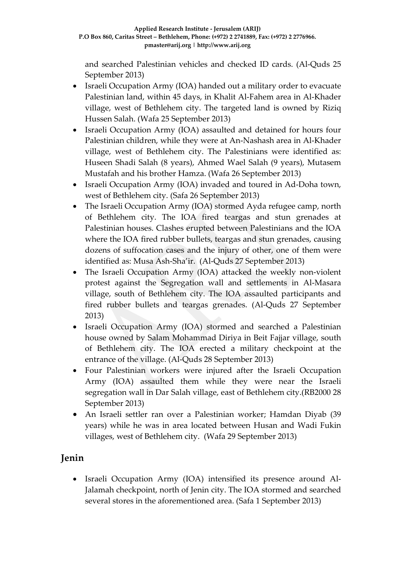and searched Palestinian vehicles and checked ID cards. (Al-Quds 25 September 2013)

- Israeli Occupation Army (IOA) handed out a military order to evacuate Palestinian land, within 45 days, in Khalit Al-Fahem area in Al-Khader village, west of Bethlehem city. The targeted land is owned by Riziq Hussen Salah. (Wafa 25 September 2013)
- Israeli Occupation Army (IOA) assaulted and detained for hours four Palestinian children, while they were at An-Nashash area in Al-Khader village, west of Bethlehem city. The Palestinians were identified as: Huseen Shadi Salah (8 years), Ahmed Wael Salah (9 years), Mutasem Mustafah and his brother Hamza. (Wafa 26 September 2013)
- Israeli Occupation Army (IOA) invaded and toured in Ad-Doha town, west of Bethlehem city. (Safa 26 September 2013)
- The Israeli Occupation Army (IOA) stormed Ayda refugee camp, north of Bethlehem city. The IOA fired teargas and stun grenades at Palestinian houses. Clashes erupted between Palestinians and the IOA where the IOA fired rubber bullets, teargas and stun grenades, causing dozens of suffocation cases and the injury of other, one of them were identified as: Musa Ash-Sha'ir. (Al-Quds 27 September 2013)
- The Israeli Occupation Army (IOA) attacked the weekly non-violent protest against the Segregation wall and settlements in Al-Masara village, south of Bethlehem city. The IOA assaulted participants and fired rubber bullets and teargas grenades. (Al-Quds 27 September 2013)
- Israeli Occupation Army (IOA) stormed and searched a Palestinian house owned by Salam Mohammad Diriya in Beit Fajjar village, south of Bethlehem city. The IOA erected a military checkpoint at the entrance of the village. (Al-Quds 28 September 2013)
- Four Palestinian workers were injured after the Israeli Occupation Army (IOA) assaulted them while they were near the Israeli segregation wall in Dar Salah village, east of Bethlehem city.(RB2000 28 September 2013)
- An Israeli settler ran over a Palestinian worker; Hamdan Diyab (39 years) while he was in area located between Husan and Wadi Fukin villages, west of Bethlehem city. (Wafa 29 September 2013)

# **Jenin**

• Israeli Occupation Army (IOA) intensified its presence around Al-Jalamah checkpoint, north of Jenin city. The IOA stormed and searched several stores in the aforementioned area. (Safa 1 September 2013)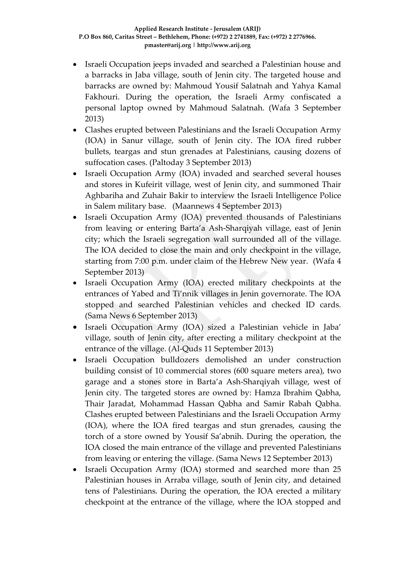- Israeli Occupation jeeps invaded and searched a Palestinian house and a barracks in Jaba village, south of Jenin city. The targeted house and barracks are owned by: Mahmoud Yousif Salatnah and Yahya Kamal Fakhouri. During the operation, the Israeli Army confiscated a personal laptop owned by Mahmoud Salatnah. (Wafa 3 September 2013)
- Clashes erupted between Palestinians and the Israeli Occupation Army (IOA) in Sanur village, south of Jenin city. The IOA fired rubber bullets, teargas and stun grenades at Palestinians, causing dozens of suffocation cases. (Paltoday 3 September 2013)
- Israeli Occupation Army (IOA) invaded and searched several houses and stores in Kufeirit village, west of Jenin city, and summoned Thair Aghbariha and Zuhair Bakir to interview the Israeli Intelligence Police in Salem military base. (Maannews 4 September 2013)
- Israeli Occupation Army (IOA) prevented thousands of Palestinians from leaving or entering Barta'a Ash-Sharqiyah village, east of Jenin city; which the Israeli segregation wall surrounded all of the village. The IOA decided to close the main and only checkpoint in the village, starting from 7:00 p.m. under claim of the Hebrew New year. (Wafa 4 September 2013)
- Israeli Occupation Army (IOA) erected military checkpoints at the entrances of Yabed and Ti'nnik villages in Jenin governorate. The IOA stopped and searched Palestinian vehicles and checked ID cards. (Sama News 6 September 2013)
- Israeli Occupation Army (IOA) sized a Palestinian vehicle in Jaba' village, south of Jenin city, after erecting a military checkpoint at the entrance of the village. (Al-Quds 11 September 2013)
- Israeli Occupation bulldozers demolished an under construction building consist of 10 commercial stores (600 square meters area), two garage and a stones store in Barta'a Ash-Sharqiyah village, west of Jenin city. The targeted stores are owned by: Hamza Ibrahim Qabha, Thair Jaradat, Mohammad Hassan Qabha and Samir Rabah Qabha. Clashes erupted between Palestinians and the Israeli Occupation Army (IOA), where the IOA fired teargas and stun grenades, causing the torch of a store owned by Yousif Sa'abnih. During the operation, the IOA closed the main entrance of the village and prevented Palestinians from leaving or entering the village. (Sama News 12 September 2013)
- Israeli Occupation Army (IOA) stormed and searched more than 25 Palestinian houses in Arraba village, south of Jenin city, and detained tens of Palestinians. During the operation, the IOA erected a military checkpoint at the entrance of the village, where the IOA stopped and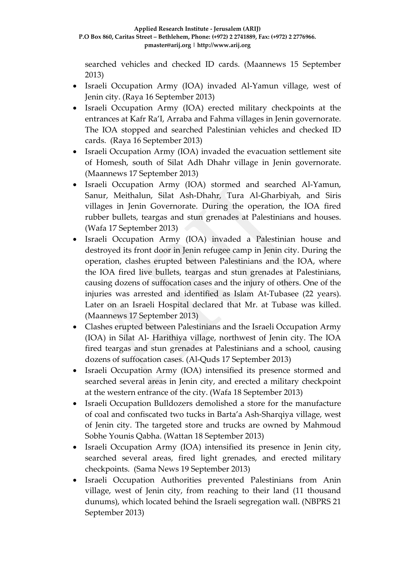searched vehicles and checked ID cards. (Maannews 15 September 2013)

- Israeli Occupation Army (IOA) invaded Al-Yamun village, west of Jenin city. (Raya 16 September 2013)
- Israeli Occupation Army (IOA) erected military checkpoints at the entrances at Kafr Ra'I, Arraba and Fahma villages in Jenin governorate. The IOA stopped and searched Palestinian vehicles and checked ID cards. (Raya 16 September 2013)
- Israeli Occupation Army (IOA) invaded the evacuation settlement site of Homesh, south of Silat Adh Dhahr village in Jenin governorate. (Maannews 17 September 2013)
- Israeli Occupation Army (IOA) stormed and searched Al-Yamun, Sanur, Meithalun, Silat Ash-Dhahr, Tura Al-Gharbiyah, and Siris villages in Jenin Governorate. During the operation, the IOA fired rubber bullets, teargas and stun grenades at Palestinians and houses. (Wafa 17 September 2013)
- Israeli Occupation Army (IOA) invaded a Palestinian house and destroyed its front door in Jenin refugee camp in Jenin city. During the operation, clashes erupted between Palestinians and the IOA, where the IOA fired live bullets, teargas and stun grenades at Palestinians, causing dozens of suffocation cases and the injury of others. One of the injuries was arrested and identified as Islam At-Tubasee (22 years). Later on an Israeli Hospital declared that Mr. at Tubase was killed. (Maannews 17 September 2013)
- Clashes erupted between Palestinians and the Israeli Occupation Army (IOA) in Silat Al- Harithiya village, northwest of Jenin city. The IOA fired teargas and stun grenades at Palestinians and a school, causing dozens of suffocation cases. (Al-Quds 17 September 2013)
- Israeli Occupation Army (IOA) intensified its presence stormed and searched several areas in Jenin city, and erected a military checkpoint at the western entrance of the city. (Wafa 18 September 2013)
- Israeli Occupation Bulldozers demolished a store for the manufacture of coal and confiscated two tucks in Barta'a Ash-Sharqiya village, west of Jenin city. The targeted store and trucks are owned by Mahmoud Sobhe Younis Qabha. (Wattan 18 September 2013)
- Israeli Occupation Army (IOA) intensified its presence in Jenin city, searched several areas, fired light grenades, and erected military checkpoints. (Sama News 19 September 2013)
- Israeli Occupation Authorities prevented Palestinians from Anin village, west of Jenin city, from reaching to their land (11 thousand dunums), which located behind the Israeli segregation wall. (NBPRS 21 September 2013)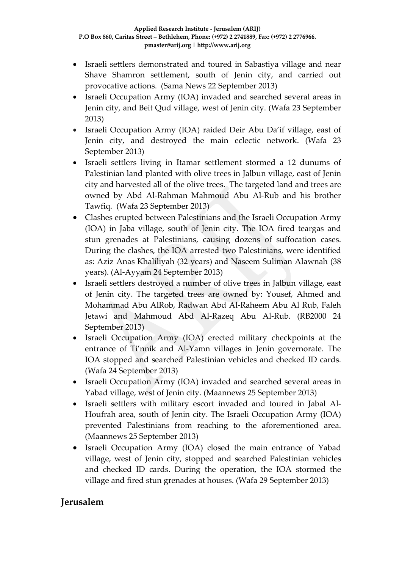- Israeli settlers demonstrated and toured in Sabastiya village and near Shave Shamron settlement, south of Jenin city, and carried out provocative actions. (Sama News 22 September 2013)
- Israeli Occupation Army (IOA) invaded and searched several areas in Jenin city, and Beit Qud village, west of Jenin city. (Wafa 23 September 2013)
- Israeli Occupation Army (IOA) raided Deir Abu Da'if village, east of Jenin city, and destroyed the main eclectic network. (Wafa 23 September 2013)
- Israeli settlers living in Itamar settlement stormed a 12 dunums of Palestinian land planted with olive trees in Jalbun village, east of Jenin city and harvested all of the olive trees. The targeted land and trees are owned by Abd Al-Rahman Mahmoud Abu Al-Rub and his brother Tawfiq. (Wafa 23 September 2013)
- Clashes erupted between Palestinians and the Israeli Occupation Army (IOA) in Jaba village, south of Jenin city. The IOA fired teargas and stun grenades at Palestinians, causing dozens of suffocation cases. During the clashes, the IOA arrested two Palestinians, were identified as: Aziz Anas Khaliliyah (32 years) and Naseem Suliman Alawnah (38 years). (Al-Ayyam 24 September 2013)
- Israeli settlers destroyed a number of olive trees in Jalbun village, east of Jenin city. The targeted trees are owned by: Yousef, Ahmed and Mohammad Abu AlRob, Radwan Abd Al-Raheem Abu Al Rub, Faleh Jetawi and Mahmoud Abd Al-Razeq Abu Al-Rub. (RB2000 24 September 2013)
- Israeli Occupation Army (IOA) erected military checkpoints at the entrance of Ti'nnik and Al-Yamn villages in Jenin governorate. The IOA stopped and searched Palestinian vehicles and checked ID cards. (Wafa 24 September 2013)
- Israeli Occupation Army (IOA) invaded and searched several areas in Yabad village, west of Jenin city. (Maannews 25 September 2013)
- Israeli settlers with military escort invaded and toured in Jabal Al-Houfrah area, south of Jenin city. The Israeli Occupation Army (IOA) prevented Palestinians from reaching to the aforementioned area. (Maannews 25 September 2013)
- Israeli Occupation Army (IOA) closed the main entrance of Yabad village, west of Jenin city, stopped and searched Palestinian vehicles and checked ID cards. During the operation, the IOA stormed the village and fired stun grenades at houses. (Wafa 29 September 2013)

## **Jerusalem**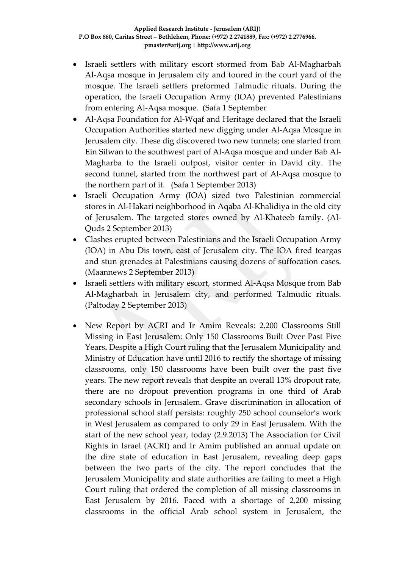- Israeli settlers with military escort stormed from Bab Al-Magharbah Al-Aqsa mosque in Jerusalem city and toured in the court yard of the mosque. The Israeli settlers preformed Talmudic rituals. During the operation, the Israeli Occupation Army (IOA) prevented Palestinians from entering Al-Aqsa mosque. (Safa 1 September
- Al-Aqsa Foundation for Al-Wqaf and Heritage declared that the Israeli Occupation Authorities started new digging under Al-Aqsa Mosque in Jerusalem city. These dig discovered two new tunnels; one started from Ein Silwan to the southwest part of Al-Aqsa mosque and under Bab Al-Magharba to the Israeli outpost, visitor center in David city. The second tunnel, started from the northwest part of Al-Aqsa mosque to the northern part of it. (Safa 1 September 2013)
- Israeli Occupation Army (IOA) sized two Palestinian commercial stores in Al-Hakari neighborhood in Aqaba Al-Khalidiya in the old city of Jerusalem. The targeted stores owned by Al-Khateeb family. (Al-Quds 2 September 2013)
- Clashes erupted between Palestinians and the Israeli Occupation Army (IOA) in Abu Dis town, east of Jerusalem city. The IOA fired teargas and stun grenades at Palestinians causing dozens of suffocation cases. (Maannews 2 September 2013)
- Israeli settlers with military escort, stormed Al-Aqsa Mosque from Bab Al-Magharbah in Jerusalem city, and performed Talmudic rituals. (Paltoday 2 September 2013)
- New Report by ACRI and Ir Amim Reveals: 2,200 Classrooms Still Missing in East Jerusalem: Only 150 Classrooms Built Over Past Five Years**.** Despite a High Court ruling that the Jerusalem Municipality and Ministry of Education have until 2016 to rectify the shortage of missing classrooms, only 150 classrooms have been built over the past five years. The new report reveals that despite an overall 13% dropout rate, there are no dropout prevention programs in one third of Arab secondary schools in Jerusalem. Grave discrimination in allocation of professional school staff persists: roughly 250 school counselor's work in West Jerusalem as compared to only 29 in East Jerusalem. With the start of the new school year, today (2.9.2013) The Association for Civil Rights in Israel (ACRI) and Ir Amim published an [annual update on](http://www.acri.org.il/en/wp-content/uploads/2013/09/EJ-edu-report-2013.pdf)  [the dire state of education in East Jerusalem,](http://www.acri.org.il/en/wp-content/uploads/2013/09/EJ-edu-report-2013.pdf) revealing deep gaps between the two parts of the city. The report concludes that the Jerusalem Municipality and state authorities are failing to meet a High Court ruling that ordered the completion of all missing classrooms in East Jerusalem by 2016. Faced with a shortage of 2,200 missing classrooms in the official Arab school system in Jerusalem, the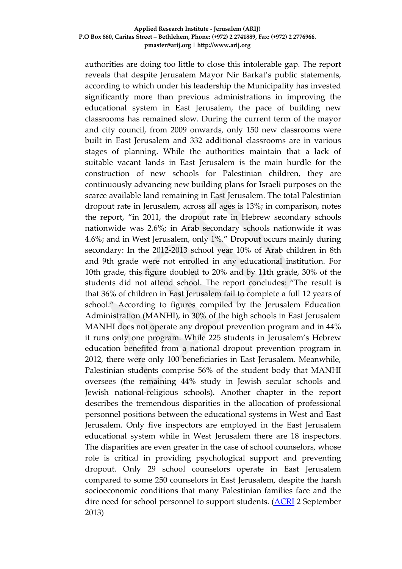authorities are doing too little to close this intolerable gap. The report reveals that despite Jerusalem Mayor Nir Barkat's public statements, according to which under his leadership the Municipality has invested significantly more than previous administrations in improving the educational system in East Jerusalem, the pace of building new classrooms has remained slow. During the current term of the mayor and city council, from 2009 onwards, only 150 new classrooms were built in East Jerusalem and 332 additional classrooms are in various stages of planning. While the authorities maintain that a lack of suitable vacant lands in East Jerusalem is the main hurdle for the construction of new schools for Palestinian children, they are continuously advancing new building plans for Israeli purposes on the scarce available land remaining in East Jerusalem. The total Palestinian dropout rate in Jerusalem, across all ages is 13%; in comparison, notes the report, "in 2011, the dropout rate in Hebrew secondary schools nationwide was 2.6%; in Arab secondary schools nationwide it was 4.6%; and in West Jerusalem, only 1%." Dropout occurs mainly during secondary: In the 2012-2013 school year 10% of Arab children in 8th and 9th grade were not enrolled in any educational institution. For 10th grade, this figure doubled to 20% and by 11th grade, 30% of the students did not attend school. The report concludes: "The result is that 36% of children in East Jerusalem fail to complete a full 12 years of school." According to figures compiled by the Jerusalem Education Administration (MANHI), in 30% of the high schools in East Jerusalem MANHI does not operate any dropout prevention program and in 44% it runs only one program. While 225 students in Jerusalem's Hebrew education benefited from a national dropout prevention program in 2012, there were only 100 beneficiaries in East Jerusalem. Meanwhile, Palestinian students comprise 56% of the student body that MANHI oversees (the remaining 44% study in Jewish secular schools and Jewish national-religious schools). Another chapter in the report describes the tremendous disparities in the allocation of professional personnel positions between the educational systems in West and East Jerusalem. Only five inspectors are employed in the East Jerusalem educational system while in West Jerusalem there are 18 inspectors. The disparities are even greater in the case of school counselors, whose role is critical in providing psychological support and preventing dropout. Only 29 school counselors operate in East Jerusalem compared to some 250 counselors in East Jerusalem, despite the harsh socioeconomic conditions that many Palestinian families face and the dire need for school personnel to support students. [\(ACRI](http://www.acri.org.il/en/2013/09/02/ej-edu-report-13/) 2 September 2013)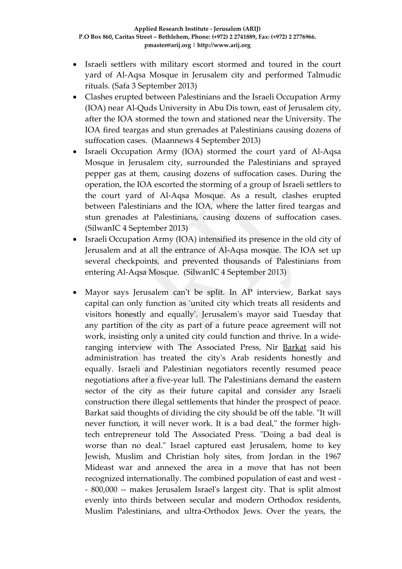- Israeli settlers with military escort stormed and toured in the court yard of Al-Aqsa Mosque in Jerusalem city and performed Talmudic rituals. (Safa 3 September 2013)
- Clashes erupted between Palestinians and the Israeli Occupation Army (IOA) near Al-Quds University in Abu Dis town, east of Jerusalem city, after the IOA stormed the town and stationed near the University. The IOA fired teargas and stun grenades at Palestinians causing dozens of suffocation cases. (Maannews 4 September 2013)
- Israeli Occupation Army (IOA) stormed the court yard of Al-Aqsa Mosque in Jerusalem city, surrounded the Palestinians and sprayed pepper gas at them, causing dozens of suffocation cases. During the operation, the IOA escorted the storming of a group of Israeli settlers to the court yard of Al-Aqsa Mosque. As a result, clashes erupted between Palestinians and the IOA, where the latter fired teargas and stun grenades at Palestinians, causing dozens of suffocation cases. (SilwanIC 4 September 2013)
- Israeli Occupation Army (IOA) intensified its presence in the old city of Jerusalem and at all the entrance of Al-Aqsa mosque. The IOA set up several checkpoints, and prevented thousands of Palestinians from entering Al-Aqsa Mosque. (SilwanIC 4 September 2013)
- Mayor says Jerusalem can't be split. In AP interview, Barkat says capital can only function as 'united city which treats all residents and visitors honestly and equally'. Jerusalem's mayor said Tuesday that any partition of the city as part of a future peace agreement will not work, insisting only a united city could function and thrive. In a wideranging interview with The Associated Press, Nir [Barkat](http://www.ynetnews.com/articles/0,7340,L-4369851,00.html) said his administration has treated the city's Arab residents honestly and equally. Israeli and Palestinian negotiators recently resumed peace negotiations after a five-year lull. The Palestinians demand the eastern sector of the city as their future capital and consider any Israeli construction there illegal settlements that hinder the prospect of [peace.](http://www.ynetnews.com/articles/0,7340,L-4425920,00.html) Barkat said thoughts of dividing the city should be off the table. "It will never function, it will never work. It is a bad deal," the former hightech entrepreneur told The Associated Press. "Doing a bad deal is worse than no deal." [Israel](http://www.ynetnews.com/articles/0,7340,L-4425820,00.html) captured east [Jerusalem,](http://www.ynetnews.com/articles/0,7340,L-4416512,00.html) home to key [Jewish,](http://www.ynetnews.com/home/0,7340,L-3443,00.html) Muslim and Christian holy sites, from Jordan in the 1967 Mideast war and annexed the area in a move that has not been recognized internationally. The combined population of east and west - - 800,000 -- makes Jerusalem Israel's largest city. That is split almost evenly into thirds between secular and modern Orthodox residents, Muslim Palestinians, and ultra-Orthodox Jews. Over the years, the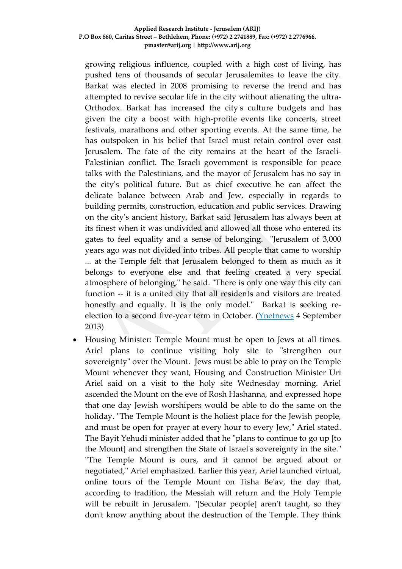growing religious influence, coupled with a high cost of living, has pushed tens of thousands of secular Jerusalemites to leave the city. Barkat was elected in 2008 promising to reverse the trend and has attempted to revive secular life in the city without alienating the ultra-Orthodox. Barkat has increased the city's culture budgets and has given the city a boost with high-profile events like concerts, street festivals, marathons and other sporting events. At the same time, he has outspoken in his belief that Israel must retain control over east Jerusalem. The fate of the city remains at the heart of the Israeli-Palestinian conflict. The Israeli government is responsible for peace talks with the Palestinians, and the mayor of Jerusalem has no say in the city's political future. But as chief executive he can affect the delicate balance between Arab and Jew, especially in regards to building permits, construction, education and public services. Drawing on the city's ancient history, Barkat said Jerusalem has always been at its finest when it was undivided and allowed all those who entered its gates to feel equality and a sense of belonging. "Jerusalem of 3,000 years ago was not divided into tribes. All people that came to worship ... at the Temple felt that Jerusalem belonged to them as much as it belongs to everyone else and that feeling created a very special atmosphere of belonging," he said. "There is only one way this city can function -- it is a united city that all residents and visitors are treated honestly and equally. It is the only model." Barkat is seeking reelection to a second five-year term in October. [\(Ynetnews](http://www.ynetnews.com/articles/0,7340,L-4425951,00.html) 4 September 2013)

• Housing Minister: Temple Mount must be open to Jews at all times. Ariel plans to continue visiting holy site to "strengthen our sovereignty" over the Mount. Jews must be able to pray on the Temple Mount whenever they want, Housing and Construction Minister Uri Ariel said on a visit to the holy site Wednesday morning. Ariel ascended the Mount on the eve of Rosh Hashanna, and expressed hope that one day Jewish worshipers would be able to do the same on the holiday. "The Temple Mount is the holiest place for the Jewish people, and must be open for prayer at every hour to every Jew," Ariel stated. The Bayit Yehudi minister added that he "plans to continue to go up [to the Mount] and strengthen the State of Israel's sovereignty in the site." "The Temple Mount is ours, and it cannot be argued about or negotiated," Ariel emphasized. Earlier this year, Ariel launched virtual, online tours of the Temple Mount on Tisha Be'av, the day that, according to tradition, the Messiah will return and the Holy Temple will be rebuilt in Jerusalem. "[Secular people] aren't taught, so they don't know anything about the destruction of the Temple. They think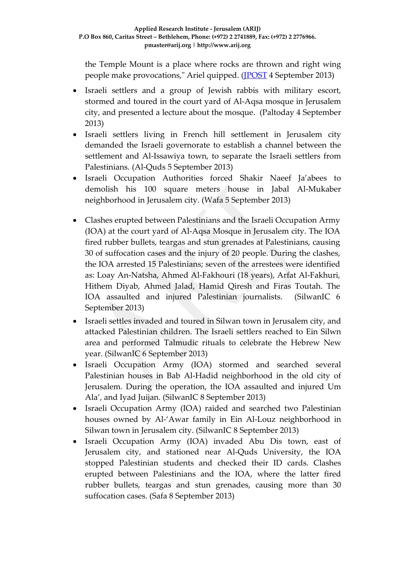the Temple Mount is a place where rocks are thrown and right wing people make provocations," Ariel quipped. (*JPOST* 4 September 2013)

- Israeli settlers and a group of Jewish rabbis with military escort, stormed and toured in the court yard of Al-Aqsa mosque in Jerusalem city, and presented a lecture about the mosque. (Paltoday 4 September 2013)
- Israeli settlers living in French hill settlement in Jerusalem city demanded the Israeli governorate to establish a channel between the settlement and Al-Issawiya town, to separate the Israeli settlers from Palestinians. (Al-Quds 5 September 2013)
- Israeli Occupation Authorities forced Shakir Naeef Ja'abees to demolish his 100 square meters house in Jabal Al-Mukaber neighborhood in Jerusalem city. (Wafa 5 September 2013)
- Clashes erupted between Palestinians and the Israeli Occupation Army (IOA) at the court yard of Al-Aqsa Mosque in Jerusalem city. The IOA fired rubber bullets, teargas and stun grenades at Palestinians, causing 30 of suffocation cases and the injury of 20 people. During the clashes, the IOA arrested 15 Palestinians; seven of the arrestees were identified as: Loay An-Natsha, Ahmed Al-Fakhouri (18 years), Arfat Al-Fakhuri, Hithem Diyab, Ahmed Jalad, Hamid Qiresh and Firas Toutah. The IOA assaulted and injured Palestinian journalists. (SilwanIC 6 September 2013)
- Israeli settles invaded and toured in Silwan town in Jerusalem city, and attacked Palestinian children. The Israeli settlers reached to Ein Silwn area and performed Talmudic rituals to celebrate the Hebrew New year. (SilwanIC 6 September 2013)
- Israeli Occupation Army (IOA) stormed and searched several Palestinian houses in Bab Al-Hadid neighborhood in the old city of Jerusalem. During the operation, the IOA assaulted and injured Um Ala', and Iyad Juijan. (SilwanIC 8 September 2013)
- Israeli Occupation Army (IOA) raided and searched two Palestinian houses owned by Al-'Awar family in Ein Al-Louz neighborhood in Silwan town in Jerusalem city. (SilwanIC 8 September 2013)
- Israeli Occupation Army (IOA) invaded Abu Dis town, east of Jerusalem city, and stationed near Al-Quds University, the IOA stopped Palestinian students and checked their ID cards. Clashes erupted between Palestinians and the IOA, where the latter fired rubber bullets, teargas and stun grenades, causing more than 30 suffocation cases. (Safa 8 September 2013)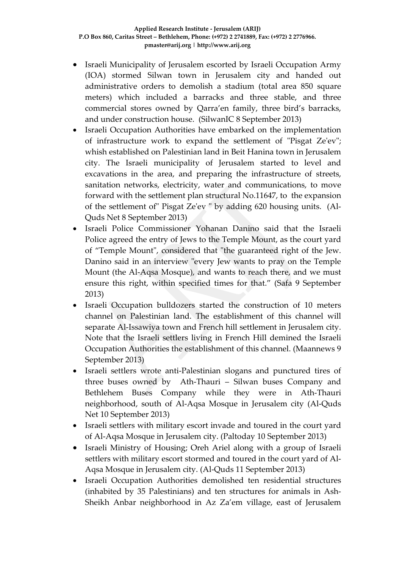- Israeli Municipality of Jerusalem escorted by Israeli Occupation Army (IOA) stormed Silwan town in Jerusalem city and handed out administrative orders to demolish a stadium (total area 850 square meters) which included a barracks and three stable, and three commercial stores owned by Qarra'en family, three bird's barracks, and under construction house. (SilwanIC 8 September 2013)
- Israeli Occupation Authorities have embarked on the implementation of infrastructure work to expand the settlement of "Pisgat Ze'ev"; whish established on Palestinian land in Beit Hanina town in Jerusalem city. The Israeli municipality of Jerusalem started to level and excavations in the area, and preparing the infrastructure of streets, sanitation networks, electricity, water and communications, to move forward with the settlement plan structural No.11647, to the expansion of the settlement of" Pisgat Ze'ev " by adding 620 housing units. (Al-Quds Net 8 September 2013)
- Israeli Police Commissioner Yohanan Danino said that the Israeli Police agreed the entry of Jews to the Temple Mount, as the court yard of "Temple Mount", considered that "the guaranteed right of the Jew. Danino said in an interview "every Jew wants to pray on the Temple Mount (the Al-Aqsa Mosque), and wants to reach there, and we must ensure this right, within specified times for that." (Safa 9 September 2013)
- Israeli Occupation bulldozers started the construction of 10 meters channel on Palestinian land. The establishment of this channel will separate Al-Issawiya town and French hill settlement in Jerusalem city. Note that the Israeli settlers living in French Hill demined the Israeli Occupation Authorities the establishment of this channel. (Maannews 9 September 2013)
- Israeli settlers wrote anti-Palestinian slogans and punctured tires of three buses owned by Ath-Thauri – Silwan buses Company and Bethlehem Buses Company while they were in Ath-Thauri neighborhood, south of Al-Aqsa Mosque in Jerusalem city (Al-Quds Net 10 September 2013)
- Israeli settlers with military escort invade and toured in the court yard of Al-Aqsa Mosque in Jerusalem city. (Paltoday 10 September 2013)
- Israeli Ministry of Housing; Oreh Ariel along with a group of Israeli settlers with military escort stormed and toured in the court yard of Al-Aqsa Mosque in Jerusalem city. (Al-Quds 11 September 2013)
- Israeli Occupation Authorities demolished ten residential structures (inhabited by 35 Palestinians) and ten structures for animals in Ash-Sheikh Anbar neighborhood in Az Za'em village, east of Jerusalem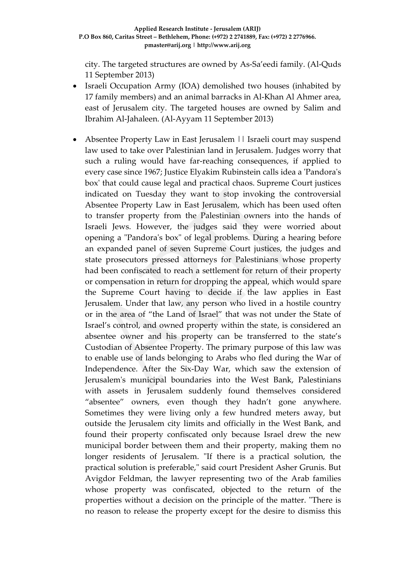city. The targeted structures are owned by As-Sa'eedi family. (Al-Quds 11 September 2013)

- Israeli Occupation Army (IOA) demolished two houses (inhabited by 17 family members) and an animal barracks in Al-Khan Al Ahmer area, east of Jerusalem city. The targeted houses are owned by Salim and Ibrahim Al-Jahaleen. (Al-Ayyam 11 September 2013)
- Absentee Property Law in East Jerusalem | | Israeli court may suspend law used to take over Palestinian land in Jerusalem. Judges worry that such a ruling would have far-reaching consequences, if applied to every case since 1967; Justice Elyakim Rubinstein calls idea a 'Pandora's box' that could cause legal and practical chaos. Supreme Court justices indicated on Tuesday they want to stop invoking the controversial Absentee Property Law in East Jerusalem, which has been used often to transfer property from the Palestinian owners into the hands of Israeli Jews. However, the judges said they were worried about opening a "Pandora's box" of legal problems. During a hearing before an expanded panel of seven Supreme Court justices, the judges and state prosecutors pressed attorneys for Palestinians whose property had been confiscated to reach a settlement for return of their property or compensation in return for dropping the appeal, which would spare the Supreme Court having to decide if the law applies in East Jerusalem. Under that law, any person who lived in a hostile country or in the area of "the Land of Israel" that was not under the State of Israel's control, and owned property within the state, is considered an absentee owner and his property can be transferred to the state's Custodian of Absentee Property. The primary purpose of this law was to enable use of lands belonging to Arabs who fled during the War of Independence. After the Six-Day War, which saw the extension of Jerusalem's municipal boundaries into the West Bank, Palestinians with assets in Jerusalem suddenly found themselves considered "absentee" owners, even though they hadn't gone anywhere. Sometimes they were living only a few hundred meters away, but outside the Jerusalem city limits and officially in the West Bank, and found their property confiscated only because Israel drew the new municipal border between them and their property, making them no longer residents of Jerusalem. "If there is a practical solution, the practical solution is preferable," said court President Asher Grunis. But Avigdor Feldman, the lawyer representing two of the Arab families whose property was confiscated, objected to the return of the properties without a decision on the principle of the matter. "There is no reason to release the property except for the desire to dismiss this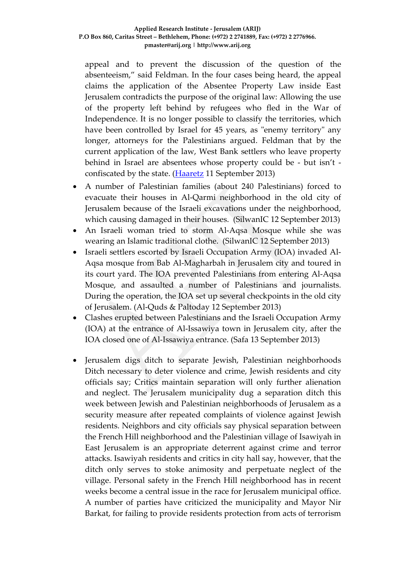appeal and to prevent the discussion of the question of the absenteeism," said Feldman. In the four cases being heard, the appeal claims the application of the Absentee Property Law inside East Jerusalem contradicts the purpose of the original law: Allowing the use of the property left behind by refugees who fled in the War of Independence. It is no longer possible to classify the territories, which have been controlled by Israel for 45 years, as "enemy territory" any longer, attorneys for the Palestinians argued. Feldman that by the current application of the law, West Bank settlers who leave property behind in Israel are absentees whose property could be - but isn't confiscated by the state. [\(Haaretz](http://www.haaretz.com/news/diplomacy-defense/.premium-1.546307) 11 September 2013)

- A number of Palestinian families (about 240 Palestinians) forced to evacuate their houses in Al-Qarmi neighborhood in the old city of Jerusalem because of the Israeli excavations under the neighborhood, which causing damaged in their houses. (SilwanIC 12 September 2013)
- An Israeli woman tried to storm Al-Aqsa Mosque while she was wearing an Islamic traditional clothe. (SilwanIC 12 September 2013)
- Israeli settlers escorted by Israeli Occupation Army (IOA) invaded Al-Aqsa mosque from Bab Al-Magharbah in Jerusalem city and toured in its court yard. The IOA prevented Palestinians from entering Al-Aqsa Mosque, and assaulted a number of Palestinians and journalists. During the operation, the IOA set up several checkpoints in the old city of Jerusalem. (Al-Quds & Paltoday 12 September 2013)
- Clashes erupted between Palestinians and the Israeli Occupation Army (IOA) at the entrance of Al-Issawiya town in Jerusalem city, after the IOA closed one of Al-Issawiya entrance. (Safa 13 September 2013)
- Jerusalem digs ditch to separate Jewish, Palestinian neighborhoods Ditch necessary to deter violence and crime, Jewish residents and city officials say; Critics maintain separation will only further alienation and neglect. The Jerusalem municipality dug a separation ditch this week between Jewish and Palestinian neighborhoods of Jerusalem as a security measure after repeated complaints of violence against Jewish residents. Neighbors and city officials say physical separation between the French Hill neighborhood and the Palestinian village of Isawiyah in East Jerusalem is an appropriate deterrent against crime and terror attacks. Isawiyah residents and critics in city hall say, however, that the ditch only serves to stoke animosity and perpetuate neglect of the village. Personal safety in the French Hill neighborhood has in recent weeks become a central issue in the race for Jerusalem municipal office. A number of parties have criticized the municipality and Mayor Nir Barkat, for failing to provide residents protection from acts of terrorism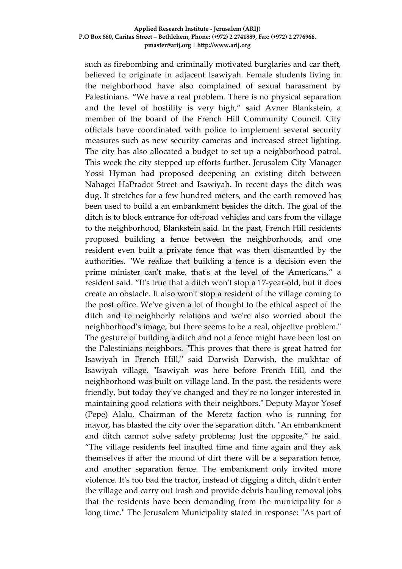such as firebombing and criminally motivated burglaries and car theft, believed to originate in adjacent Isawiyah. Female students living in the neighborhood have also complained of sexual harassment by Palestinians. "We have a real problem. There is no physical separation and the level of hostility is very high," said Avner Blankstein, a member of the board of the French Hill Community Council. City officials have coordinated with police to implement several security measures such as new security cameras and increased street lighting. The city has also allocated a budget to set up a neighborhood patrol. This week the city stepped up efforts further. Jerusalem City Manager Yossi Hyman had proposed deepening an existing ditch between Nahagei HaPradot Street and Isawiyah. In recent days the ditch was dug. It stretches for a few hundred meters, and the earth removed has been used to build a an embankment besides the ditch. The goal of the ditch is to block entrance for off-road vehicles and cars from the village to the neighborhood, Blankstein said. In the past, French Hill residents proposed building a fence between the neighborhoods, and one resident even built a private fence that was then dismantled by the authorities. "We realize that building a fence is a decision even the prime minister can't make, that's at the level of the Americans," a resident said. "It's true that a ditch won't stop a 17-year-old, but it does create an obstacle. It also won't stop a resident of the village coming to the post office. We've given a lot of thought to the ethical aspect of the ditch and to neighborly relations and we're also worried about the neighborhood's image, but there seems to be a real, objective problem." The gesture of building a ditch and not a fence might have been lost on the Palestinians neighbors. "This proves that there is great hatred for Isawiyah in French Hill," said Darwish Darwish, the mukhtar of Isawiyah village. "Isawiyah was here before French Hill, and the neighborhood was built on village land. In the past, the residents were friendly, but today they've changed and they're no longer interested in maintaining good relations with their neighbors." Deputy Mayor Yosef (Pepe) Alalu, Chairman of the Meretz faction who is running for mayor, has blasted the city over the separation ditch. "An embankment and ditch cannot solve safety problems; Just the opposite," he said. "The village residents feel insulted time and time again and they ask themselves if after the mound of dirt there will be a separation fence, and another separation fence. The embankment only invited more violence. It's too bad the tractor, instead of digging a ditch, didn't enter the village and carry out trash and provide debris hauling removal jobs that the residents have been demanding from the municipality for a long time." The Jerusalem Municipality stated in response: "As part of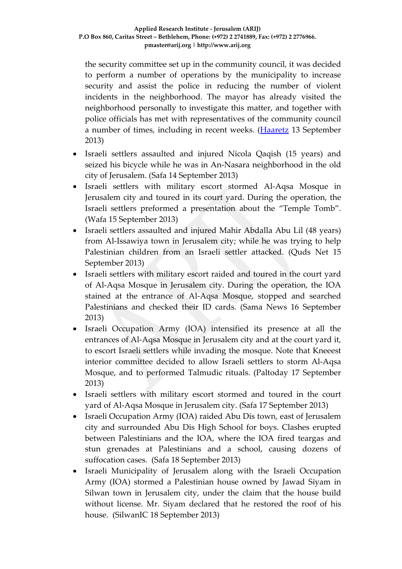the security committee set up in the community council, it was decided to perform a number of operations by the municipality to increase security and assist the police in reducing the number of violent incidents in the neighborhood. The mayor has already visited the neighborhood personally to investigate this matter, and together with police officials has met with representatives of the community council a number of times, including in recent weeks. [\(Haaretz](http://www.haaretz.com/news/national/.premium-1.546801) 13 September 2013)

- Israeli settlers assaulted and injured Nicola Qaqish (15 years) and seized his bicycle while he was in An-Nasara neighborhood in the old city of Jerusalem. (Safa 14 September 2013)
- Israeli settlers with military escort stormed Al-Aqsa Mosque in Jerusalem city and toured in its court yard. During the operation, the Israeli settlers preformed a presentation about the "Temple Tomb". (Wafa 15 September 2013)
- Israeli settlers assaulted and injured Mahir Abdalla Abu Lil (48 years) from Al-Issawiya town in Jerusalem city; while he was trying to help Palestinian children from an Israeli settler attacked. (Quds Net 15 September 2013)
- Israeli settlers with military escort raided and toured in the court yard of Al-Aqsa Mosque in Jerusalem city. During the operation, the IOA stained at the entrance of Al-Aqsa Mosque, stopped and searched Palestinians and checked their ID cards. (Sama News 16 September 2013)
- Israeli Occupation Army (IOA) intensified its presence at all the entrances of Al-Aqsa Mosque in Jerusalem city and at the court yard it, to escort Israeli settlers while invading the mosque. Note that Kneeest interior committee decided to allow Israeli settlers to storm Al-Aqsa Mosque, and to performed Talmudic rituals. (Paltoday 17 September 2013)
- Israeli settlers with military escort stormed and toured in the court yard of Al-Aqsa Mosque in Jerusalem city. (Safa 17 September 2013)
- Israeli Occupation Army (IOA) raided Abu Dis town, east of Jerusalem city and surrounded Abu Dis High School for boys. Clashes erupted between Palestinians and the IOA, where the IOA fired teargas and stun grenades at Palestinians and a school, causing dozens of suffocation cases. (Safa 18 September 2013)
- Israeli Municipality of Jerusalem along with the Israeli Occupation Army (IOA) stormed a Palestinian house owned by Jawad Siyam in Silwan town in Jerusalem city, under the claim that the house build without license. Mr. Siyam declared that he restored the roof of his house. (SilwanIC 18 September 2013)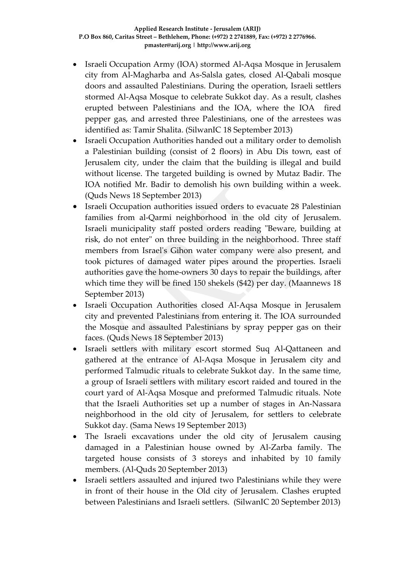- Israeli Occupation Army (IOA) stormed Al-Aqsa Mosque in Jerusalem city from Al-Magharba and As-Salsla gates, closed Al-Qabali mosque doors and assaulted Palestinians. During the operation, Israeli settlers stormed Al-Aqsa Mosque to celebrate Sukkot day. As a result, clashes erupted between Palestinians and the IOA, where the IOA fired pepper gas, and arrested three Palestinians, one of the arrestees was identified as: Tamir Shalita. (SilwanIC 18 September 2013)
- Israeli Occupation Authorities handed out a military order to demolish a Palestinian building (consist of 2 floors) in Abu Dis town, east of Jerusalem city, under the claim that the building is illegal and build without license. The targeted building is owned by Mutaz Badir. The IOA notified Mr. Badir to demolish his own building within a week. (Quds News 18 September 2013)
- Israeli Occupation authorities issued orders to evacuate 28 Palestinian families from al-Qarmi neighborhood in the old city of Jerusalem. Israeli municipality staff posted orders reading "Beware, building at risk, do not enter" on three building in the neighborhood. Three staff members from Israel's Gihon water company were also present, and took pictures of damaged water pipes around the properties. Israeli authorities gave the home-owners 30 days to repair the buildings, after which time they will be fined 150 shekels (\$42) per day. (Maannews 18 September 2013)
- Israeli Occupation Authorities closed Al-Aqsa Mosque in Jerusalem city and prevented Palestinians from entering it. The IOA surrounded the Mosque and assaulted Palestinians by spray pepper gas on their faces. (Quds News 18 September 2013)
- Israeli settlers with military escort stormed Suq Al-Qattaneen and gathered at the entrance of Al-Aqsa Mosque in Jerusalem city and performed Talmudic rituals to celebrate Sukkot day. In the same time, a group of Israeli settlers with military escort raided and toured in the court yard of Al-Aqsa Mosque and preformed Talmudic rituals. Note that the Israeli Authorities set up a number of stages in An-Nassara neighborhood in the old city of Jerusalem, for settlers to celebrate Sukkot day. (Sama News 19 September 2013)
- The Israeli excavations under the old city of Jerusalem causing damaged in a Palestinian house owned by Al-Zarba family. The targeted house consists of 3 storeys and inhabited by 10 family members. (Al-Quds 20 September 2013)
- Israeli settlers assaulted and injured two Palestinians while they were in front of their house in the Old city of Jerusalem. Clashes erupted between Palestinians and Israeli settlers. (SilwanIC 20 September 2013)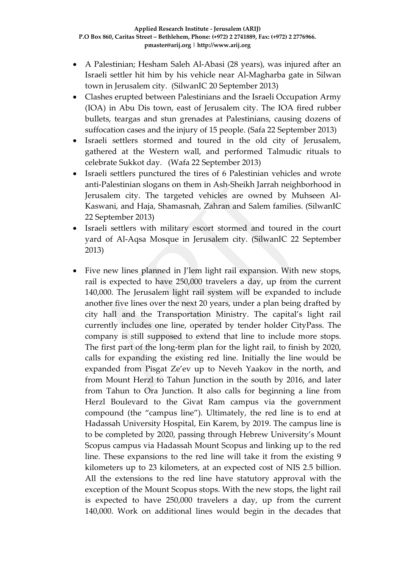- A Palestinian; Hesham Saleh Al-Abasi (28 years), was injured after an Israeli settler hit him by his vehicle near Al-Magharba gate in Silwan town in Jerusalem city. (SilwanIC 20 September 2013)
- Clashes erupted between Palestinians and the Israeli Occupation Army (IOA) in Abu Dis town, east of Jerusalem city. The IOA fired rubber bullets, teargas and stun grenades at Palestinians, causing dozens of suffocation cases and the injury of 15 people. (Safa 22 September 2013)
- Israeli settlers stormed and toured in the old city of Jerusalem, gathered at the Western wall, and performed Talmudic rituals to celebrate Sukkot day. (Wafa 22 September 2013)
- Israeli settlers punctured the tires of 6 Palestinian vehicles and wrote anti-Palestinian slogans on them in Ash-Sheikh Jarrah neighborhood in Jerusalem city. The targeted vehicles are owned by Muhseen Al-Kaswani, and Haja, Shamasnah, Zahran and Salem families. (SilwanIC 22 September 2013)
- Israeli settlers with military escort stormed and toured in the court yard of Al-Aqsa Mosque in Jerusalem city. (SilwanIC 22 September 2013)
- Five new lines planned in J'lem light rail expansion. With new stops, rail is expected to have 250,000 travelers a day, up from the current 140,000. The Jerusalem light rail system will be expanded to include another five lines over the next 20 years, under a plan being drafted by city hall and the Transportation Ministry. The capital's light rail currently includes one line, operated by tender holder CityPass. The company is still supposed to extend that line to include more stops. The first part of the long-term plan for the light rail, to finish by 2020, calls for expanding the existing red line. Initially the line would be expanded from Pisgat Ze'ev up to Neveh Yaakov in the north, and from Mount Herzl to Tahun Junction in the south by 2016, and later from Tahun to Ora Junction. It also calls for beginning a line from Herzl Boulevard to the Givat Ram campus via the government compound (the "campus line"). Ultimately, the red line is to end at Hadassah University Hospital, Ein Karem, by 2019. The campus line is to be completed by 2020, passing through Hebrew University's Mount Scopus campus via Hadassah Mount Scopus and linking up to the red line. These expansions to the red line will take it from the existing 9 kilometers up to 23 kilometers, at an expected cost of NIS 2.5 billion. All the extensions to the red line have statutory approval with the exception of the Mount Scopus stops. With the new stops, the light rail is expected to have 250,000 travelers a day, up from the current 140,000. Work on additional lines would begin in the decades that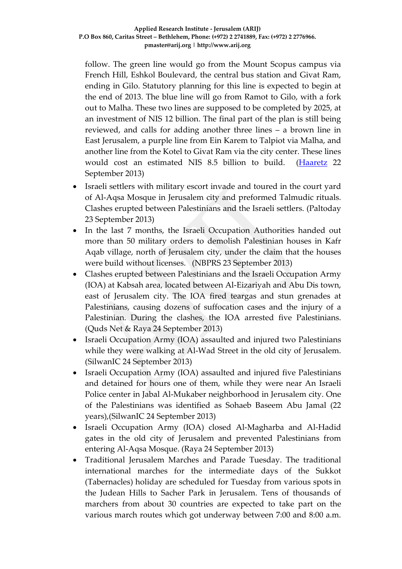follow. The green line would go from the Mount Scopus campus via French Hill, Eshkol Boulevard, the central bus station and Givat Ram, ending in Gilo. Statutory planning for this line is expected to begin at the end of 2013. The blue line will go from Ramot to Gilo, with a fork out to Malha. These two lines are supposed to be completed by 2025, at an investment of NIS 12 billion. The final part of the plan is still being reviewed, and calls for adding another three lines – a brown line in East Jerusalem, a purple line from Ein Karem to Talpiot via Malha, and another line from the Kotel to Givat Ram via the city center. These lines would cost an estimated NIS 8.5 billion to build. [\(Haaretz](http://www.haaretz.com/business/.premium-1.548128) 22 September 2013)

- Israeli settlers with military escort invade and toured in the court yard of Al-Aqsa Mosque in Jerusalem city and preformed Talmudic rituals. Clashes erupted between Palestinians and the Israeli settlers. (Paltoday 23 September 2013)
- In the last 7 months, the Israeli Occupation Authorities handed out more than 50 military orders to demolish Palestinian houses in Kafr Aqab village, north of Jerusalem city, under the claim that the houses were build without licenses. (NBPRS 23 September 2013)
- Clashes erupted between Palestinians and the Israeli Occupation Army (IOA) at Kabsah area, located between Al-Eizariyah and Abu Dis town, east of Jerusalem city. The IOA fired teargas and stun grenades at Palestinians, causing dozens of suffocation cases and the injury of a Palestinian. During the clashes, the IOA arrested five Palestinians. (Quds Net & Raya 24 September 2013)
- Israeli Occupation Army (IOA) assaulted and injured two Palestinians while they were walking at Al-Wad Street in the old city of Jerusalem. (SilwanIC 24 September 2013)
- Israeli Occupation Army (IOA) assaulted and injured five Palestinians and detained for hours one of them, while they were near An Israeli Police center in Jabal Al-Mukaber neighborhood in Jerusalem city. One of the Palestinians was identified as Sohaeb Baseem Abu Jamal (22 years),(SilwanIC 24 September 2013)
- Israeli Occupation Army (IOA) closed Al-Magharba and Al-Hadid gates in the old city of Jerusalem and prevented Palestinians from entering Al-Aqsa Mosque. (Raya 24 September 2013)
- Traditional Jerusalem Marches and Parade Tuesday. The traditional international marches for the intermediate days of the Sukkot (Tabernacles) holiday are scheduled for Tuesday from various spots in the Judean Hills to Sacher Park in Jerusalem. Tens of thousands of marchers from about 30 countries are expected to take part on the various march routes which got underway between 7:00 and 8:00 a.m.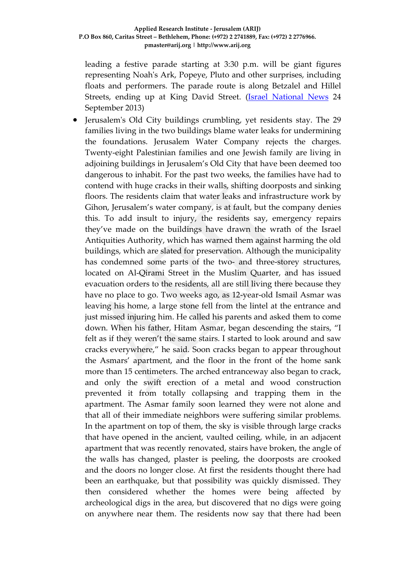leading a festive parade starting at 3:30 p.m. will be giant figures representing Noah's Ark, Popeye, Pluto and other surprises, including floats and performers. The parade route is along Betzalel and Hillel Streets, ending up at King David Street. [\(Israel National News](http://www.israelnationalnews.com/News/Flash.aspx/276898) 24 September 2013)

• Jerusalem's Old City buildings crumbling, yet residents stay. The 29 families living in the two buildings blame water leaks for undermining the foundations. Jerusalem Water Company rejects the charges. Twenty-eight Palestinian families and one Jewish family are living in adjoining buildings in Jerusalem's Old City that have been deemed too dangerous to inhabit. For the past two weeks, the families have had to contend with huge cracks in their walls, shifting doorposts and sinking floors. The residents claim that water leaks and infrastructure work by Gihon, Jerusalem's water company, is at fault, but the company denies this. To add insult to injury, the residents say, emergency repairs they've made on the buildings have drawn the wrath of the Israel Antiquities Authority, which has warned them against harming the old buildings, which are slated for preservation. Although the municipality has condemned some parts of the two- and three-storey structures, located on Al-Qirami Street in the Muslim Quarter, and has issued evacuation orders to the residents, all are still living there because they have no place to go. Two weeks ago, as 12-year-old Ismail Asmar was leaving his home, a large stone fell from the lintel at the entrance and just missed injuring him. He called his parents and asked them to come down. When his father, Hitam Asmar, began descending the stairs, "I felt as if they weren't the same stairs. I started to look around and saw cracks everywhere," he said. Soon cracks began to appear throughout the Asmars' apartment, and the floor in the front of the home sank more than 15 centimeters. The arched entranceway also began to crack, and only the swift erection of a metal and wood construction prevented it from totally collapsing and trapping them in the apartment. The Asmar family soon learned they were not alone and that all of their immediate neighbors were suffering similar problems. In the apartment on top of them, the sky is visible through large cracks that have opened in the ancient, vaulted ceiling, while, in an adjacent apartment that was recently renovated, stairs have broken, the angle of the walls has changed, plaster is peeling, the doorposts are crooked and the doors no longer close. At first the residents thought there had been an earthquake, but that possibility was quickly dismissed. They then considered whether the homes were being affected by archeological digs in the area, but discovered that no digs were going on anywhere near them. The residents now say that there had been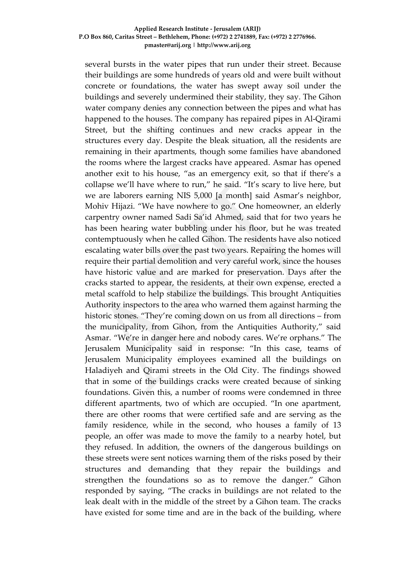several bursts in the water pipes that run under their street. Because their buildings are some hundreds of years old and were built without concrete or foundations, the water has swept away soil under the buildings and severely undermined their stability, they say. The Gihon water company denies any connection between the pipes and what has happened to the houses. The company has repaired pipes in Al-Qirami Street, but the shifting continues and new cracks appear in the structures every day. Despite the bleak situation, all the residents are remaining in their apartments, though some families have abandoned the rooms where the largest cracks have appeared. Asmar has opened another exit to his house, "as an emergency exit, so that if there's a collapse we'll have where to run," he said. "It's scary to live here, but we are laborers earning NIS 5,000 [a month] said Asmar's neighbor, Mohiv Hijazi. "We have nowhere to go." One homeowner, an elderly carpentry owner named Sadi Sa'id Ahmed, said that for two years he has been hearing water bubbling under his floor, but he was treated contemptuously when he called Gihon. The residents have also noticed escalating water bills over the past two years. Repairing the homes will require their partial demolition and very careful work, since the houses have historic value and are marked for preservation. Days after the cracks started to appear, the residents, at their own expense, erected a metal scaffold to help stabilize the buildings. This brought Antiquities Authority inspectors to the area who warned them against harming the historic stones. "They're coming down on us from all directions – from the municipality, from Gihon, from the Antiquities Authority," said Asmar. "We're in danger here and nobody cares. We're orphans." The Jerusalem Municipality said in response: "In this case, teams of Jerusalem Municipality employees examined all the buildings on Haladiyeh and Qirami streets in the Old City. The findings showed that in some of the buildings cracks were created because of sinking foundations. Given this, a number of rooms were condemned in three different apartments, two of which are occupied. "In one apartment, there are other rooms that were certified safe and are serving as the family residence, while in the second, who houses a family of 13 people, an offer was made to move the family to a nearby hotel, but they refused. In addition, the owners of the dangerous buildings on these streets were sent notices warning them of the risks posed by their structures and demanding that they repair the buildings and strengthen the foundations so as to remove the danger." Gihon responded by saying, "The cracks in buildings are not related to the leak dealt with in the middle of the street by a Gihon team. The cracks have existed for some time and are in the back of the building, where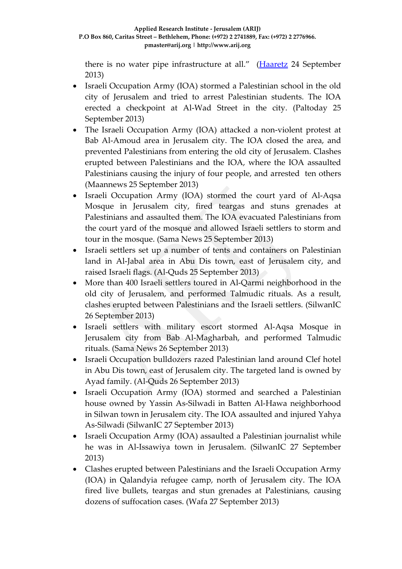there is no water pipe infrastructure at all." [\(Haaretz](http://www.haaretz.com/news/national/.premium-1.548585) 24 September 2013)

- Israeli Occupation Army (IOA) stormed a Palestinian school in the old city of Jerusalem and tried to arrest Palestinian students. The IOA erected a checkpoint at Al-Wad Street in the city. (Paltoday 25 September 2013)
- The Israeli Occupation Army (IOA) attacked a non-violent protest at Bab Al-Amoud area in Jerusalem city. The IOA closed the area, and prevented Palestinians from entering the old city of Jerusalem. Clashes erupted between Palestinians and the IOA, where the IOA assaulted Palestinians causing the injury of four people, and arrested ten others (Maannews 25 September 2013)
- Israeli Occupation Army (IOA) stormed the court yard of Al-Aqsa Mosque in Jerusalem city, fired teargas and stuns grenades at Palestinians and assaulted them. The IOA evacuated Palestinians from the court yard of the mosque and allowed Israeli settlers to storm and tour in the mosque. (Sama News 25 September 2013)
- Israeli settlers set up a number of tents and containers on Palestinian land in Al-Jabal area in Abu Dis town, east of Jerusalem city, and raised Israeli flags. (Al-Quds 25 September 2013)
- More than 400 Israeli settlers toured in Al-Qarmi neighborhood in the old city of Jerusalem, and performed Talmudic rituals. As a result, clashes erupted between Palestinians and the Israeli settlers. (SilwanIC 26 September 2013)
- Israeli settlers with military escort stormed Al-Aqsa Mosque in Jerusalem city from Bab Al-Magharbah, and performed Talmudic rituals. (Sama News 26 September 2013)
- Israeli Occupation bulldozers razed Palestinian land around Clef hotel in Abu Dis town, east of Jerusalem city. The targeted land is owned by Ayad family. (Al-Quds 26 September 2013)
- Israeli Occupation Army (IOA) stormed and searched a Palestinian house owned by Yassin As-Silwadi in Batten Al-Hawa neighborhood in Silwan town in Jerusalem city. The IOA assaulted and injured Yahya As-Silwadi (SilwanIC 27 September 2013)
- Israeli Occupation Army (IOA) assaulted a Palestinian journalist while he was in Al-Issawiya town in Jerusalem. (SilwanIC 27 September 2013)
- Clashes erupted between Palestinians and the Israeli Occupation Army (IOA) in Qalandyia refugee camp, north of Jerusalem city. The IOA fired live bullets, teargas and stun grenades at Palestinians, causing dozens of suffocation cases. (Wafa 27 September 2013)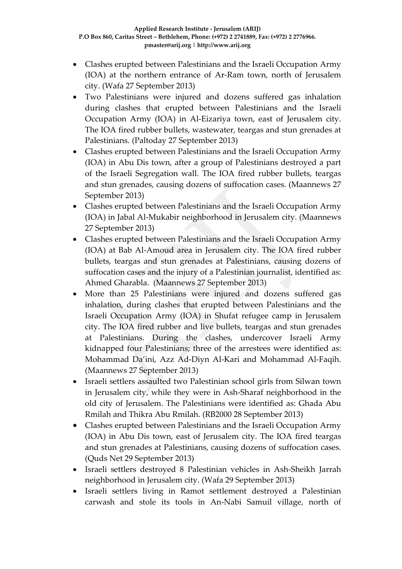- Clashes erupted between Palestinians and the Israeli Occupation Army (IOA) at the northern entrance of Ar-Ram town, north of Jerusalem city. (Wafa 27 September 2013)
- Two Palestinians were injured and dozens suffered gas inhalation during clashes that erupted between Palestinians and the Israeli Occupation Army (IOA) in Al-Eizariya town, east of Jerusalem city. The IOA fired rubber bullets, wastewater, teargas and stun grenades at Palestinians. (Paltoday 27 September 2013)
- Clashes erupted between Palestinians and the Israeli Occupation Army (IOA) in Abu Dis town, after a group of Palestinians destroyed a part of the Israeli Segregation wall. The IOA fired rubber bullets, teargas and stun grenades, causing dozens of suffocation cases. (Maannews 27 September 2013)
- Clashes erupted between Palestinians and the Israeli Occupation Army (IOA) in Jabal Al-Mukabir neighborhood in Jerusalem city. (Maannews 27 September 2013)
- Clashes erupted between Palestinians and the Israeli Occupation Army (IOA) at Bab Al-Amoud area in Jerusalem city. The IOA fired rubber bullets, teargas and stun grenades at Palestinians, causing dozens of suffocation cases and the injury of a Palestinian journalist, identified as: Ahmed Gharabla. (Maannews 27 September 2013)
- More than 25 Palestinians were injured and dozens suffered gas inhalation, during clashes that erupted between Palestinians and the Israeli Occupation Army (IOA) in Shufat refugee camp in Jerusalem city. The IOA fired rubber and live bullets, teargas and stun grenades at Palestinians. During the clashes, undercover Israeli Army kidnapped four Palestinians; three of the arrestees were identified as: Mohammad Da'ini, Azz Ad-Diyn Al-Kari and Mohammad Al-Faqih. (Maannews 27 September 2013)
- Israeli settlers assaulted two Palestinian school girls from Silwan town in Jerusalem city, while they were in Ash-Sharaf neighborhood in the old city of Jerusalem. The Palestinians were identified as: Ghada Abu Rmilah and Thikra Abu Rmilah. (RB2000 28 September 2013)
- Clashes erupted between Palestinians and the Israeli Occupation Army (IOA) in Abu Dis town, east of Jerusalem city. The IOA fired teargas and stun grenades at Palestinians, causing dozens of suffocation cases. (Quds Net 29 September 2013)
- Israeli settlers destroyed 8 Palestinian vehicles in Ash-Sheikh Jarrah neighborhood in Jerusalem city. (Wafa 29 September 2013)
- Israeli settlers living in Ramot settlement destroyed a Palestinian carwash and stole its tools in An-Nabi Samuil village, north of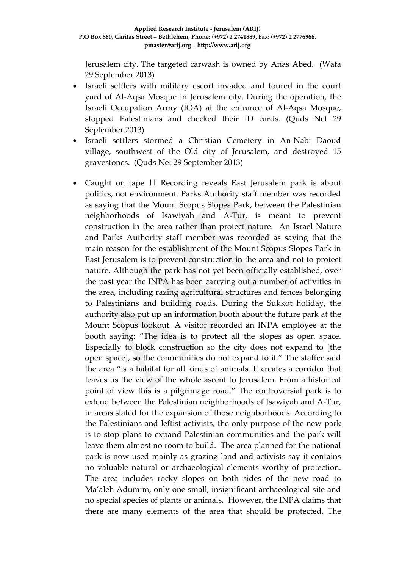Jerusalem city. The targeted carwash is owned by Anas Abed. (Wafa 29 September 2013)

- Israeli settlers with military escort invaded and toured in the court yard of Al-Aqsa Mosque in Jerusalem city. During the operation, the Israeli Occupation Army (IOA) at the entrance of Al-Aqsa Mosque, stopped Palestinians and checked their ID cards. (Quds Net 29 September 2013)
- Israeli settlers stormed a Christian Cemetery in An-Nabi Daoud village, southwest of the Old city of Jerusalem, and destroyed 15 gravestones. (Quds Net 29 September 2013)
- Caught on tape || Recording reveals East Jerusalem park is about politics, not environment. Parks Authority staff member was recorded as saying that the Mount Scopus Slopes Park, between the Palestinian neighborhoods of Isawiyah and A-Tur, is meant to prevent construction in the area rather than protect nature. An Israel Nature and Parks Authority staff member was recorded as saying that the main reason for the establishment of the Mount Scopus Slopes Park in East Jerusalem is to prevent construction in the area and not to protect nature. Although the park has not yet been officially established, over the past year the INPA has been carrying out a number of activities in the area, including razing agricultural structures and fences belonging to Palestinians and building roads. During the Sukkot holiday, the authority also put up an information booth about the future park at the Mount Scopus lookout. A visitor recorded an INPA employee at the booth saying: "The idea is to protect all the slopes as open space. Especially to block construction so the city does not expand to [the open space], so the communities do not expand to it." The staffer said the area "is a habitat for all kinds of animals. It creates a corridor that leaves us the view of the whole ascent to Jerusalem. From a historical point of view this is a pilgrimage road." The controversial park is to extend between the Palestinian neighborhoods of Isawiyah and A-Tur, in areas slated for the expansion of those neighborhoods. According to the Palestinians and leftist activists, the only purpose of the new park is to stop plans to expand Palestinian communities and the park will leave them almost no room to build. The area planned for the national park is now used mainly as grazing land and activists say it contains no valuable natural or archaeological elements worthy of protection. The area includes rocky slopes on both sides of the new road to Ma'aleh Adumim, only one small, insignificant archaeological site and no special species of plants or animals. However, the INPA claims that there are many elements of the area that should be protected. The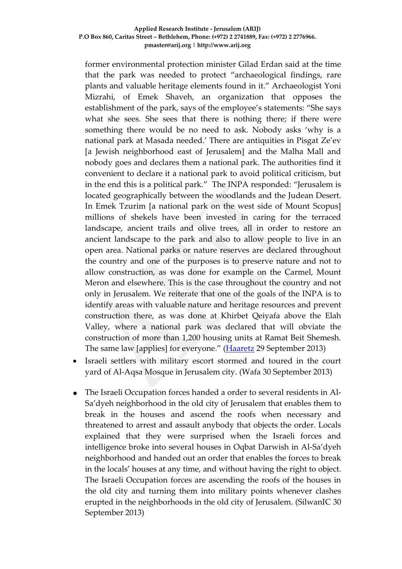former environmental protection minister Gilad Erdan said at the time that the park was needed to protect "archaeological findings, rare plants and valuable heritage elements found in it." Archaeologist Yoni Mizrahi, of Emek Shaveh, an organization that opposes the establishment of the park, says of the employee's statements: "She says what she sees. She sees that there is nothing there; if there were something there would be no need to ask. Nobody asks 'why is a national park at Masada needed.' There are antiquities in Pisgat Ze'ev [a Jewish neighborhood east of Jerusalem] and the Malha Mall and nobody goes and declares them a national park. The authorities find it convenient to declare it a national park to avoid political criticism, but in the end this is a political park." The INPA responded: "Jerusalem is located geographically between the woodlands and the Judean Desert. In Emek Tzurim [a national park on the west side of Mount Scopus] millions of shekels have been invested in caring for the terraced landscape, ancient trails and olive trees, all in order to restore an ancient landscape to the park and also to allow people to live in an open area. National parks or nature reserves are declared throughout the country and one of the purposes is to preserve nature and not to allow construction, as was done for example on the Carmel, Mount Meron and elsewhere. This is the case throughout the country and not only in Jerusalem. We reiterate that one of the goals of the INPA is to identify areas with valuable nature and heritage resources and prevent construction there, as was done at Khirbet Qeiyafa above the Elah Valley, where a national park was declared that will obviate the construction of more than 1,200 housing units at Ramat Beit Shemesh. The same law [applies] for everyone." [\(Haaretz](http://www.haaretz.com/news/diplomacy-defense/.premium-1.549586) 29 September 2013)

- Israeli settlers with military escort stormed and toured in the court yard of Al-Aqsa Mosque in Jerusalem city. (Wafa 30 September 2013)
- The Israeli Occupation forces handed a order to several residents in Al-Sa'dyeh neighborhood in the old city of Jerusalem that enables them to break in the houses and ascend the roofs when necessary and threatened to arrest and assault anybody that objects the order. Locals explained that they were surprised when the Israeli forces and intelligence broke into several houses in Oqbat Darwish in Al-Sa'dyeh neighborhood and handed out an order that enables the forces to break in the locals' houses at any time, and without having the right to object. The Israeli Occupation forces are ascending the roofs of the houses in the old city and turning them into military points whenever [clashes](http://silwanic.net/?tag=clashes) erupted in the neighborhoods in the old city of Jerusalem. (SilwanIC 30 September 2013)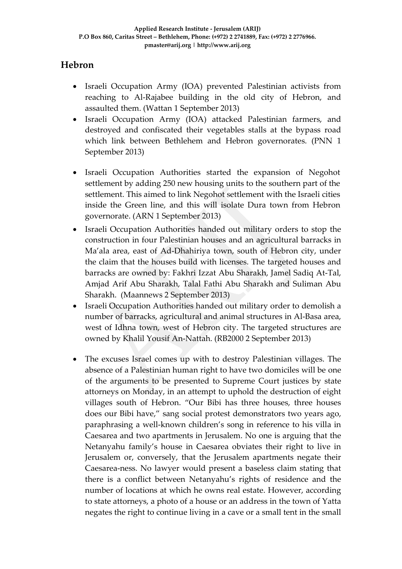### **Hebron**

- Israeli Occupation Army (IOA) prevented Palestinian activists from reaching to Al-Rajabee building in the old city of Hebron, and assaulted them. (Wattan 1 September 2013)
- Israeli Occupation Army (IOA) attacked Palestinian farmers, and destroyed and confiscated their vegetables stalls at the bypass road which link between Bethlehem and Hebron governorates. (PNN 1 September 2013)
- Israeli Occupation Authorities started the expansion of Negohot settlement by adding 250 new housing units to the southern part of the settlement. This aimed to link Negohot settlement with the Israeli cities inside the Green line, and this will isolate Dura town from Hebron governorate. (ARN 1 September 2013)
- Israeli Occupation Authorities handed out military orders to stop the construction in four Palestinian houses and an agricultural barracks in Ma'ala area, east of Ad-Dhahiriya town, south of Hebron city, under the claim that the houses build with licenses. The targeted houses and barracks are owned by: Fakhri Izzat Abu Sharakh, Jamel Sadiq At-Tal, Amjad Arif Abu Sharakh, Talal Fathi Abu Sharakh and Suliman Abu Sharakh. (Maannews 2 September 2013)
- Israeli Occupation Authorities handed out military order to demolish a number of barracks, agricultural and animal structures in Al-Basa area, west of Idhna town, west of Hebron city. The targeted structures are owned by Khalil Yousif An-Nattah. (RB2000 2 September 2013)
- The excuses Israel comes up with to destroy Palestinian villages. The absence of a Palestinian human right to have two domiciles will be one of the arguments to be presented to Supreme Court justices by state attorneys on Monday, in an attempt to uphold the destruction of eight villages south of Hebron. "Our Bibi has three houses, three houses does our Bibi have," sang social protest demonstrators two years ago, paraphrasing a well-known children's song in reference to his villa in Caesarea and two apartments in Jerusalem. No one is arguing that the Netanyahu family's house in Caesarea obviates their right to live in Jerusalem or, conversely, that the Jerusalem apartments negate their Caesarea-ness. No lawyer would present a baseless claim stating that there is a conflict between Netanyahu's rights of residence and the number of locations at which he owns real estate. However, according to state attorneys, a photo of a house or an address in the town of Yatta negates the right to continue living in a cave or a small tent in the small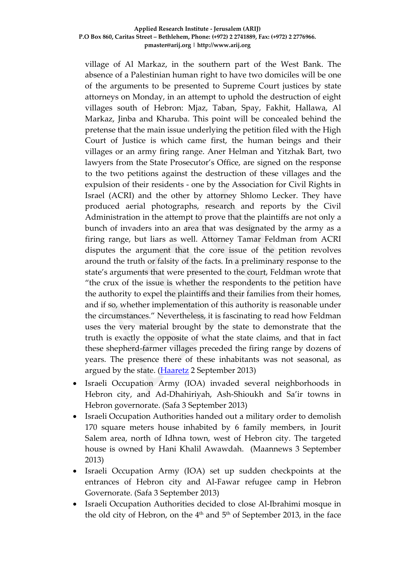village of Al Markaz, in the southern part of the West Bank. The absence of a Palestinian human right to have two domiciles will be one of the arguments to be presented to Supreme Court justices by state attorneys on Monday, in an attempt to uphold the destruction of eight villages south of Hebron: Mjaz, Taban, Spay, Fakhit, Hallawa, Al Markaz, Jinba and Kharuba. This point will be concealed behind the pretense that the main issue underlying the petition filed with the High Court of Justice is which came first, the human beings and their villages or an army firing range. Aner Helman and Yitzhak Bart, two lawyers from the State Prosecutor's Office, are signed on the response to the two petitions against the destruction of these villages and the expulsion of their residents - one by the Association for Civil Rights in Israel (ACRI) and the other by attorney Shlomo Lecker. They have produced aerial photographs, research and reports by the Civil Administration in the attempt to prove that the plaintiffs are not only a bunch of invaders into an area that was designated by the army as a firing range, but liars as well. Attorney Tamar Feldman from ACRI disputes the argument that the core issue of the petition revolves around the truth or falsity of the facts. In a preliminary response to the state's arguments that were presented to the court, Feldman wrote that "the crux of the issue is whether the respondents to the petition have the authority to expel the plaintiffs and their families from their homes, and if so, whether implementation of this authority is reasonable under the circumstances." Nevertheless, it is fascinating to read how Feldman uses the very material brought by the state to demonstrate that the truth is exactly the opposite of what the state claims, and that in fact these shepherd-farmer villages preceded the firing range by dozens of years. The presence there of these inhabitants was not seasonal, as argued by the state. [\(Haaretz](http://www.haaretz.com/news/middle-east/.premium-1.544788) 2 September 2013)

- Israeli Occupation Army (IOA) invaded several neighborhoods in Hebron city, and Ad-Dhahiriyah, Ash-Shioukh and Sa'ir towns in Hebron governorate. (Safa 3 September 2013)
- Israeli Occupation Authorities handed out a military order to demolish 170 square meters house inhabited by 6 family members, in Jourit Salem area, north of Idhna town, west of Hebron city. The targeted house is owned by Hani Khalil Awawdah. (Maannews 3 September 2013)
- Israeli Occupation Army (IOA) set up sudden checkpoints at the entrances of Hebron city and Al-Fawar refugee camp in Hebron Governorate. (Safa 3 September 2013)
- Israeli Occupation Authorities decided to close Al-Ibrahimi mosque in the old city of Hebron, on the  $4<sup>th</sup>$  and  $5<sup>th</sup>$  of September 2013, in the face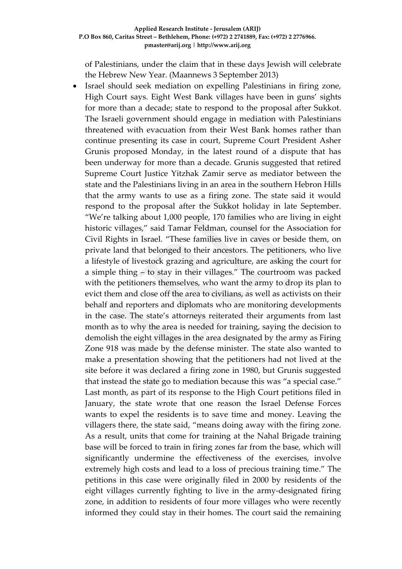of Palestinians, under the claim that in these days Jewish will celebrate the Hebrew New Year. (Maannews 3 September 2013)

• Israel should seek mediation on expelling Palestinians in firing zone, High Court says. Eight West Bank villages have been in guns' sights for more than a decade; state to respond to the proposal after Sukkot. The Israeli government should engage in mediation with Palestinians threatened with evacuation from their West Bank homes rather than continue presenting its case in court, Supreme Court President Asher Grunis proposed Monday, in the latest round of a dispute that has been underway for more than a decade. Grunis suggested that retired Supreme Court Justice Yitzhak Zamir serve as mediator between the state and the Palestinians living in an area in the southern Hebron Hills that the army wants to use as a firing zone. The state said it would respond to the proposal after the Sukkot holiday in late September. "We're talking about 1,000 people, 170 families who are living in eight historic villages," said Tamar Feldman, counsel for the Association for Civil Rights in Israel. "These families live in caves or beside them, on private land that belonged to their ancestors. The petitioners, who live a lifestyle of livestock grazing and agriculture, are asking the court for a simple thing – to stay in their villages." The courtroom was packed with the petitioners themselves, who want the army to drop its plan to evict them and close off the area to civilians, as well as activists on their behalf and reporters and diplomats who are monitoring developments in the case. The state's attorneys reiterated their arguments from last month as to why the area is needed for training, saying the decision to demolish the eight villages in the area designated by the army as Firing Zone 918 was made by the defense minister. The state also wanted to make a presentation showing that the petitioners had not lived at the site before it was declared a firing zone in 1980, but Grunis suggested that instead the state go to mediation because this was "a special case." Last month, as part of its response to the High Court petitions filed in January, the state wrote that one reason the Israel Defense Forces wants to expel the residents is to save time and money. Leaving the villagers there, the state said, "means doing away with the firing zone. As a result, units that come for training at the Nahal Brigade training base will be forced to train in firing zones far from the base, which will significantly undermine the effectiveness of the exercises, involve extremely high costs and lead to a loss of precious training time." The petitions in this case were originally filed in 2000 by residents of the eight villages currently fighting to live in the army-designated firing zone, in addition to residents of four more villages who were recently informed they could stay in their homes. The court said the remaining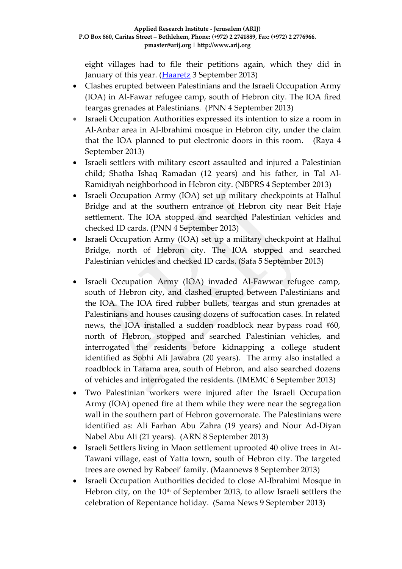eight villages had to file their petitions again, which they did in January of this year. [\(Haaretz](http://mail.arij.org/service/home/%7E/KairosStatement.pdf?auth=co&loc=en_US&id=2727&part=2) 3 September 2013)

- Clashes erupted between Palestinians and the Israeli Occupation Army (IOA) in Al-Fawar refugee camp, south of Hebron city. The IOA fired teargas grenades at Palestinians. (PNN 4 September 2013)
- Israeli Occupation Authorities expressed its intention to size a room in Al-Anbar area in Al-Ibrahimi mosque in Hebron city, under the claim that the IOA planned to put electronic doors in this room. (Raya 4 September 2013)
- Israeli settlers with military escort assaulted and injured a Palestinian child; Shatha Ishaq Ramadan (12 years) and his father, in Tal Al-Ramidiyah neighborhood in Hebron city. (NBPRS 4 September 2013)
- Israeli Occupation Army (IOA) set up military checkpoints at Halhul Bridge and at the southern entrance of Hebron city near Beit Haje settlement. The IOA stopped and searched Palestinian vehicles and checked ID cards. (PNN 4 September 2013)
- Israeli Occupation Army (IOA) set up a military checkpoint at Halhul Bridge, north of Hebron city. The IOA stopped and searched Palestinian vehicles and checked ID cards. (Safa 5 September 2013)
- Israeli Occupation Army (IOA) invaded Al-Fawwar refugee camp, south of Hebron city, and clashed erupted between Palestinians and the IOA. The IOA fired rubber bullets, teargas and stun grenades at Palestinians and houses causing dozens of suffocation cases. In related news, the IOA installed a sudden roadblock near bypass road #60, north of Hebron, stopped and searched Palestinian vehicles, and interrogated the residents before kidnapping a college student identified as Sobhi Ali Jawabra (20 years). The army also installed a roadblock in Tarama area, south of Hebron, and also searched dozens of vehicles and interrogated the residents. (IMEMC 6 September 2013)
- Two Palestinian workers were injured after the Israeli Occupation Army (IOA) opened fire at them while they were near the segregation wall in the southern part of Hebron governorate. The Palestinians were identified as: Ali Farhan Abu Zahra (19 years) and Nour Ad-Diyan Nabel Abu Ali (21 years). (ARN 8 September 2013)
- Israeli Settlers living in Maon settlement uprooted 40 olive trees in At-Tawani village, east of Yatta town, south of Hebron city. The targeted trees are owned by Rabeei' family. (Maannews 8 September 2013)
- Israeli Occupation Authorities decided to close Al-Ibrahimi Mosque in Hebron city, on the  $10<sup>th</sup>$  of September 2013, to allow Israeli settlers the celebration of Repentance holiday. (Sama News 9 September 2013)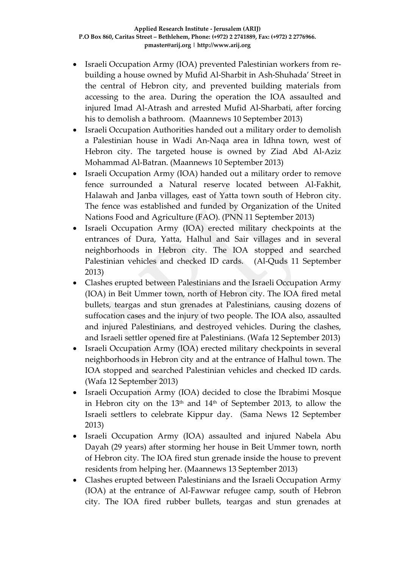- Israeli Occupation Army (IOA) prevented Palestinian workers from rebuilding a house owned by Mufid Al-Sharbit in Ash-Shuhada' Street in the central of Hebron city, and prevented building materials from accessing to the area. During the operation the IOA assaulted and injured Imad Al-Atrash and arrested Mufid Al-Sharbati, after forcing his to demolish a bathroom. (Maannews 10 September 2013)
- Israeli Occupation Authorities handed out a military order to demolish a Palestinian house in Wadi An-Naqa area in Idhna town, west of Hebron city. The targeted house is owned by Ziad Abd Al-Aziz Mohammad Al-Batran. (Maannews 10 September 2013)
- Israeli Occupation Army (IOA) handed out a military order to remove fence surrounded a Natural reserve located between Al-Fakhit, Halawah and Janba villages, east of Yatta town south of Hebron city. The fence was established and funded by Organization of the United Nations Food and Agriculture (FAO). (PNN 11 September 2013)
- Israeli Occupation Army (IOA) erected military checkpoints at the entrances of Dura, Yatta, Halhul and Sair villages and in several neighborhoods in Hebron city. The IOA stopped and searched Palestinian vehicles and checked ID cards. (Al-Quds 11 September 2013)
- Clashes erupted between Palestinians and the Israeli Occupation Army (IOA) in Beit Ummer town, north of Hebron city. The IOA fired metal bullets, teargas and stun grenades at Palestinians, causing dozens of suffocation cases and the injury of two people. The IOA also, assaulted and injured Palestinians, and destroyed vehicles. During the clashes, and Israeli settler opened fire at Palestinians. (Wafa 12 September 2013)
- Israeli Occupation Army (IOA) erected military checkpoints in several neighborhoods in Hebron city and at the entrance of Halhul town. The IOA stopped and searched Palestinian vehicles and checked ID cards. (Wafa 12 September 2013)
- Israeli Occupation Army (IOA) decided to close the Ibrabimi Mosque in Hebron city on the  $13<sup>th</sup>$  and  $14<sup>th</sup>$  of September 2013, to allow the Israeli settlers to celebrate Kippur day. (Sama News 12 September 2013)
- Israeli Occupation Army (IOA) assaulted and injured Nabela Abu Dayah (29 years) after storming her house in Beit Ummer town, north of Hebron city. The IOA fired stun grenade inside the house to prevent residents from helping her. (Maannews 13 September 2013)
- Clashes erupted between Palestinians and the Israeli Occupation Army (IOA) at the entrance of Al-Fawwar refugee camp, south of Hebron city. The IOA fired rubber bullets, teargas and stun grenades at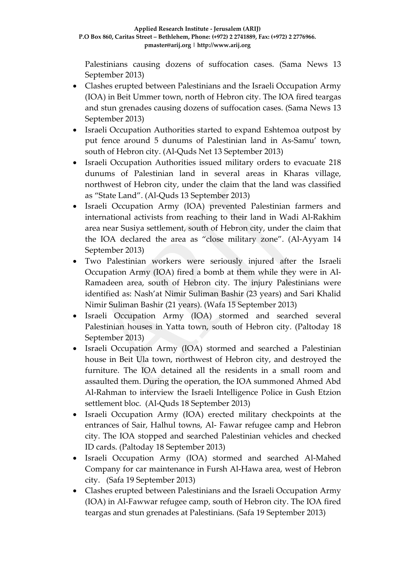Palestinians causing dozens of suffocation cases. (Sama News 13 September 2013)

- Clashes erupted between Palestinians and the Israeli Occupation Army (IOA) in Beit Ummer town, north of Hebron city. The IOA fired teargas and stun grenades causing dozens of suffocation cases. (Sama News 13 September 2013)
- Israeli Occupation Authorities started to expand Eshtemoa outpost by put fence around 5 dunums of Palestinian land in As-Samu' town, south of Hebron city. (Al-Quds Net 13 September 2013)
- Israeli Occupation Authorities issued military orders to evacuate 218 dunums of Palestinian land in several areas in Kharas village, northwest of Hebron city, under the claim that the land was classified as "State Land". (Al-Quds 13 September 2013)
- Israeli Occupation Army (IOA) prevented Palestinian farmers and international activists from reaching to their land in Wadi Al-Rakhim area near Susiya settlement, south of Hebron city, under the claim that the IOA declared the area as "close military zone". (Al-Ayyam 14 September 2013)
- Two Palestinian workers were seriously injured after the Israeli Occupation Army (IOA) fired a bomb at them while they were in Al-Ramadeen area, south of Hebron city. The injury Palestinians were identified as: Nash'at Nimir Suliman Bashir (23 years) and Sari Khalid Nimir Suliman Bashir (21 years). (Wafa 15 September 2013)
- Israeli Occupation Army (IOA) stormed and searched several Palestinian houses in Yatta town, south of Hebron city. (Paltoday 18 September 2013)
- Israeli Occupation Army (IOA) stormed and searched a Palestinian house in Beit Ula town, northwest of Hebron city, and destroyed the furniture. The IOA detained all the residents in a small room and assaulted them. During the operation, the IOA summoned Ahmed Abd Al-Rahman to interview the Israeli Intelligence Police in Gush Etzion settlement bloc. (Al-Quds 18 September 2013)
- Israeli Occupation Army (IOA) erected military checkpoints at the entrances of Sair, Halhul towns, Al- Fawar refugee camp and Hebron city. The IOA stopped and searched Palestinian vehicles and checked ID cards. (Paltoday 18 September 2013)
- Israeli Occupation Army (IOA) stormed and searched Al-Mahed Company for car maintenance in Fursh Al-Hawa area, west of Hebron city. (Safa 19 September 2013)
- Clashes erupted between Palestinians and the Israeli Occupation Army (IOA) in Al-Fawwar refugee camp, south of Hebron city. The IOA fired teargas and stun grenades at Palestinians. (Safa 19 September 2013)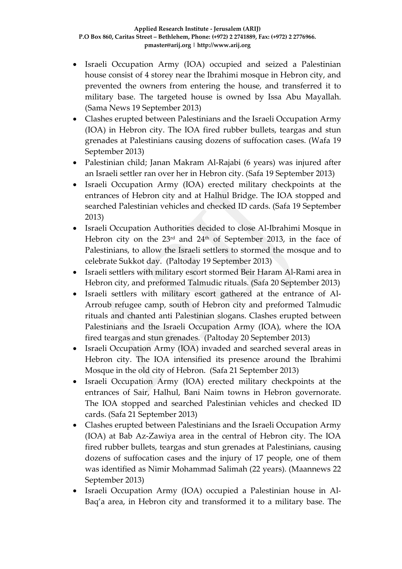- Israeli Occupation Army (IOA) occupied and seized a Palestinian house consist of 4 storey near the Ibrahimi mosque in Hebron city, and prevented the owners from entering the house, and transferred it to military base. The targeted house is owned by Issa Abu Mayallah. (Sama News 19 September 2013)
- Clashes erupted between Palestinians and the Israeli Occupation Army (IOA) in Hebron city. The IOA fired rubber bullets, teargas and stun grenades at Palestinians causing dozens of suffocation cases. (Wafa 19 September 2013)
- Palestinian child; Janan Makram Al-Rajabi (6 years) was injured after an Israeli settler ran over her in Hebron city. (Safa 19 September 2013)
- Israeli Occupation Army (IOA) erected military checkpoints at the entrances of Hebron city and at Halhul Bridge. The IOA stopped and searched Palestinian vehicles and checked ID cards. (Safa 19 September 2013)
- Israeli Occupation Authorities decided to close Al-Ibrahimi Mosque in Hebron city on the  $23<sup>rd</sup>$  and  $24<sup>th</sup>$  of September 2013, in the face of Palestinians, to allow the Israeli settlers to stormed the mosque and to celebrate Sukkot day. (Paltoday 19 September 2013)
- Israeli settlers with military escort stormed Beir Haram Al-Rami area in Hebron city, and preformed Talmudic rituals. (Safa 20 September 2013)
- Israeli settlers with military escort gathered at the entrance of Al-Arroub refugee camp, south of Hebron city and preformed Talmudic rituals and chanted anti Palestinian slogans. Clashes erupted between Palestinians and the Israeli Occupation Army (IOA), where the IOA fired teargas and stun grenades. (Paltoday 20 September 2013)
- Israeli Occupation Army (IOA) invaded and searched several areas in Hebron city. The IOA intensified its presence around the Ibrahimi Mosque in the old city of Hebron. (Safa 21 September 2013)
- Israeli Occupation Army (IOA) erected military checkpoints at the entrances of Sair, Halhul, Bani Naim towns in Hebron governorate. The IOA stopped and searched Palestinian vehicles and checked ID cards. (Safa 21 September 2013)
- Clashes erupted between Palestinians and the Israeli Occupation Army (IOA) at Bab Az-Zawiya area in the central of Hebron city. The IOA fired rubber bullets, teargas and stun grenades at Palestinians, causing dozens of suffocation cases and the injury of 17 people, one of them was identified as Nimir Mohammad Salimah (22 years). (Maannews 22 September 2013)
- Israeli Occupation Army (IOA) occupied a Palestinian house in Al-Baq'a area, in Hebron city and transformed it to a military base. The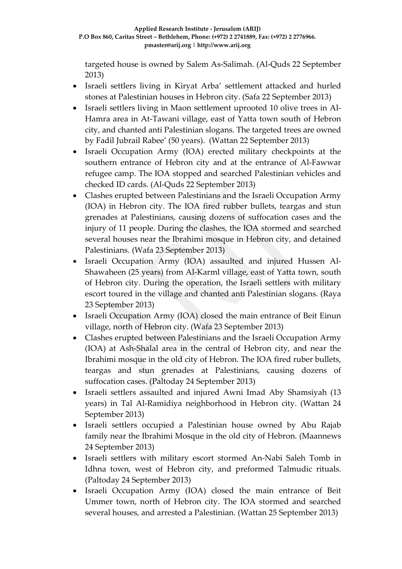targeted house is owned by Salem As-Salimah. (Al-Quds 22 September 2013)

- Israeli settlers living in Kiryat Arba' settlement attacked and hurled stones at Palestinian houses in Hebron city. (Safa 22 September 2013)
- Israeli settlers living in Maon settlement uprooted 10 olive trees in Al-Hamra area in At-Tawani village, east of Yatta town south of Hebron city, and chanted anti Palestinian slogans. The targeted trees are owned by Fadil Jubrail Rabee' (50 years). (Wattan 22 September 2013)
- Israeli Occupation Army (IOA) erected military checkpoints at the southern entrance of Hebron city and at the entrance of Al-Fawwar refugee camp. The IOA stopped and searched Palestinian vehicles and checked ID cards. (Al-Quds 22 September 2013)
- Clashes erupted between Palestinians and the Israeli Occupation Army (IOA) in Hebron city. The IOA fired rubber bullets, teargas and stun grenades at Palestinians, causing dozens of suffocation cases and the injury of 11 people. During the clashes, the IOA stormed and searched several houses near the Ibrahimi mosque in Hebron city, and detained Palestinians. (Wafa 23 September 2013)
- Israeli Occupation Army (IOA) assaulted and injured Hussen Al-Shawaheen (25 years) from Al-Karml village, east of Yatta town, south of Hebron city. During the operation, the Israeli settlers with military escort toured in the village and chanted anti Palestinian slogans. (Raya 23 September 2013)
- Israeli Occupation Army (IOA) closed the main entrance of Beit Einun village, north of Hebron city. (Wafa 23 September 2013)
- Clashes erupted between Palestinians and the Israeli Occupation Army (IOA) at Ash-Shalal area in the central of Hebron city, and near the Ibrahimi mosque in the old city of Hebron. The IOA fired ruber bullets, teargas and stun grenades at Palestinians, causing dozens of suffocation cases. (Paltoday 24 September 2013)
- Israeli settlers assaulted and injured Awni Imad Aby Shamsiyah (13 years) in Tal Al-Ramidiya neighborhood in Hebron city. (Wattan 24 September 2013)
- Israeli settlers occupied a Palestinian house owned by Abu Rajab family near the Ibrahimi Mosque in the old city of Hebron. (Maannews 24 September 2013)
- Israeli settlers with military escort stormed An-Nabi Saleh Tomb in Idhna town, west of Hebron city, and preformed Talmudic rituals. (Paltoday 24 September 2013)
- Israeli Occupation Army (IOA) closed the main entrance of Beit Ummer town, north of Hebron city. The IOA stormed and searched several houses, and arrested a Palestinian. (Wattan 25 September 2013)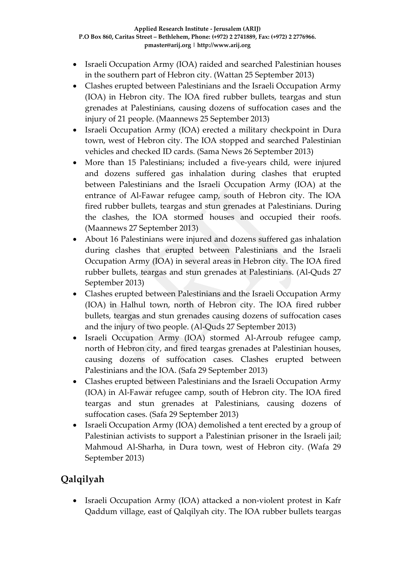- Israeli Occupation Army (IOA) raided and searched Palestinian houses in the southern part of Hebron city. (Wattan 25 September 2013)
- Clashes erupted between Palestinians and the Israeli Occupation Army (IOA) in Hebron city. The IOA fired rubber bullets, teargas and stun grenades at Palestinians, causing dozens of suffocation cases and the injury of 21 people. (Maannews 25 September 2013)
- Israeli Occupation Army (IOA) erected a military checkpoint in Dura town, west of Hebron city. The IOA stopped and searched Palestinian vehicles and checked ID cards. (Sama News 26 September 2013)
- More than 15 Palestinians; included a five-years child, were injured and dozens suffered gas inhalation during clashes that erupted between Palestinians and the Israeli Occupation Army (IOA) at the entrance of Al-Fawar refugee camp, south of Hebron city. The IOA fired rubber bullets, teargas and stun grenades at Palestinians. During the clashes, the IOA stormed houses and occupied their roofs. (Maannews 27 September 2013)
- About 16 Palestinians were injured and dozens suffered gas inhalation during clashes that erupted between Palestinians and the Israeli Occupation Army (IOA) in several areas in Hebron city. The IOA fired rubber bullets, teargas and stun grenades at Palestinians. (Al-Quds 27 September 2013)
- Clashes erupted between Palestinians and the Israeli Occupation Army (IOA) in Halhul town, north of Hebron city. The IOA fired rubber bullets, teargas and stun grenades causing dozens of suffocation cases and the injury of two people. (Al-Quds 27 September 2013)
- Israeli Occupation Army (IOA) stormed Al-Arroub refugee camp, north of Hebron city, and fired teargas grenades at Palestinian houses, causing dozens of suffocation cases. Clashes erupted between Palestinians and the IOA. (Safa 29 September 2013)
- Clashes erupted between Palestinians and the Israeli Occupation Army (IOA) in Al-Fawar refugee camp, south of Hebron city. The IOA fired teargas and stun grenades at Palestinians, causing dozens of suffocation cases. (Safa 29 September 2013)
- Israeli Occupation Army (IOA) demolished a tent erected by a group of Palestinian activists to support a Palestinian prisoner in the Israeli jail; Mahmoud Al-Sharha, in Dura town, west of Hebron city. (Wafa 29 September 2013)

# **Qalqilyah**

• Israeli Occupation Army (IOA) attacked a non-violent protest in Kafr Qaddum village, east of Qalqilyah city. The IOA rubber bullets teargas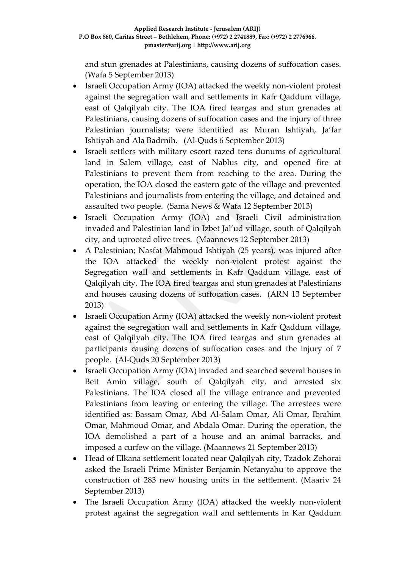and stun grenades at Palestinians, causing dozens of suffocation cases. (Wafa 5 September 2013)

- Israeli Occupation Army (IOA) attacked the weekly non-violent protest against the segregation wall and settlements in Kafr Qaddum village, east of Qalqilyah city. The IOA fired teargas and stun grenades at Palestinians, causing dozens of suffocation cases and the injury of three Palestinian journalists; were identified as: Muran Ishtiyah, Ja'far Ishtiyah and Ala Badrnih. (Al-Quds 6 September 2013)
- Israeli settlers with military escort razed tens dunums of agricultural land in Salem village, east of Nablus city, and opened fire at Palestinians to prevent them from reaching to the area. During the operation, the IOA closed the eastern gate of the village and prevented Palestinians and journalists from entering the village, and detained and assaulted two people. (Sama News & Wafa 12 September 2013)
- Israeli Occupation Army (IOA) and Israeli Civil administration invaded and Palestinian land in Izbet Jal'ud village, south of Qalqilyah city, and uprooted olive trees. (Maannews 12 September 2013)
- A Palestinian; Nasfat Mahmoud Ishtiyah (25 years), was injured after the IOA attacked the weekly non-violent protest against the Segregation wall and settlements in Kafr Qaddum village, east of Qalqilyah city. The IOA fired teargas and stun grenades at Palestinians and houses causing dozens of suffocation cases. (ARN 13 September 2013)
- Israeli Occupation Army (IOA) attacked the weekly non-violent protest against the segregation wall and settlements in Kafr Qaddum village, east of Qalqilyah city. The IOA fired teargas and stun grenades at participants causing dozens of suffocation cases and the injury of 7 people. (Al-Quds 20 September 2013)
- Israeli Occupation Army (IOA) invaded and searched several houses in Beit Amin village, south of Qalqilyah city, and arrested six Palestinians. The IOA closed all the village entrance and prevented Palestinians from leaving or entering the village. The arrestees were identified as: Bassam Omar, Abd Al-Salam Omar, Ali Omar, Ibrahim Omar, Mahmoud Omar, and Abdala Omar. During the operation, the IOA demolished a part of a house and an animal barracks, and imposed a curfew on the village. (Maannews 21 September 2013)
- Head of Elkana settlement located near Qalqilyah city, Tzadok Zehorai asked the Israeli Prime Minister Benjamin Netanyahu to approve the construction of 283 new housing units in the settlement. (Maariv 24 September 2013)
- The Israeli Occupation Army (IOA) attacked the weekly non-violent protest against the segregation wall and settlements in Kar Qaddum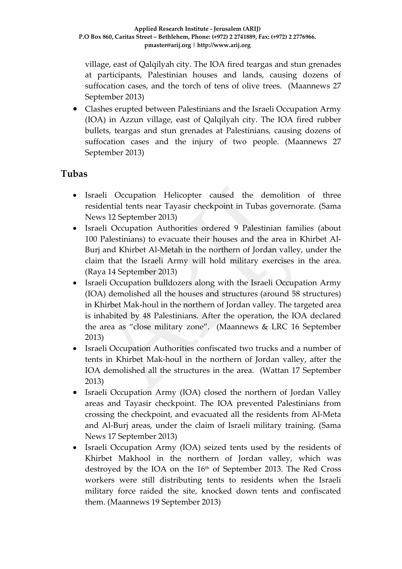village, east of Qalqilyah city. The IOA fired teargas and stun grenades at participants, Palestinian houses and lands, causing dozens of suffocation cases, and the torch of tens of olive trees. (Maannews 27 September 2013)

• Clashes erupted between Palestinians and the Israeli Occupation Army (IOA) in Azzun village, east of Qalqilyah city. The IOA fired rubber bullets, teargas and stun grenades at Palestinians, causing dozens of suffocation cases and the injury of two people. (Maannews 27 September 2013)

## **Tubas**

- Israeli Occupation Helicopter caused the demolition of three residential tents near Tayasir checkpoint in Tubas governorate. (Sama News 12 September 2013)
- Israeli Occupation Authorities ordered 9 Palestinian families (about 100 Palestinians) to evacuate their houses and the area in Khirbet Al-Burj and Khirbet Al-Metah in the northern of Jordan valley, under the claim that the Israeli Army will hold military exercises in the area. (Raya 14 September 2013)
- Israeli Occupation bulldozers along with the Israeli Occupation Army (IOA) demolished all the houses and structures (around 58 structures) in Khirbet Mak-houl in the northern of Jordan valley. The targeted area is inhabited by 48 Palestinians. After the operation, the IOA declared the area as "close military zone". (Maannews & LRC 16 September 2013)
- Israeli Occupation Authorities confiscated two trucks and a number of tents in Khirbet Mak-houl in the northern of Jordan valley, after the IOA demolished all the structures in the area. (Wattan 17 September 2013)
- Israeli Occupation Army (IOA) closed the northern of Jordan Valley areas and Tayasir checkpoint. The IOA prevented Palestinians from crossing the checkpoint, and evacuated all the residents from Al-Meta and Al-Burj areas, under the claim of Israeli military training. (Sama News 17 September 2013)
- Israeli Occupation Army (IOA) seized tents used by the residents of Khirbet Makhool in the northern of Jordan valley, which was destroyed by the IOA on the 16<sup>th</sup> of September 2013. The Red Cross workers were still distributing tents to residents when the Israeli military force raided the site, knocked down tents and confiscated them. (Maannews 19 September 2013)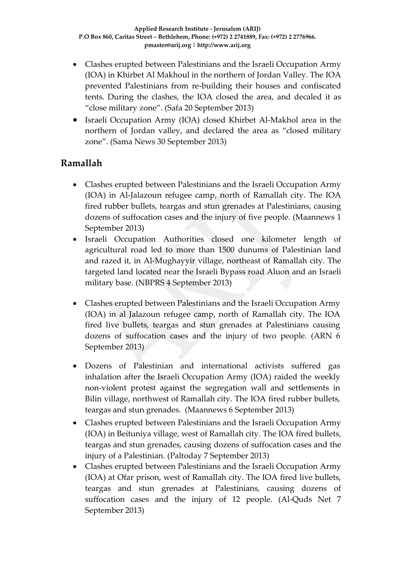- Clashes erupted between Palestinians and the Israeli Occupation Army (IOA) in Khirbet Al Makhoul in the northern of Jordan Valley. The IOA prevented Palestinians from re-building their houses and confiscated tents. During the clashes, the IOA closed the area, and decaled it as "close military zone". (Safa 20 September 2013)
- Israeli Occupation Army (IOA) closed Khirbet Al-Makhol area in the northern of Jordan valley, and declared the area as "closed military zone". (Sama News 30 September 2013)

## **Ramallah**

- Clashes erupted between Palestinians and the Israeli Occupation Army (IOA) in Al-Jalazoun refugee camp, north of Ramallah city. The IOA fired rubber bullets, teargas and stun grenades at Palestinians, causing dozens of suffocation cases and the injury of five people. (Maannews 1 September 2013)
- Israeli Occupation Authorities closed one kilometer length of agricultural road led to more than 1500 dunums of Palestinian land and razed it, in Al-Mughayyir village, northeast of Ramallah city. The targeted land located near the Israeli Bypass road Aluon and an Israeli military base. (NBPRS 4 September 2013)
- Clashes erupted between Palestinians and the Israeli Occupation Army (IOA) in al Jalazoun refugee camp, north of Ramallah city. The IOA fired live bullets, teargas and stun grenades at Palestinians causing dozens of suffocation cases and the injury of two people. (ARN 6 September 2013)
- Dozens of Palestinian and international activists suffered gas inhalation after the Israeli Occupation Army (IOA) raided the weekly non-violent protest against the segregation wall and settlements in Bilin village, northwest of Ramallah city. The IOA fired rubber bullets, teargas and stun grenades. (Maannews 6 September 2013)
- Clashes erupted between Palestinians and the Israeli Occupation Army (IOA) in Beituniya village, west of Ramallah city. The IOA fired bullets, teargas and stun grenades, causing dozens of suffocation cases and the injury of a Palestinian. (Paltoday 7 September 2013)
- Clashes erupted between Palestinians and the Israeli Occupation Army (IOA) at Ofar prison, west of Ramallah city. The IOA fired live bullets, teargas and stun grenades at Palestinians, causing dozens of suffocation cases and the injury of 12 people. (Al-Quds Net 7 September 2013)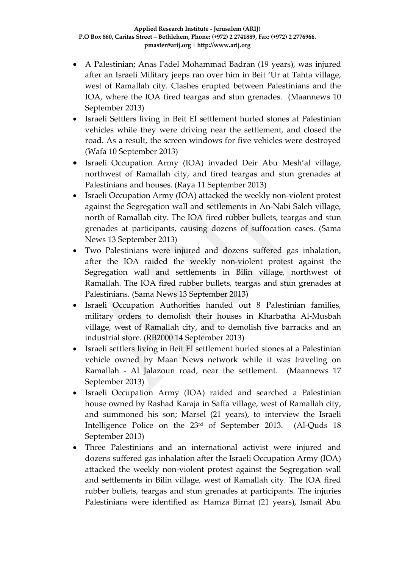- A Palestinian; Anas Fadel Mohammad Badran (19 years), was injured after an Israeli Military jeeps ran over him in Beit 'Ur at Tahta village, west of Ramallah city. Clashes erupted between Palestinians and the IOA, where the IOA fired teargas and stun grenades. (Maannews 10 September 2013)
- Israeli Settlers living in Beit El settlement hurled stones at Palestinian vehicles while they were driving near the settlement, and closed the road. As a result, the screen windows for five vehicles were destroyed (Wafa 10 September 2013)
- Israeli Occupation Army (IOA) invaded Deir Abu Mesh'al village, northwest of Ramallah city, and fired teargas and stun grenades at Palestinians and houses. (Raya 11 September 2013)
- Israeli Occupation Army (IOA) attacked the weekly non-violent protest against the Segregation wall and settlements in An-Nabi Saleh village, north of Ramallah city. The IOA fired rubber bullets, teargas and stun grenades at participants, causing dozens of suffocation cases. (Sama News 13 September 2013)
- Two Palestinians were injured and dozens suffered gas inhalation, after the IOA raided the weekly non-violent protest against the Segregation wall and settlements in Bilin village, northwest of Ramallah. The IOA fired rubber bullets, teargas and stun grenades at Palestinians. (Sama News 13 September 2013)
- Israeli Occupation Authorities handed out 8 Palestinian families, military orders to demolish their houses in Kharbatha Al-Musbah village, west of Ramallah city, and to demolish five barracks and an industrial store. (RB2000 14 September 2013)
- Israeli settlers living in Beit El settlement hurled stones at a Palestinian vehicle owned by Maan News network while it was traveling on Ramallah - Al Jalazoun road, near the settlement. (Maannews 17 September 2013)
- Israeli Occupation Army (IOA) raided and searched a Palestinian house owned by Rashad Karaja in Saffa village, west of Ramallah city, and summoned his son; Marsel (21 years), to interview the Israeli Intelligence Police on the 23rd of September 2013. (Al-Quds 18 September 2013)
- Three Palestinians and an international activist were injured and dozens suffered gas inhalation after the Israeli Occupation Army (IOA) attacked the weekly non-violent protest against the Segregation wall and settlements in Bilin village, west of Ramallah city. The IOA fired rubber bullets, teargas and stun grenades at participants. The injuries Palestinians were identified as: Hamza Birnat (21 years), Ismail Abu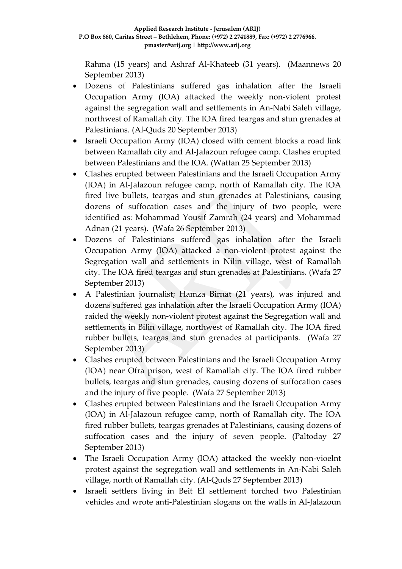Rahma (15 years) and Ashraf Al-Khateeb (31 years). (Maannews 20 September 2013)

- Dozens of Palestinians suffered gas inhalation after the Israeli Occupation Army (IOA) attacked the weekly non-violent protest against the segregation wall and settlements in An-Nabi Saleh village, northwest of Ramallah city. The IOA fired teargas and stun grenades at Palestinians. (Al-Quds 20 September 2013)
- Israeli Occupation Army (IOA) closed with cement blocks a road link between Ramallah city and Al-Jalazoun refugee camp. Clashes erupted between Palestinians and the IOA. (Wattan 25 September 2013)
- Clashes erupted between Palestinians and the Israeli Occupation Army (IOA) in Al-Jalazoun refugee camp, north of Ramallah city. The IOA fired live bullets, teargas and stun grenades at Palestinians, causing dozens of suffocation cases and the injury of two people, were identified as: Mohammad Yousif Zamrah (24 years) and Mohammad Adnan (21 years). (Wafa 26 September 2013)
- Dozens of Palestinians suffered gas inhalation after the Israeli Occupation Army (IOA) attacked a non-violent protest against the Segregation wall and settlements in Nilin village, west of Ramallah city. The IOA fired teargas and stun grenades at Palestinians. (Wafa 27 September 2013)
- A Palestinian journalist; Hamza Birnat (21 years), was injured and dozens suffered gas inhalation after the Israeli Occupation Army (IOA) raided the weekly non-violent protest against the Segregation wall and settlements in Bilin village, northwest of Ramallah city. The IOA fired rubber bullets, teargas and stun grenades at participants. (Wafa 27 September 2013)
- Clashes erupted between Palestinians and the Israeli Occupation Army (IOA) near Ofra prison, west of Ramallah city. The IOA fired rubber bullets, teargas and stun grenades, causing dozens of suffocation cases and the injury of five people. (Wafa 27 September 2013)
- Clashes erupted between Palestinians and the Israeli Occupation Army (IOA) in Al-Jalazoun refugee camp, north of Ramallah city. The IOA fired rubber bullets, teargas grenades at Palestinians, causing dozens of suffocation cases and the injury of seven people. (Paltoday 27 September 2013)
- The Israeli Occupation Army (IOA) attacked the weekly non-vioelnt protest against the segregation wall and settlements in An-Nabi Saleh village, north of Ramallah city. (Al-Quds 27 September 2013)
- Israeli settlers living in Beit El settlement torched two Palestinian vehicles and wrote anti-Palestinian slogans on the walls in Al-Jalazoun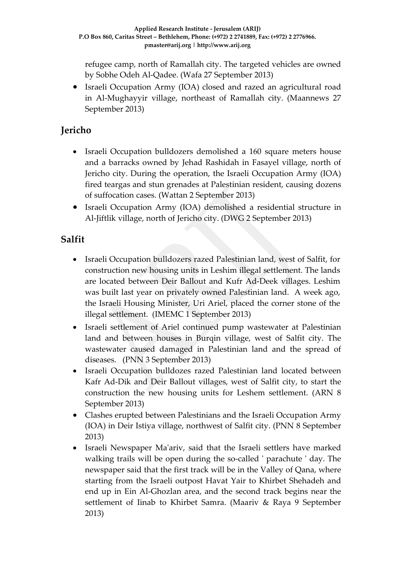refugee camp, north of Ramallah city. The targeted vehicles are owned by Sobhe Odeh Al-Qadee. (Wafa 27 September 2013)

• Israeli Occupation Army (IOA) closed and razed an agricultural road in Al-Mughayyir village, northeast of Ramallah city. (Maannews 27 September 2013)

# **Jericho**

- Israeli Occupation bulldozers demolished a 160 square meters house and a barracks owned by Jehad Rashidah in Fasayel village, north of Jericho city. During the operation, the Israeli Occupation Army (IOA) fired teargas and stun grenades at Palestinian resident, causing dozens of suffocation cases. (Wattan 2 September 2013)
- Israeli Occupation Army (IOA) demolished a residential structure in Al-Jiftlik village, north of Jericho city. (DWG 2 September 2013)

# **Salfit**

- Israeli Occupation bulldozers razed Palestinian land, west of Salfit, for construction new housing units in Leshim illegal settlement. The lands are located between Deir Ballout and Kufr Ad-Deek villages. Leshim was built last year on privately owned Palestinian land. A week ago, the Israeli Housing Minister, Uri Ariel, placed the corner stone of the illegal settlement. (IMEMC 1 September 2013)
- Israeli settlement of Ariel continued pump wastewater at Palestinian land and between houses in Burqin village, west of Salfit city. The wastewater caused damaged in Palestinian land and the spread of diseases. (PNN 3 September 2013)
- Israeli Occupation bulldozes razed Palestinian land located between Kafr Ad-Dik and Deir Ballout villages, west of Salfit city, to start the construction the new housing units for Leshem settlement. (ARN 8 September 2013)
- Clashes erupted between Palestinians and the Israeli Occupation Army (IOA) in Deir Istiya village, northwest of Salfit city. (PNN 8 September 2013)
- Israeli Newspaper Ma'ariv, said that the Israeli settlers have marked walking trails will be open during the so-called ' parachute ' day. The newspaper said that the first track will be in the Valley of Qana, where starting from the Israeli outpost Havat Yair to Khirbet Shehadeh and end up in Ein Al-Ghozlan area, and the second track begins near the settlement of Iinab to Khirbet Samra. (Maariv & Raya 9 September 2013)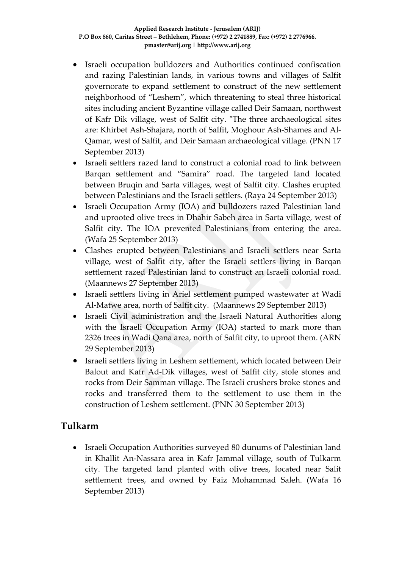- Israeli occupation bulldozers and Authorities continued confiscation and razing Palestinian lands, in various towns and villages of Salfit governorate to expand settlement to construct of the new settlement neighborhood of "Leshem", which threatening to steal three historical sites including ancient Byzantine village called Deir Samaan, northwest of Kafr Dik village, west of Salfit city. "The three archaeological sites are: Khirbet Ash-Shajara, north of Salfit, Moghour Ash-Shames and Al-Qamar, west of Salfit, and Deir Samaan archaeological village. (PNN 17 September 2013)
- Israeli settlers razed land to construct a colonial road to link between Barqan settlement and "Samira" road. The targeted land located between Bruqin and Sarta villages, west of Salfit city. Clashes erupted between Palestinians and the Israeli settlers. (Raya 24 September 2013)
- Israeli Occupation Army (IOA) and bulldozers razed Palestinian land and uprooted olive trees in Dhahir Sabeh area in Sarta village, west of Salfit city. The IOA prevented Palestinians from entering the area. (Wafa 25 September 2013)
- Clashes erupted between Palestinians and Israeli settlers near Sarta village, west of Salfit city, after the Israeli settlers living in Barqan settlement razed Palestinian land to construct an Israeli colonial road. (Maannews 27 September 2013)
- Israeli settlers living in Ariel settlement pumped wastewater at Wadi Al-Matwe area, north of Salfit city. (Maannews 29 September 2013)
- Israeli Civil administration and the Israeli Natural Authorities along with the Israeli Occupation Army (IOA) started to mark more than 2326 trees in Wadi Qana area, north of Salfit city, to uproot them. (ARN 29 September 2013)
- Israeli settlers living in Leshem settlement, which located between Deir Balout and Kafr Ad-Dik villages, west of Salfit city, stole stones and rocks from Deir Samman village. The Israeli crushers broke stones and rocks and transferred them to the settlement to use them in the construction of Leshem settlement. (PNN 30 September 2013)

## **Tulkarm**

• Israeli Occupation Authorities surveyed 80 dunums of Palestinian land in Khallit An-Nassara area in Kafr Jammal village, south of Tulkarm city. The targeted land planted with olive trees, located near Salit settlement trees, and owned by Faiz Mohammad Saleh. (Wafa 16 September 2013)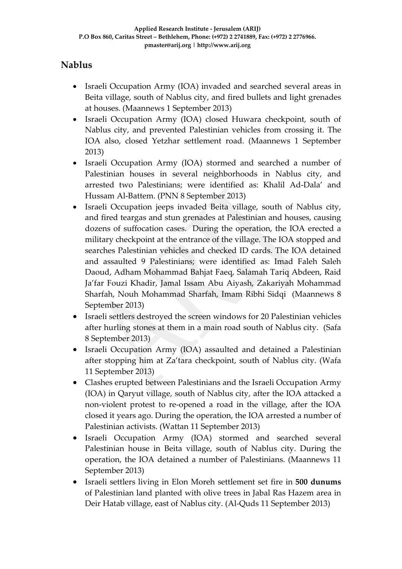## **Nablus**

- Israeli Occupation Army (IOA) invaded and searched several areas in Beita village, south of Nablus city, and fired bullets and light grenades at houses. (Maannews 1 September 2013)
- Israeli Occupation Army (IOA) closed Huwara checkpoint, south of Nablus city, and prevented Palestinian vehicles from crossing it. The IOA also, closed Yetzhar settlement road. (Maannews 1 September 2013)
- Israeli Occupation Army (IOA) stormed and searched a number of Palestinian houses in several neighborhoods in Nablus city, and arrested two Palestinians; were identified as: Khalil Ad-Dala' and Hussam Al-Battem. (PNN 8 September 2013)
- Israeli Occupation jeeps invaded Beita village, south of Nablus city, and fired teargas and stun grenades at Palestinian and houses, causing dozens of suffocation cases. During the operation, the IOA erected a military checkpoint at the entrance of the village. The IOA stopped and searches Palestinian vehicles and checked ID cards. The IOA detained and assaulted 9 Palestinians; were identified as: Imad Faleh Saleh Daoud, Adham Mohammad Bahjat Faeq, Salamah Tariq Abdeen, Raid Ja'far Fouzi Khadir, Jamal Issam Abu Aiyash, Zakariyah Mohammad Sharfah, Nouh Mohammad Sharfah, Imam Ribhi Sidqi (Maannews 8 September 2013)
- Israeli settlers destroyed the screen windows for 20 Palestinian vehicles after hurling stones at them in a main road south of Nablus city. (Safa 8 September 2013)
- Israeli Occupation Army (IOA) assaulted and detained a Palestinian after stopping him at Za'tara checkpoint, south of Nablus city. (Wafa 11 September 2013)
- Clashes erupted between Palestinians and the Israeli Occupation Army (IOA) in Qaryut village, south of Nablus city, after the IOA attacked a non-violent protest to re-opened a road in the village, after the IOA closed it years ago. During the operation, the IOA arrested a number of Palestinian activists. (Wattan 11 September 2013)
- Israeli Occupation Army (IOA) stormed and searched several Palestinian house in Beita village, south of Nablus city. During the operation, the IOA detained a number of Palestinians. (Maannews 11 September 2013)
- Israeli settlers living in Elon Moreh settlement set fire in **500 dunums** of Palestinian land planted with olive trees in Jabal Ras Hazem area in Deir Hatab village, east of Nablus city. (Al-Quds 11 September 2013)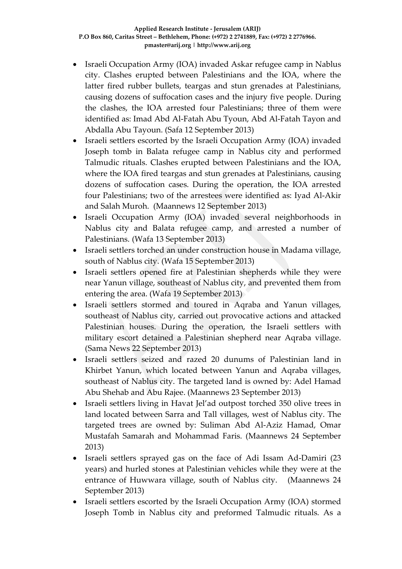- Israeli Occupation Army (IOA) invaded Askar refugee camp in Nablus city. Clashes erupted between Palestinians and the IOA, where the latter fired rubber bullets, teargas and stun grenades at Palestinians, causing dozens of suffocation cases and the injury five people. During the clashes, the IOA arrested four Palestinians; three of them were identified as: Imad Abd Al-Fatah Abu Tyoun, Abd Al-Fatah Tayon and Abdalla Abu Tayoun. (Safa 12 September 2013)
- Israeli settlers escorted by the Israeli Occupation Army (IOA) invaded Joseph tomb in Balata refugee camp in Nablus city and performed Talmudic rituals. Clashes erupted between Palestinians and the IOA, where the IOA fired teargas and stun grenades at Palestinians, causing dozens of suffocation cases. During the operation, the IOA arrested four Palestinians; two of the arrestees were identified as: Iyad Al-Akir and Salah Muroh. (Maannews 12 September 2013)
- Israeli Occupation Army (IOA) invaded several neighborhoods in Nablus city and Balata refugee camp, and arrested a number of Palestinians. (Wafa 13 September 2013)
- Israeli settlers torched an under construction house in Madama village, south of Nablus city. (Wafa 15 September 2013)
- Israeli settlers opened fire at Palestinian shepherds while they were near Yanun village, southeast of Nablus city, and prevented them from entering the area. (Wafa 19 September 2013)
- Israeli settlers stormed and toured in Aqraba and Yanun villages, southeast of Nablus city, carried out provocative actions and attacked Palestinian houses. During the operation, the Israeli settlers with military escort detained a Palestinian shepherd near Aqraba village. (Sama News 22 September 2013)
- Israeli settlers seized and razed 20 dunums of Palestinian land in Khirbet Yanun, which located between Yanun and Aqraba villages, southeast of Nablus city. The targeted land is owned by: Adel Hamad Abu Shehab and Abu Rajee. (Maannews 23 September 2013)
- Israeli settlers living in Havat Jel'ad outpost torched 350 olive trees in land located between Sarra and Tall villages, west of Nablus city. The targeted trees are owned by: Suliman Abd Al-Aziz Hamad, Omar Mustafah Samarah and Mohammad Faris. (Maannews 24 September 2013)
- Israeli settlers sprayed gas on the face of Adi Issam Ad-Damiri (23 years) and hurled stones at Palestinian vehicles while they were at the entrance of Huwwara village, south of Nablus city. (Maannews 24 September 2013)
- Israeli settlers escorted by the Israeli Occupation Army (IOA) stormed Joseph Tomb in Nablus city and preformed Talmudic rituals. As a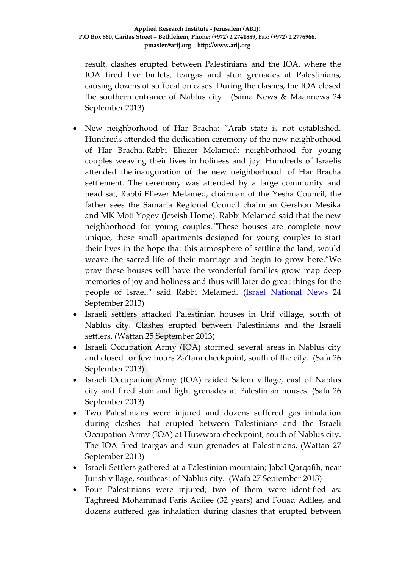result, clashes erupted between Palestinians and the IOA, where the IOA fired live bullets, teargas and stun grenades at Palestinians, causing dozens of suffocation cases. During the clashes, the IOA closed the southern entrance of Nablus city. (Sama News & Maannews 24 September 2013)

- New neighborhood of Har Bracha: "Arab state is not established. Hundreds attended the dedication ceremony of the new neighborhood of Har Bracha. Rabbi Eliezer Melamed: neighborhood for young couples weaving their lives in holiness and joy. Hundreds of Israelis attended the inauguration of the new neighborhood of Har Bracha settlement. The ceremony was attended by a large community and head sat, Rabbi Eliezer Melamed, chairman of the Yesha Council, the father sees the Samaria Regional Council chairman Gershon Mesika and MK Moti Yogev (Jewish Home). Rabbi Melamed said that the new neighborhood for young couples. "These houses are complete now unique, these small apartments designed for young couples to start their lives in the hope that this atmosphere of settling the land, would weave the sacred life of their marriage and begin to grow here."We pray these houses will have the wonderful families grow map deep memories of joy and holiness and thus will later do great things for the people of Israel," said Rabbi Melamed. [\(Israel National News](http://www.inn.co.il/News/News.aspx/262691) 24 September 2013)
- Israeli settlers attacked Palestinian houses in Urif village, south of Nablus city. Clashes erupted between Palestinians and the Israeli settlers. (Wattan 25 September 2013)
- Israeli Occupation Army (IOA) stormed several areas in Nablus city and closed for few hours Za'tara checkpoint, south of the city. (Safa 26 September 2013)
- Israeli Occupation Army (IOA) raided Salem village, east of Nablus city and fired stun and light grenades at Palestinian houses. (Safa 26 September 2013)
- Two Palestinians were injured and dozens suffered gas inhalation during clashes that erupted between Palestinians and the Israeli Occupation Army (IOA) at Huwwara checkpoint, south of Nablus city. The IOA fired teargas and stun grenades at Palestinians. (Wattan 27 September 2013)
- Israeli Settlers gathered at a Palestinian mountain; Jabal Qarqafih, near Jurish village, southeast of Nablus city. (Wafa 27 September 2013)
- Four Palestinians were injured; two of them were identified as: Taghreed Mohammad Faris Adilee (32 years) and Fouad Adilee, and dozens suffered gas inhalation during clashes that erupted between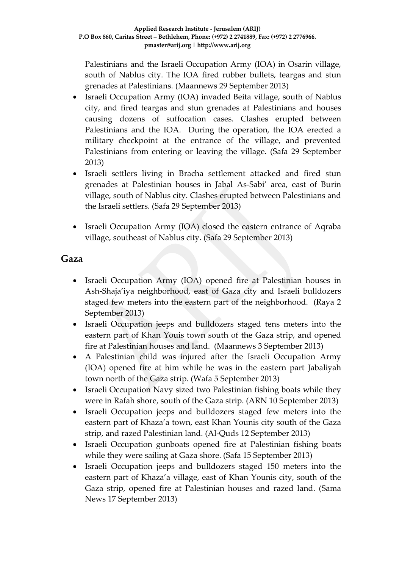Palestinians and the Israeli Occupation Army (IOA) in Osarin village, south of Nablus city. The IOA fired rubber bullets, teargas and stun grenades at Palestinians. (Maannews 29 September 2013)

- Israeli Occupation Army (IOA) invaded Beita village, south of Nablus city, and fired teargas and stun grenades at Palestinians and houses causing dozens of suffocation cases. Clashes erupted between Palestinians and the IOA. During the operation, the IOA erected a military checkpoint at the entrance of the village, and prevented Palestinians from entering or leaving the village. (Safa 29 September 2013)
- Israeli settlers living in Bracha settlement attacked and fired stun grenades at Palestinian houses in Jabal As-Sabi' area, east of Burin village, south of Nablus city. Clashes erupted between Palestinians and the Israeli settlers. (Safa 29 September 2013)
- Israeli Occupation Army (IOA) closed the eastern entrance of Aqraba village, southeast of Nablus city. (Safa 29 September 2013)

### **Gaza**

- Israeli Occupation Army (IOA) opened fire at Palestinian houses in Ash-Shaja'iya neighborhood, east of Gaza city and Israeli bulldozers staged few meters into the eastern part of the neighborhood. (Raya 2 September 2013)
- Israeli Occupation jeeps and bulldozers staged tens meters into the eastern part of Khan Youis town south of the Gaza strip, and opened fire at Palestinian houses and land. (Maannews 3 September 2013)
- A Palestinian child was injured after the Israeli Occupation Army (IOA) opened fire at him while he was in the eastern part Jabaliyah town north of the Gaza strip. (Wafa 5 September 2013)
- Israeli Occupation Navy sized two Palestinian fishing boats while they were in Rafah shore, south of the Gaza strip. (ARN 10 September 2013)
- Israeli Occupation jeeps and bulldozers staged few meters into the eastern part of Khaza'a town, east Khan Younis city south of the Gaza strip, and razed Palestinian land. (Al-Quds 12 September 2013)
- Israeli Occupation gunboats opened fire at Palestinian fishing boats while they were sailing at Gaza shore. (Safa 15 September 2013)
- Israeli Occupation jeeps and bulldozers staged 150 meters into the eastern part of Khaza'a village, east of Khan Younis city, south of the Gaza strip, opened fire at Palestinian houses and razed land. (Sama News 17 September 2013)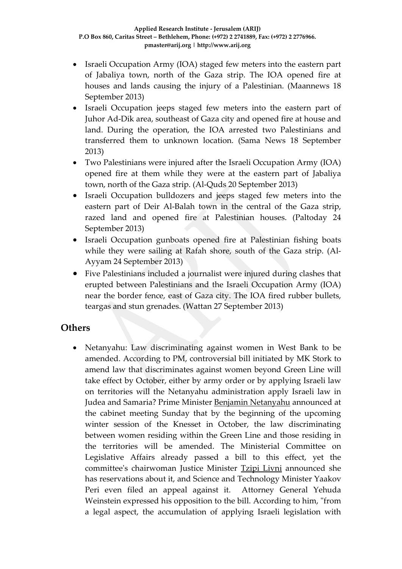- Israeli Occupation Army (IOA) staged few meters into the eastern part of Jabaliya town, north of the Gaza strip. The IOA opened fire at houses and lands causing the injury of a Palestinian. (Maannews 18 September 2013)
- Israeli Occupation jeeps staged few meters into the eastern part of Juhor Ad-Dik area, southeast of Gaza city and opened fire at house and land. During the operation, the IOA arrested two Palestinians and transferred them to unknown location. (Sama News 18 September 2013)
- Two Palestinians were injured after the Israeli Occupation Army (IOA) opened fire at them while they were at the eastern part of Jabaliya town, north of the Gaza strip. (Al-Quds 20 September 2013)
- Israeli Occupation bulldozers and jeeps staged few meters into the eastern part of Deir Al-Balah town in the central of the Gaza strip, razed land and opened fire at Palestinian houses. (Paltoday 24 September 2013)
- Israeli Occupation gunboats opened fire at Palestinian fishing boats while they were sailing at Rafah shore, south of the Gaza strip. (Al-Ayyam 24 September 2013)
- Five Palestinians included a journalist were injured during clashes that erupted between Palestinians and the Israeli Occupation Army (IOA) near the border fence, east of Gaza city. The IOA fired rubber bullets, teargas and stun grenades. (Wattan 27 September 2013)

### **Others**

• Netanyahu: Law discriminating against women in West Bank to be amended. According to PM, controversial bill initiated by MK Stork to amend law that discriminates against women beyond Green Line will take effect by October, either by army order or by applying Israeli law on territories will the Netanyahu administration apply Israeli law in Judea and Samaria? Prime Minister [Benjamin Netanyahu](http://www.ynetnews.com/articles/0,7340,L-4187902,00.html) announced at the cabinet meeting Sunday that by the beginning of the upcoming winter session of the Knesset in October, the law discriminating between women residing within the Green Line and those residing in the territories will be amended. The Ministerial Committee on Legislative Affairs already passed a bill to this effect, yet the committee's chairwoman Justice Minister [Tzipi Livni](http://www.ynetnews.com/articles/0,7340,L-3525610,00.html) announced she has reservations about it, and Science and Technology Minister Yaakov Peri even filed an appeal against it. Attorney General Yehuda Weinstein expressed his opposition to the bill. According to him, "from a legal aspect, the accumulation of applying Israeli legislation with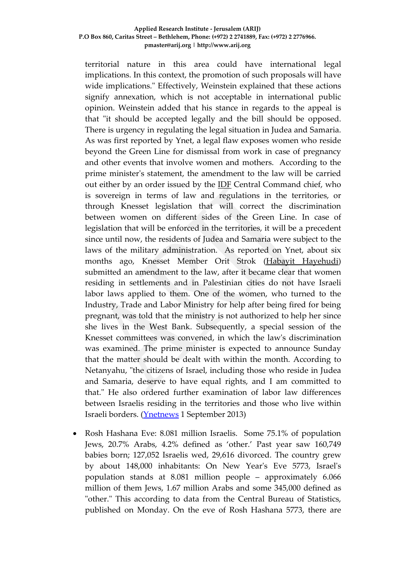territorial nature in this area could have international legal implications. In this context, the promotion of such proposals will have wide implications." Effectively, Weinstein explained that these actions signify annexation, which is not acceptable in international public opinion. Weinstein added that his stance in regards to the appeal is that "it should be accepted legally and the bill should be opposed. There is urgency in regulating the legal situation in Judea and Samaria. As was first reported by Ynet, a legal flaw exposes women who reside beyond the Green Line for dismissal from work in case of pregnancy and other events that involve women and mothers. According to the prime minister's statement, the amendment to the law will be carried out either by an order issued by the [IDF](http://www.ynetnews.com/articles/0,7340,L-4117583,00.html) Central Command chief, who is sovereign in terms of law and regulations in the territories, or through Knesset legislation that will correct the discrimination between women on different sides of the Green Line. In case of legislation that will be enforced in the territories, it will be a precedent since until now, the residents of Judea and Samaria were subject to the laws of the military administration. As reported on Ynet, about six months ago, Knesset Member Orit Strok [\(Habayit Hayehudi\)](http://www.ynetnews.com/articles/0,7340,L-3666222,00.html) submitted an amendment to the law, after it became clear that women residing in settlements and in Palestinian cities do not have Israeli labor laws applied to them. One of the women, who turned to the Industry, Trade and Labor Ministry for help after being fired for being pregnant, was told that the ministry is not authorized to help her since she lives in the West Bank. Subsequently, a special session of the Knesset committees was convened, in which the law's discrimination was examined. The prime minister is expected to announce Sunday that the matter should be dealt with within the month. According to Netanyahu, "the citizens of Israel, including those who reside in Judea and Samaria, deserve to have equal rights, and I am committed to that." He also ordered further examination of labor law differences between Israelis residing in the territories and those who live within Israeli borders. [\(Ynetnews](http://www.ynetnews.com/articles/0,7340,L-4424985,00.html) 1 September 2013)

• Rosh Hashana Eve: 8.081 million Israelis. Some 75.1% of population Jews, 20.7% Arabs, 4.2% defined as 'other.' Past year saw 160,749 babies born; 127,052 Israelis wed, 29,616 divorced. The country grew by about 148,000 inhabitants: On New Year's Eve 5773, Israel's population stands at 8.081 million people – approximately 6.066 million of them Jews, 1.67 million Arabs and some 345,000 defined as "other." This according to data from the Central Bureau of Statistics, published on Monday. On the eve of Rosh Hashana 5773, there are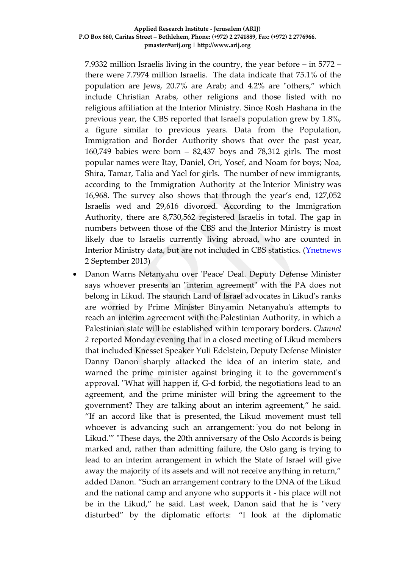7.9332 million Israelis living in the country, the year before – in 5772 – there were 7.7974 million Israelis. The data indicate that 75.1% of the population are Jews, 20.7% are Arab; and 4.2% are "others," which include Christian Arabs, other religions and those listed with no religious affiliation at the Interior Ministry. Since Rosh Hashana in the previous year, the CBS reported that Israel's population grew by 1.8%, a figure similar to previous years. Data from the Population, Immigration and Border Authority shows that over the past year, 160,749 babies were born – 82,437 boys and 78,312 girls. The most popular names were Itay, Daniel, Ori, Yosef, and Noam for boys; Noa, Shira, Tamar, Talia and Yael for girls. The number of new immigrants, according to the Immigration Authority at the Interior Ministry was 16,968. The survey also shows that through the year's end, 127,052 Israelis wed and 29,616 divorced. According to the Immigration Authority, there are 8,730,562 registered Israelis in total. The gap in numbers between those of the CBS and the Interior Ministry is most likely due to Israelis currently living abroad, who are counted in Interior Ministry data, but are not included in CBS statistics. [\(Ynetnews](http://www.ynetnews.com/articles/0,7340,L-4425333,00.html) 2 September 2013)

• Danon Warns Netanyahu over 'Peace' Deal. Deputy Defense Minister says whoever presents an "interim agreement" with the PA does not belong in Likud. The staunch Land of Israel advocates in Likud's ranks are worried by Prime Minister Binyamin Netanyahu's attempts to reach an interim agreement with the Palestinian Authority, in which a Palestinian state will be established within temporary borders. *Channel 2* reported Monday evening that in a closed meeting of Likud members that included Knesset Speaker Yuli Edelstein, Deputy Defense Minister Danny Danon sharply attacked the idea of an interim state, and warned the prime minister against bringing it to the government's approval. "What will happen if, G-d forbid, the negotiations lead to an agreement, and the prime minister will bring the agreement to the government? They are talking about an interim agreement," he said. "If an accord like that is presented, the Likud movement must tell whoever is advancing such an arrangement: 'you do not belong in Likud.'" "These days, the 20th anniversary of the Oslo Accords is being marked and, rather than admitting failure, the Oslo gang is trying to lead to an interim arrangement in which the State of Israel will give away the majority of its assets and will not receive anything in return," added Danon. "Such an arrangement contrary to the DNA of the Likud and the national camp and anyone who supports it - his place will not be in the Likud," he said. Last week, Danon said that he is "very disturbed" by the diplomatic efforts: "I look at the diplomatic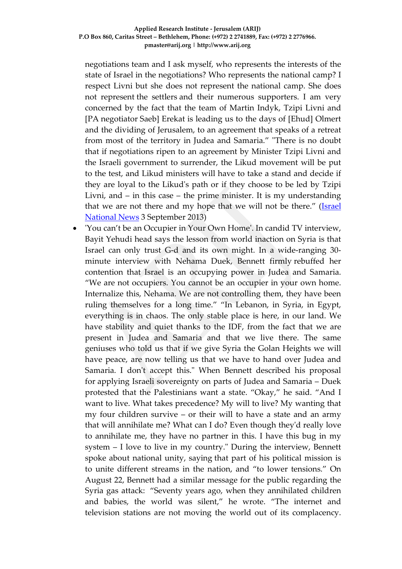negotiations team and I ask myself, who represents the interests of the state of Israel in the negotiations? Who represents the national camp? I respect Livni but she does not represent the national camp. She does not represent the settlers and their numerous supporters. I am very concerned by the fact that the team of Martin Indyk, Tzipi Livni and [PA negotiator Saeb] Erekat is leading us to the days of [Ehud] Olmert and the dividing of Jerusalem, to an agreement that speaks of a retreat from most of the territory in Judea and Samaria." "There is no doubt that if negotiations ripen to an agreement by Minister Tzipi Livni and the Israeli government to surrender, the Likud movement will be put to the test, and Likud ministers will have to take a stand and decide if they are loyal to the Likud's path or if they choose to be led by Tzipi Livni, and – in this case – the prime minister. It is my understanding that we are not there and my hope that we will not be there." (Israel [National News](http://www.israelnationalnews.com/News/News.aspx/171557) 3 September 2013)

• 'You can't be an Occupier in Your Own Home'. In candid TV interview, Bayit Yehudi head says the lesson from world inaction on Syria is that Israel can only trust G-d and its own might. In a wide-ranging 30 minute interview with Nehama Duek, Bennett firmly rebuffed her contention that Israel is an occupying power in Judea and Samaria. "We are not occupiers. You cannot be an occupier in your own home. Internalize this, Nehama. We are not controlling them, they have been ruling themselves for a long time." "In Lebanon, in Syria, in Egypt, everything is in chaos. The only stable place is here, in our land. We have stability and quiet thanks to the IDF, from the fact that we are present in Judea and Samaria and that we live there. The same geniuses who told us that if we give Syria the Golan Heights we will have peace, are now telling us that we have to hand over Judea and Samaria. I don't accept this." When Bennett described his proposal for applying Israeli sovereignty on parts of Judea and Samaria – Duek protested that the Palestinians want a state. "Okay," he said. "And I want to live. What takes precedence? My will to live? My wanting that my four children survive – or their will to have a state and an army that will annihilate me? What can I do? Even though they'd really love to annihilate me, they have no partner in this. I have this bug in my system – I love to live in my country." During the interview, Bennett spoke about national unity, saying that part of his political mission is to unite different streams in the nation, and "to lower tensions." On August 22, Bennett had a similar message for the public regarding the Syria gas attack: "Seventy years ago, when they annihilated children and babies, the world was silent," he wrote. "The internet and television stations are not moving the world out of its complacency.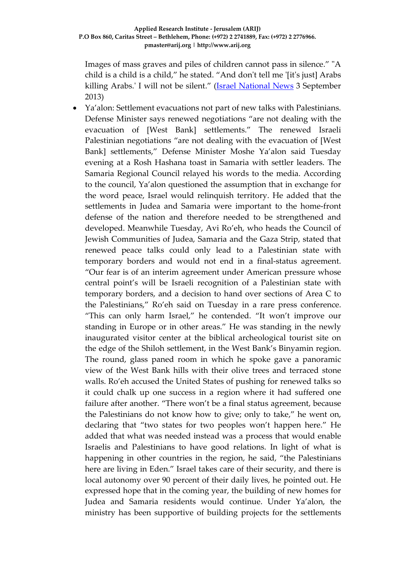Images of mass graves and piles of children cannot pass in silence." "A child is a child is a child," he stated. "And don't tell me '[it's just] Arabs killing Arabs.' I will not be silent." [\(Israel National News](http://www.israelnationalnews.com/News/News.aspx/171574) 3 September 2013)

• Ya'alon: Settlement evacuations not part of new talks with Palestinians. Defense Minister says renewed negotiations "are not dealing with the evacuation of [West Bank] settlements." The renewed Israeli Palestinian negotiations "are not dealing with the evacuation of [West Bank] settlements," Defense Minister Moshe Ya'alon said Tuesday evening at a Rosh Hashana toast in Samaria with settler leaders. The Samaria Regional Council relayed his words to the media. According to the council, Ya'alon questioned the assumption that in exchange for the word peace, Israel would relinquish territory. He added that the settlements in Judea and Samaria were important to the home-front defense of the nation and therefore needed to be strengthened and developed. Meanwhile Tuesday, Avi Ro'eh, who heads the Council of Jewish Communities of Judea, Samaria and the Gaza Strip, stated that renewed peace talks could only lead to a Palestinian state with temporary borders and would not end in a final-status agreement. "Our fear is of an interim agreement under American pressure whose central point's will be Israeli recognition of a Palestinian state with temporary borders, and a decision to hand over sections of Area C to the Palestinians," Ro'eh said on Tuesday in a rare press conference. "This can only harm Israel," he contended. "It won't improve our standing in Europe or in other areas." He was standing in the newly inaugurated visitor center at the biblical archeological tourist site on the edge of the Shiloh settlement, in the West Bank's Binyamin region. The round, glass paned room in which he spoke gave a panoramic view of the West Bank hills with their olive trees and terraced stone walls. Ro'eh accused the United States of pushing for renewed talks so it could chalk up one success in a region where it had suffered one failure after another. "There won't be a final status agreement, because the Palestinians do not know how to give; only to take," he went on, declaring that "two states for two peoples won't happen here." He added that what was needed instead was a process that would enable Israelis and Palestinians to have good relations. In light of what is happening in other countries in the region, he said, "the Palestinians here are living in Eden." Israel takes care of their security, and there is local autonomy over 90 percent of their daily lives, he pointed out. He expressed hope that in the coming year, the building of new homes for Judea and Samaria residents would continue. Under Ya'alon, the ministry has been supportive of building projects for the settlements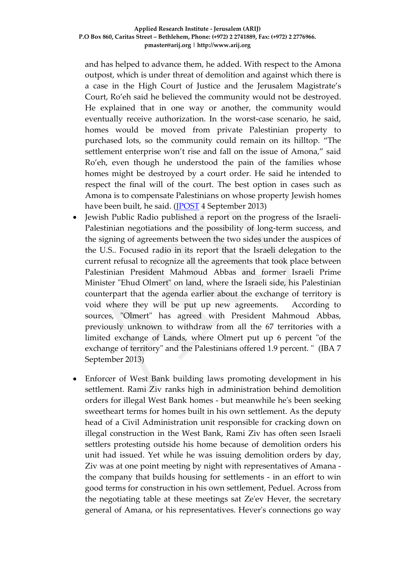and has helped to advance them, he added. With respect to the Amona outpost, which is under threat of demolition and against which there is a case in the High Court of Justice and the Jerusalem Magistrate's Court, Ro'eh said he believed the community would not be destroyed. He explained that in one way or another, the community would eventually receive authorization. In the worst-case scenario, he said, homes would be moved from private Palestinian property to purchased lots, so the community could remain on its hilltop. "The settlement enterprise won't rise and fall on the issue of Amona," said Ro'eh, even though he understood the pain of the families whose homes might be destroyed by a court order. He said he intended to respect the final will of the court. The best option in cases such as Amona is to compensate Palestinians on whose property Jewish homes have been built, he said. [\(JPOST](http://www.jpost.com/Defense/Yaalon-Settlement-evacuations-not-part-of-new-talks-with-Palestinians-325249) 4 September 2013)

- Jewish Public Radio published a report on the progress of the Israeli-Palestinian negotiations and the possibility of long-term success, and the signing of agreements between the two sides under the auspices of the U.S.. Focused radio in its report that the Israeli delegation to the current refusal to recognize all the agreements that took place between Palestinian President Mahmoud Abbas and former Israeli Prime Minister "Ehud Olmert" on land, where the Israeli side, his Palestinian counterpart that the agenda earlier about the exchange of territory is void where they will be put up new agreements. According to sources, "Olmert" has agreed with President Mahmoud Abbas, previously unknown to withdraw from all the 67 territories with a limited exchange of Lands, where Olmert put up 6 percent "of the exchange of territory" and the Palestinians offered 1.9 percent. " (IBA 7 September 2013)
- Enforcer of West Bank building laws promoting development in his settlement. Rami Ziv ranks high in administration behind demolition orders for illegal West Bank homes - but meanwhile he's been seeking sweetheart terms for homes built in his own settlement. As the deputy head of a Civil Administration unit responsible for cracking down on illegal construction in the West Bank, Rami Ziv has often seen Israeli settlers protesting outside his home because of demolition orders his unit had issued. Yet while he was issuing demolition orders by day, Ziv was at one point meeting by night with representatives of Amana the company that builds housing for settlements - in an effort to win good terms for construction in his own settlement, Peduel. Across from the negotiating table at these meetings sat Ze'ev Hever, the secretary general of Amana, or his representatives. Hever's connections go way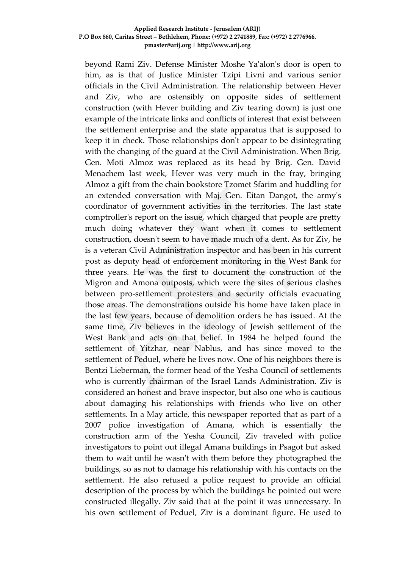beyond Rami Ziv. Defense Minister Moshe Ya'alon's door is open to him, as is that of Justice Minister Tzipi Livni and various senior officials in the Civil Administration. The relationship between Hever and Ziv, who are ostensibly on opposite sides of settlement construction (with Hever building and Ziv tearing down) is just one example of the intricate links and conflicts of interest that exist between the settlement enterprise and the state apparatus that is supposed to keep it in check. Those relationships don't appear to be disintegrating with the changing of the guard at the Civil Administration. When Brig. Gen. Moti Almoz was replaced as its head by Brig. Gen. David Menachem last week, Hever was very much in the fray, bringing Almoz a gift from the chain bookstore Tzomet Sfarim and huddling for an extended conversation with Maj. Gen. Eitan Dangot, the army's coordinator of government activities in the territories. The last state comptroller's report on the issue, which charged that people are pretty much doing whatever they want when it comes to settlement construction, doesn't seem to have made much of a dent. As for Ziv, he is a veteran Civil Administration inspector and has been in his current post as deputy head of enforcement monitoring in the West Bank for three years. He was the first to document the construction of the Migron and Amona outposts, which were the sites of serious clashes between pro-settlement protesters and security officials evacuating those areas. The demonstrations outside his home have taken place in the last few years, because of demolition orders he has issued. At the same time, Ziv believes in the ideology of Jewish settlement of the West Bank and acts on that belief. In 1984 he helped found the settlement of Yitzhar, near Nablus, and has since moved to the settlement of Peduel, where he lives now. One of his neighbors there is Bentzi Lieberman, the former head of the Yesha Council of settlements who is currently chairman of the Israel Lands Administration. Ziv is considered an honest and brave inspector, but also one who is cautious about damaging his relationships with friends who live on other settlements. In a May article, this newspaper reported that as part of a 2007 police investigation of Amana, which is essentially the construction arm of the Yesha Council, Ziv traveled with police investigators to point out illegal Amana buildings in Psagot but asked them to wait until he wasn't with them before they photographed the buildings, so as not to damage his relationship with his contacts on the settlement. He also refused a police request to provide an official description of the process by which the buildings he pointed out were constructed illegally. Ziv said that at the point it was unnecessary. In his own settlement of Peduel, Ziv is a dominant figure. He used to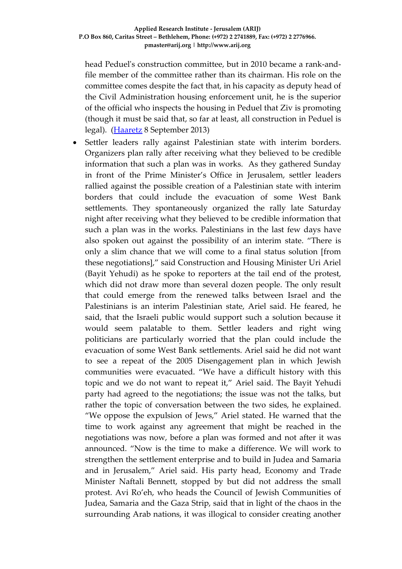head Peduel's construction committee, but in 2010 became a rank-andfile member of the committee rather than its chairman. His role on the committee comes despite the fact that, in his capacity as deputy head of the Civil Administration housing enforcement unit, he is the superior of the official who inspects the housing in Peduel that Ziv is promoting (though it must be said that, so far at least, all construction in Peduel is legal). [\(Haaretz](http://www.haaretz.com/news/diplomacy-defense/.premium-1.545770) 8 September 2013)

• Settler leaders rally against Palestinian state with interim borders. Organizers plan rally after receiving what they believed to be credible information that such a plan was in works. As they gathered Sunday in front of the Prime Minister's Office in Jerusalem, settler leaders rallied against the possible creation of a Palestinian state with interim borders that could include the evacuation of some West Bank settlements. They spontaneously organized the rally late Saturday night after receiving what they believed to be credible information that such a plan was in the works. Palestinians in the last few days have also spoken out against the possibility of an interim state. "There is only a slim chance that we will come to a final status solution [from these negotiations]," said Construction and Housing Minister Uri Ariel (Bayit Yehudi) as he spoke to reporters at the tail end of the protest, which did not draw more than several dozen people. The only result that could emerge from the renewed talks between Israel and the Palestinians is an interim Palestinian state, Ariel said. He feared, he said, that the Israeli public would support such a solution because it would seem palatable to them. Settler leaders and right wing politicians are particularly worried that the plan could include the evacuation of some West Bank settlements. Ariel said he did not want to see a repeat of the 2005 Disengagement plan in which Jewish communities were evacuated. "We have a difficult history with this topic and we do not want to repeat it," Ariel said. The Bayit Yehudi party had agreed to the negotiations; the issue was not the talks, but rather the topic of conversation between the two sides, he explained. "We oppose the expulsion of Jews," Ariel stated. He warned that the time to work against any agreement that might be reached in the negotiations was now, before a plan was formed and not after it was announced. "Now is the time to make a difference. We will work to strengthen the settlement enterprise and to build in Judea and Samaria and in Jerusalem," Ariel said. His party head, Economy and Trade Minister Naftali Bennett, stopped by but did not address the small protest. Avi Ro'eh, who heads the Council of Jewish Communities of Judea, Samaria and the Gaza Strip, said that in light of the chaos in the surrounding Arab nations, it was illogical to consider creating another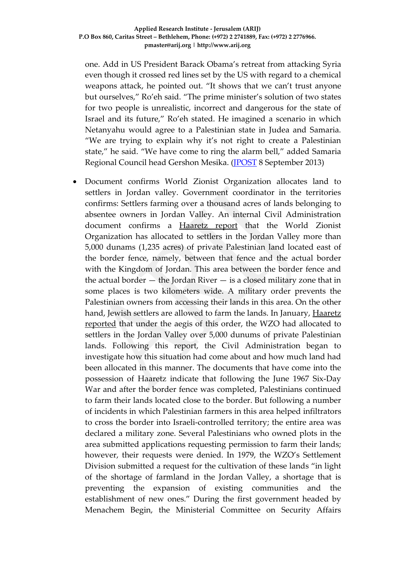one. Add in US President Barack Obama's retreat from attacking Syria even though it crossed red lines set by the US with regard to a chemical weapons attack, he pointed out. "It shows that we can't trust anyone but ourselves," Ro'eh said. "The prime minister's solution of two states for two people is unrealistic, incorrect and dangerous for the state of Israel and its future," Ro'eh stated. He imagined a scenario in which Netanyahu would agree to a Palestinian state in Judea and Samaria. "We are trying to explain why it's not right to create a Palestinian state," he said. "We have come to ring the alarm bell," added Samaria Regional Council head Gershon Mesika. [\(JPOST](http://www.jpost.com/Diplomacy-and-Politics/Settler-leaders-rally-against-Palestinian-state-with-interim-borders-325533) 8 September 2013)

• Document confirms World Zionist Organization allocates land to settlers in Jordan valley. Government coordinator in the territories confirms: Settlers farming over a thousand acres of lands belonging to absentee owners in Jordan Valley. An internal Civil Administration document confirms a [Haaretz report](http://w.haaretz.com/news/diplomacy-defense/palestinian-owners-barred-from-jordan-valley-land-while-israeli-farmers-profit.premium-1.491546) that the World Zionist Organization has allocated to settlers in the Jordan Valley more than 5,000 dunams (1,235 acres) of private Palestinian land located east of the border fence, namely, between that fence and the actual border with the Kingdom of Jordan. This area between the border fence and the actual border  $-$  the Jordan River  $-$  is a closed military zone that in some places is two kilometers wide. A military order prevents the Palestinian owners from accessing their lands in this area. On the other hand, Jewish settlers are allowed to farm the lands. In January, Haaretz [reported](http://www.haaretz.com/news/diplomacy-defense/palestinian-owners-barred-from-jordan-valley-land-while-israeli-farmers-profit.premium-1.491546) that under the aegis of this order, the WZO had allocated to settlers in the Jordan Valley over 5,000 dunums of private Palestinian lands. Following this report, the Civil Administration began to investigate how this situation had come about and how much land had been allocated in this manner. The documents that have come into the possession of Haaretz indicate that following the June 1967 Six-Day War and after the border fence was completed, Palestinians continued to farm their lands located close to the border. But following a number of incidents in which Palestinian farmers in this area helped infiltrators to cross the border into Israeli-controlled territory; the entire area was declared a military zone. Several Palestinians who owned plots in the area submitted applications requesting permission to farm their lands; however, their requests were denied. In 1979, the WZO's Settlement Division submitted a request for the cultivation of these lands "in light of the shortage of farmland in the Jordan Valley, a shortage that is preventing the expansion of existing communities and the establishment of new ones." During the first government headed by Menachem Begin, the Ministerial Committee on Security Affairs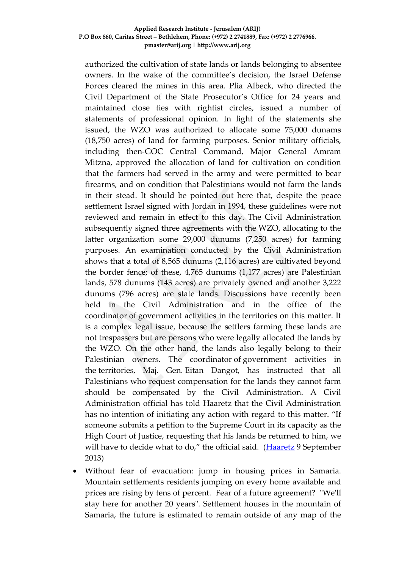authorized the cultivation of state lands or lands belonging to absentee owners. In the wake of the committee's decision, the Israel Defense Forces cleared the mines in this area. Plia Albeck, who directed the Civil Department of the State Prosecutor's Office for 24 years and maintained close ties with rightist circles, issued a number of statements of professional opinion. In light of the statements she issued, the WZO was authorized to allocate some 75,000 dunams (18,750 acres) of land for farming purposes. Senior military officials, including then-GOC Central Command, Major General Amram Mitzna, approved the allocation of land for cultivation on condition that the farmers had served in the army and were permitted to bear firearms, and on condition that Palestinians would not farm the lands in their stead. It should be pointed out here that, despite the peace settlement Israel signed with Jordan in 1994, these guidelines were not reviewed and remain in effect to this day. The Civil Administration subsequently signed three agreements with the WZO, allocating to the latter organization some 29,000 dunums (7,250 acres) for farming purposes. An examination conducted by the Civil Administration shows that a total of 8,565 dunums (2,116 acres) are cultivated beyond the border fence; of these, 4,765 dunums (1,177 acres) are Palestinian lands, 578 dunums (143 acres) are privately owned and another 3,222 dunums (796 acres) are state lands. Discussions have recently been held in the Civil Administration and in the office of the coordinator of government activities in the territories on this matter. It is a complex legal issue, because the settlers farming these lands are not trespassers but are persons who were legally allocated the lands by the WZO. On the other hand, the lands also legally belong to their Palestinian owners. The coordinator of government activities in the territories, Maj. Gen. Eitan Dangot, has instructed that all Palestinians who request compensation for the lands they cannot farm should be compensated by the Civil Administration. A Civil Administration official has told Haaretz that the Civil Administration has no intention of initiating any action with regard to this matter. "If someone submits a petition to the Supreme Court in its capacity as the High Court of Justice, requesting that his lands be returned to him, we will have to decide what to do," the official said. [\(Haaretz](http://www.haaretz.com/news/diplomacy-defense/1.545856) 9 September 2013)

• Without fear of evacuation: jump in housing prices in Samaria. Mountain settlements residents jumping on every home available and prices are rising by tens of percent. Fear of a future agreement? "We'll stay here for another 20 years". Settlement houses in the mountain of Samaria, the future is estimated to remain outside of any map of the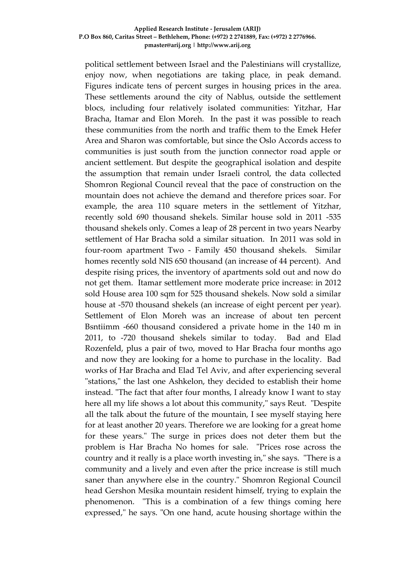political settlement between Israel and the Palestinians will crystallize, enjoy now, when negotiations are taking place, in peak demand. Figures indicate tens of percent surges in housing prices in the area. These settlements around the city of Nablus, outside the settlement blocs, including four relatively isolated communities: Yitzhar, Har Bracha, Itamar and Elon Moreh. In the past it was possible to reach these communities from the north and traffic them to the Emek Hefer Area and Sharon was comfortable, but since the Oslo Accords access to communities is just south from the junction connector road apple or ancient settlement. But despite the geographical isolation and despite the assumption that remain under Israeli control, the data collected Shomron Regional Council reveal that the pace of construction on the mountain does not achieve the demand and therefore prices soar. For example, the area 110 square meters in the settlement of Yitzhar, recently sold 690 thousand shekels. Similar house sold in 2011 -535 thousand shekels only. Comes a leap of 28 percent in two years Nearby settlement of Har Bracha sold a similar situation. In 2011 was sold in four-room apartment Two - Family 450 thousand shekels. Similar homes recently sold NIS 650 thousand (an increase of 44 percent). And despite rising prices, the inventory of apartments sold out and now do not get them. Itamar settlement more moderate price increase: in 2012 sold House area 100 sqm for 525 thousand shekels. Now sold a similar house at -570 thousand shekels (an increase of eight percent per year). Settlement of Elon Moreh was an increase of about ten percent Bsntiimm -660 thousand considered a private home in the 140 m in 2011, to -720 thousand shekels similar to today. Bad and Elad Rozenfeld, plus a pair of two, moved to Har Bracha four months ago and now they are looking for a home to purchase in the locality. Bad works of Har Bracha and Elad Tel Aviv, and after experiencing several "stations," the last one Ashkelon, they decided to establish their home instead. "The fact that after four months, I already know I want to stay here all my life shows a lot about this community," says Reut. "Despite all the talk about the future of the mountain, I see myself staying here for at least another 20 years. Therefore we are looking for a great home for these years." The surge in prices does not deter them but the problem is Har Bracha No homes for sale. "Prices rose across the country and it really is a place worth investing in," she says. "There is a community and a lively and even after the price increase is still much saner than anywhere else in the country." Shomron Regional Council head Gershon Mesika mountain resident himself, trying to explain the phenomenon. "This is a combination of a few things coming here expressed," he says. "On one hand, acute housing shortage within the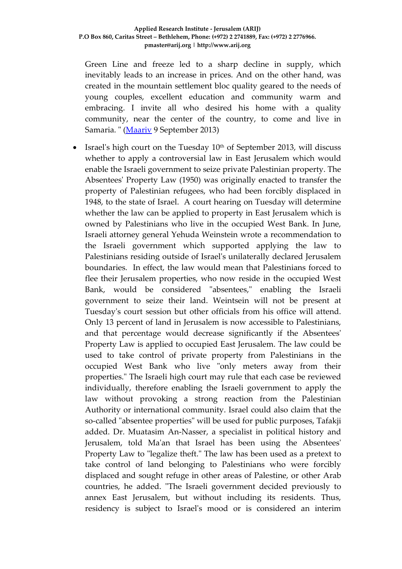Green Line and freeze led to a sharp decline in supply, which inevitably leads to an increase in prices. And on the other hand, was created in the mountain settlement bloc quality geared to the needs of young couples, excellent education and community warm and embracing. I invite all who desired his home with a quality community, near the center of the country, to come and live in Samaria. " [\(Maariv](http://translate.googleusercontent.com/translate_c?depth=1&hl=en&prev=/search%3Fq%3Dmaariv%26biw%3D1366%26bih%3D566&rurl=translate.google.ps&sl=iw&u=http://www.nrg.co.il/online/1/ART2/505/536.html%3Fhp%3D1%26cat%3D402&usg=ALkJrhizdAThSwSzhdKs1gj6WAviqjwzzg) 9 September 2013)

Israel's high court on the Tuesday  $10<sup>th</sup>$  of September 2013, will discuss whether to apply a controversial law in East Jerusalem which would enable the Israeli government to seize private Palestinian property. The Absentees' Property Law (1950) was originally enacted to transfer the property of Palestinian refugees, who had been forcibly displaced in 1948, to the state of Israel. A court hearing on Tuesday will determine whether the law can be applied to property in East Jerusalem which is owned by Palestinians who live in the occupied West Bank. In June, Israeli attorney general Yehuda Weinstein wrote a recommendation to the Israeli government which supported applying the law to Palestinians residing outside of Israel's unilaterally declared Jerusalem boundaries. In effect, the law would mean that Palestinians forced to flee their Jerusalem properties, who now reside in the occupied West Bank, would be considered "absentees," enabling the Israeli government to seize their land. Weintsein will not be present at Tuesday's court session but other officials from his office will attend. Only 13 percent of land in Jerusalem is now accessible to Palestinians, and that percentage would decrease significantly if the Absentees' Property Law is applied to occupied East Jerusalem. The law could be used to take control of private property from Palestinians in the occupied West Bank who live "only meters away from their properties." The Israeli high court may rule that each case be reviewed individually, therefore enabling the Israeli government to apply the law without provoking a strong reaction from the Palestinian Authority or international community. Israel could also claim that the so-called "absentee properties" will be used for public purposes, Tafakji added. Dr. Muatasim An-Nasser, a specialist in political history and Jerusalem, told Ma'an that Israel has been using the Absentees' Property Law to "legalize theft." The law has been used as a pretext to take control of land belonging to Palestinians who were forcibly displaced and sought refuge in other areas of Palestine, or other Arab countries, he added. "The Israeli government decided previously to annex East Jerusalem, but without including its residents. Thus, residency is subject to Israel's mood or is considered an interim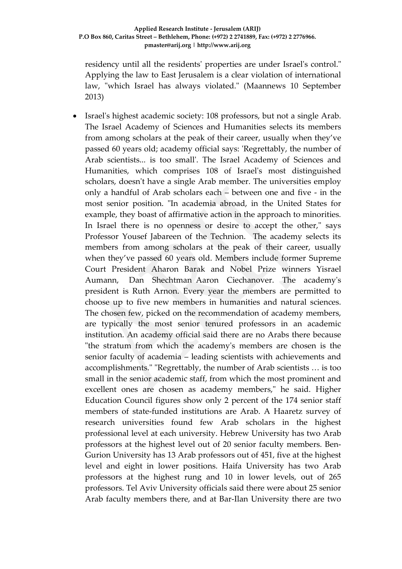residency until all the residents' properties are under Israel's control." Applying the law to East Jerusalem is a clear violation of international law, "which Israel has always violated." (Maannews 10 September 2013)

• Israel's highest academic society: 108 professors, but not a single Arab. The Israel Academy of Sciences and Humanities selects its members from among scholars at the peak of their career, usually when they've passed 60 years old; academy official says: 'Regrettably, the number of Arab scientists... is too small'. The Israel Academy of Sciences and Humanities, which comprises 108 of Israel's most distinguished scholars, doesn't have a single Arab member. The universities employ only a handful of Arab scholars each – between one and five - in the most senior position. "In academia abroad, in the United States for example, they boast of affirmative action in the approach to minorities. In Israel there is no openness or desire to accept the other," says Professor Yousef Jabareen of the Technion. The academy selects its members from among scholars at the peak of their career, usually when they've passed 60 years old. Members include former Supreme Court President Aharon Barak and Nobel Prize winners Yisrael Aumann, Dan Shechtman Aaron Ciechanover. The academy's president is Ruth Arnon. Every year the members are permitted to choose up to five new members in humanities and natural sciences. The chosen few, picked on the recommendation of academy members, are typically the most senior tenured professors in an academic institution. An academy official said there are no Arabs there because "the stratum from which the academy's members are chosen is the senior faculty of academia – leading scientists with achievements and accomplishments." "Regrettably, the number of Arab scientists … is too small in the senior academic staff, from which the most prominent and excellent ones are chosen as academy members," he said. Higher Education Council figures show only 2 percent of the 174 senior staff members of state-funded institutions are Arab. A Haaretz survey of research universities found few Arab scholars in the highest professional level at each university. Hebrew University has two Arab professors at the highest level out of 20 senior faculty members. Ben-Gurion University has 13 Arab professors out of 451, five at the highest level and eight in lower positions. Haifa University has two Arab professors at the highest rung and 10 in lower levels, out of 265 professors. Tel Aviv University officials said there were about 25 senior Arab faculty members there, and at Bar-Ilan University there are two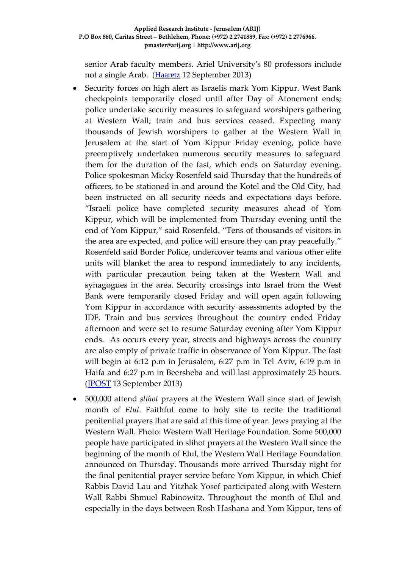senior Arab faculty members. Ariel University's 80 professors include not a single Arab. ([Haaretz](http://www.haaretz.com/news/national/.premium-1.546618) 12 September 2013)

- Security forces on high alert as Israelis mark Yom Kippur. West Bank checkpoints temporarily closed until after Day of Atonement ends; police undertake security measures to safeguard worshipers gathering at Western Wall; train and bus services ceased. Expecting many thousands of Jewish worshipers to gather at the Western Wall in Jerusalem at the start of Yom Kippur Friday evening, police have preemptively undertaken numerous security measures to safeguard them for the duration of the fast, which ends on Saturday evening. Police spokesman Micky Rosenfeld said Thursday that the hundreds of officers, to be stationed in and around the Kotel and the Old City, had been instructed on all security needs and expectations days before. "Israeli police have completed security measures ahead of Yom Kippur, which will be implemented from Thursday evening until the end of Yom Kippur," said Rosenfeld. "Tens of thousands of visitors in the area are expected, and police will ensure they can pray peacefully." Rosenfeld said Border Police, undercover teams and various other elite units will blanket the area to respond immediately to any incidents, with particular precaution being taken at the Western Wall and synagogues in the area. Security crossings into Israel from the West Bank were temporarily closed Friday and will open again following Yom Kippur in accordance with security assessments adopted by the IDF. Train and bus services throughout the country ended Friday afternoon and were set to resume Saturday evening after Yom Kippur ends. As occurs every year, streets and highways across the country are also empty of private traffic in observance of Yom Kippur. The fast will begin at 6:12 p.m in Jerusalem, 6:27 p.m in Tel Aviv, 6:19 p.m in Haifa and 6:27 p.m in Beersheba and will last approximately 25 hours. [\(JPOST](http://www.jpost.com/Israel/Security-forces-on-high-alert-as-Israelis-mark-Yom-Kippur-326089) 13 September 2013)
- 500,000 attend *slihot* prayers at the Western Wall since start of Jewish month of *Elul*. Faithful come to holy site to recite the traditional penitential prayers that are said at this time of year. Jews praying at the Western Wall. Photo: Western Wall Heritage Foundation. Some 500,000 people have participated in slihot prayers at the Western Wall since the beginning of the month of Elul, the Western Wall Heritage Foundation announced on Thursday. Thousands more arrived Thursday night for the final penitential prayer service before Yom Kippur, in which Chief Rabbis David Lau and Yitzhak Yosef participated along with Western Wall Rabbi Shmuel Rabinowitz. Throughout the month of Elul and especially in the days between Rosh Hashana and Yom Kippur, tens of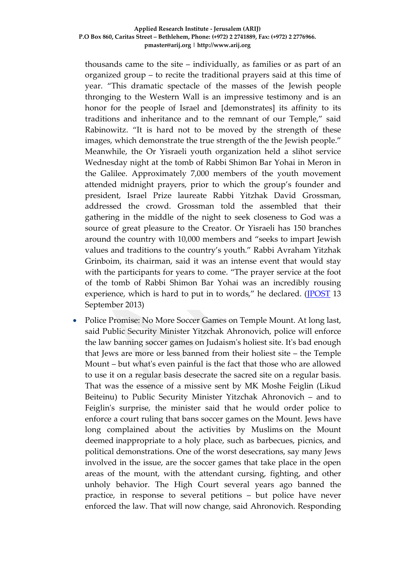thousands came to the site – individually, as families or as part of an organized group – to recite the traditional prayers said at this time of year. "This dramatic spectacle of the masses of the Jewish people thronging to the Western Wall is an impressive testimony and is an honor for the people of Israel and [demonstrates] its affinity to its traditions and inheritance and to the remnant of our Temple," said Rabinowitz. "It is hard not to be moved by the strength of these images, which demonstrate the true strength of the the Jewish people." Meanwhile, the Or Yisraeli youth organization held a slihot service Wednesday night at the tomb of Rabbi Shimon Bar Yohai in Meron in the Galilee. Approximately 7,000 members of the youth movement attended midnight prayers, prior to which the group's founder and president, Israel Prize laureate Rabbi Yitzhak David Grossman, addressed the crowd. Grossman told the assembled that their gathering in the middle of the night to seek closeness to God was a source of great pleasure to the Creator. Or Yisraeli has 150 branches around the country with 10,000 members and "seeks to impart Jewish values and traditions to the country's youth." Rabbi Avraham Yitzhak Grinboim, its chairman, said it was an intense event that would stay with the participants for years to come. "The prayer service at the foot of the tomb of Rabbi Shimon Bar Yohai was an incredibly rousing experience, which is hard to put in to words," he declared. [\(JPOST](http://www.jpost.com/National-News/500000-attend-islihoti-prayers-at-the-Western-Wall-since-beginning-of-Jewish-month-of-iEluli-326006) 13 September 2013)

• Police Promise: No More Soccer Games on Temple Mount. At long last, said Public Security Minister Yitzchak Ahronovich, police will enforce the law banning soccer games on Judaism's holiest site. It's bad enough that Jews are more or less banned from their holiest site – the Temple Mount – but what's even painful is the fact that those who are allowed to use it on a regular basis desecrate the sacred site on a regular basis. That was the essence of a missive sent by MK Moshe Feiglin (Likud Beiteinu) to Public Security Minister Yitzchak Ahronovich – and to Feiglin's surprise, the minister said that he would order police to enforce a court ruling that bans soccer games on the Mount. Jews have long complained about the activities by Muslims on the Mount deemed inappropriate to a holy place, such as barbecues, picnics, and political demonstrations. One of the worst desecrations, say many Jews involved in the issue, are the soccer games that take place in the open areas of the mount, with the attendant cursing, fighting, and other unholy behavior. The High Court several years ago banned the practice, in response to several petitions – but police have never enforced the law. That will now change, said Ahronovich. Responding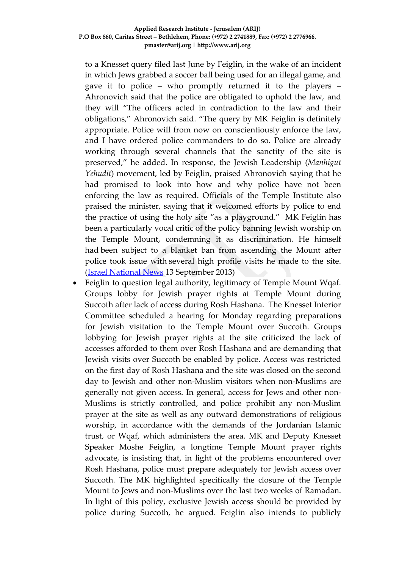to a Knesset query filed last June by Feiglin, in the wake of an incident in which Jews grabbed a soccer ball being used for an illegal game, and gave it to police – who promptly returned it to the players – Ahronovich said that the police are obligated to uphold the law, and they will "The officers acted in contradiction to the law and their obligations," Ahronovich said. "The query by MK Feiglin is definitely appropriate. Police will from now on conscientiously enforce the law, and I have ordered police commanders to do so. Police are already working through several channels that the sanctity of the site is preserved," he added. In response, the Jewish Leadership (*Manhigut Yehudit*) movement, led by Feiglin, praised Ahronovich saying that he had promised to look into how and why police have not been enforcing the law as required. Officials of the Temple Institute also praised the minister, saying that it welcomed efforts by police to end the practice of using the holy site "as a playground." MK Feiglin has been a particularly vocal critic of the policy banning Jewish worship on the Temple Mount, condemning it as discrimination. He himself had been subject to a blanket ban from ascending the Mount after police took issue with several high profile visits he made to the site. [\(Israel National News](http://www.israelnationalnews.com/News/News.aspx/171860) 13 September 2013)

• Feiglin to question legal authority, legitimacy of Temple Mount Wqaf. Groups lobby for Jewish prayer rights at Temple Mount during Succoth after lack of access during Rosh Hashana. The Knesset Interior Committee scheduled a hearing for Monday regarding preparations for Jewish visitation to the Temple Mount over Succoth. Groups lobbying for Jewish prayer rights at the site criticized the lack of accesses afforded to them over Rosh Hashana and are demanding that Jewish visits over Succoth be enabled by police. Access was restricted on the first day of Rosh Hashana and the site was closed on the second day to Jewish and other non-Muslim visitors when non-Muslims are generally not given access. In general, access for Jews and other non-Muslims is strictly controlled, and police prohibit any non-Muslim prayer at the site as well as any outward demonstrations of religious worship, in accordance with the demands of the Jordanian Islamic trust, or Wqaf, which administers the area. MK and Deputy Knesset Speaker Moshe Feiglin, a longtime Temple Mount prayer rights advocate, is insisting that, in light of the problems encountered over Rosh Hashana, police must prepare adequately for Jewish access over Succoth. The MK highlighted specifically the closure of the Temple Mount to Jews and non-Muslims over the last two weeks of Ramadan. In light of this policy, exclusive Jewish access should be provided by police during Succoth, he argued. Feiglin also intends to publicly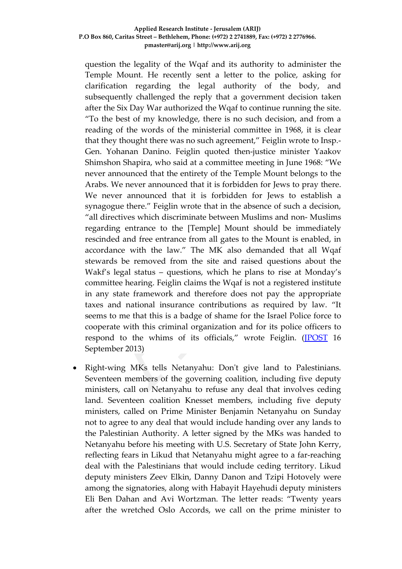question the legality of the Wqaf and its authority to administer the Temple Mount. He recently sent a letter to the police, asking for clarification regarding the legal authority of the body, and subsequently challenged the reply that a government decision taken after the Six Day War authorized the Wqaf to continue running the site. "To the best of my knowledge, there is no such decision, and from a reading of the words of the ministerial committee in 1968, it is clear that they thought there was no such agreement," Feiglin wrote to Insp.- Gen. Yohanan Danino. Feiglin quoted then-justice minister Yaakov Shimshon Shapira, who said at a committee meeting in June 1968: "We never announced that the entirety of the Temple Mount belongs to the Arabs. We never announced that it is forbidden for Jews to pray there. We never announced that it is forbidden for Jews to establish a synagogue there." Feiglin wrote that in the absence of such a decision, "all directives which discriminate between Muslims and non- Muslims regarding entrance to the [Temple] Mount should be immediately rescinded and free entrance from all gates to the Mount is enabled, in accordance with the law." The MK also demanded that all Wqaf stewards be removed from the site and raised questions about the Wakf's legal status – questions, which he plans to rise at Monday's committee hearing. Feiglin claims the Wqaf is not a registered institute in any state framework and therefore does not pay the appropriate taxes and national insurance contributions as required by law. "It seems to me that this is a badge of shame for the Israel Police force to cooperate with this criminal organization and for its police officers to respond to the whims of its officials," wrote Feiglin. [\(JPOST](http://www.jpost.com/Jewish-World/Jewish-Features/Feiglin-to-question-legal-authority-legitimacy-of-Temple-Mount-Waqf-326184) 16 September 2013)

• Right-wing MKs tells Netanyahu: Don't give land to Palestinians. Seventeen members of the governing coalition, including five deputy ministers, call on Netanyahu to refuse any deal that involves ceding land. Seventeen coalition Knesset members, including five deputy ministers, called on Prime Minister [Benjamin Netanyahu](http://www.haaretz.com/misc/tags/Benjamin%20Netanyahu-1.476753) on Sunday not to agree to any deal that would include handing over any lands to the [Palestinian Authority.](http://www.haaretz.com/misc/tags/Palestinian%20Authority-1.476790) A letter signed by the MKs was handed to Netanyahu [before his meeting with U.S. Secretary of State](http://www.haaretz.com/news/diplomacy-defense/1.547125) [John Kerry,](http://www.haaretz.com/misc/tags/John%20Kerry%20-1.507474) reflecting fears in [Likud](http://www.haaretz.com/misc/tags/Likud-1.476785) that Netanyahu might agree to a far-reaching deal with the [Palestinians](http://www.haaretz.com/misc/tags/Palestinians-1.477125) that would include ceding territory. Likud deputy ministers Zeev Elkin, Danny Danon and Tzipi Hotovely were among the signatories, along with Habayit Hayehudi deputy ministers Eli Ben Dahan and Avi Wortzman. The letter reads: "Twenty years after the wretched [Oslo Accords,](http://www.haaretz.com/misc/tags/Oslo%20accords-1.477758) we call on the prime minister to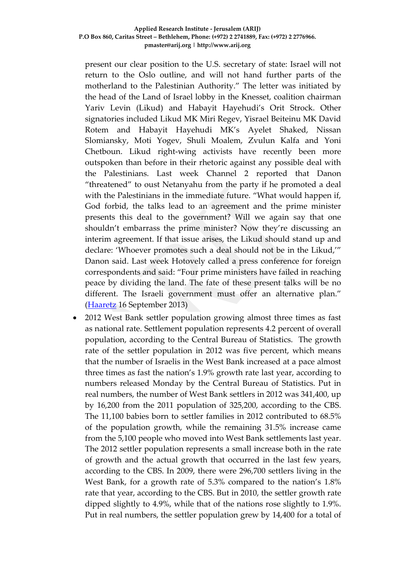present our clear position to the U.S. secretary of state: Israel will not return to the Oslo outline, and will not hand further parts of the motherland to the Palestinian Authority." The letter was initiated by the head of the Land of Israel lobby in the Knesset, coalition chairman Yariv Levin (Likud) and Habayit Hayehudi's Orit Strock. Other signatories included Likud MK Miri Regev, Yisrael Beiteinu MK David Rotem and Habayit Hayehudi MK's Ayelet Shaked, Nissan Slomiansky, Moti Yogev, Shuli Moalem, Zvulun Kalfa and Yoni Chetboun. Likud right-wing activists have recently been more outspoken than before in their rhetoric against any possible deal with the Palestinians. Last week Channel 2 reported that Danon "threatened" to oust Netanyahu from the party if he promoted a deal with the Palestinians in the immediate future. "What would happen if, God forbid, the talks lead to an agreement and the prime minister presents this deal to the government? Will we again say that one shouldn't embarrass the prime minister? Now they're discussing an interim agreement. If that issue arises, the Likud should stand up and declare: 'Whoever promotes such a deal should not be in the Likud,'" Danon said. Last week Hotovely called a press conference for foreign correspondents and said: "Four prime ministers have failed in reaching peace by dividing the land. The fate of these present talks will be no different. The Israeli government must offer an alternative plan." [\(Haaretz](http://www.haaretz.com/news/keeping-track-of-the-peace-process/.premium-1.547174) 16 September 2013)

• 2012 West Bank settler population growing almost three times as fast as national rate. Settlement population represents 4.2 percent of overall population, according to the Central Bureau of Statistics. The growth rate of the settler population in 2012 was five percent, which means that the number of Israelis in the West Bank increased at a pace almost three times as fast the nation's 1.9% growth rate last year, according to numbers released Monday by the Central Bureau of Statistics. Put in real numbers, the number of West Bank settlers in 2012 was 341,400, up by 16,200 from the 2011 population of 325,200, according to the CBS. The 11,100 babies born to settler families in 2012 contributed to 68.5% of the population growth, while the remaining 31.5% increase came from the 5,100 people who moved into West Bank settlements last year. The 2012 settler population represents a small increase both in the rate of growth and the actual growth that occurred in the last few years, according to the CBS. In 2009, there were 296,700 settlers living in the West Bank, for a growth rate of 5.3% compared to the nation's 1.8% rate that year, according to the CBS. But in 2010, the settler growth rate dipped slightly to 4.9%, while that of the nations rose slightly to 1.9%. Put in real numbers, the settler population grew by 14,400 for a total of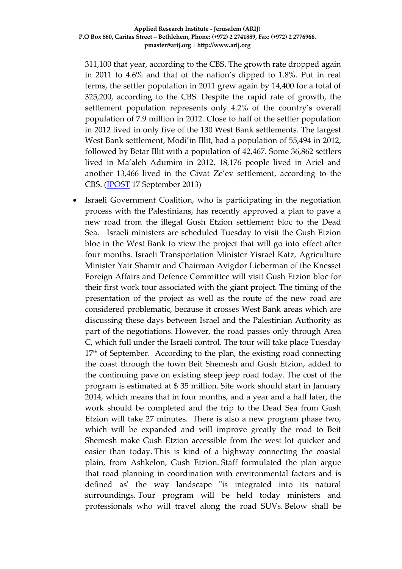311,100 that year, according to the CBS. The growth rate dropped again in 2011 to 4.6% and that of the nation's dipped to 1.8%. Put in real terms, the settler population in 2011 grew again by 14,400 for a total of 325,200, according to the CBS. Despite the rapid rate of growth, the settlement population represents only 4.2% of the country's overall population of 7.9 million in 2012. Close to half of the settler population in 2012 lived in only five of the 130 West Bank settlements. The largest West Bank settlement, Modi'in Illit, had a population of 55,494 in 2012, followed by Betar Illit with a population of 42,467. Some 36,862 settlers lived in Ma'aleh Adumim in 2012, 18,176 people lived in Ariel and another 13,466 lived in the Givat Ze'ev settlement, according to the CBS. [\(JPOST](http://www.jpost.com/National-News/2012-West-Bank-settler-population-growing-almost-three-times-as-fast-as-national-rate-326309) 17 September 2013)

• Israeli Government Coalition, who is participating in the negotiation process with the Palestinians, has recently approved a plan to pave a new road from the illegal Gush Etzion settlement bloc to the Dead Sea. Israeli ministers are scheduled Tuesday to visit the Gush Etzion bloc in the West Bank to view the project that will go into effect after four months. Israeli Transportation Minister Yisrael Katz, Agriculture Minister Yair Shamir and Chairman Avigdor Lieberman of the Knesset Foreign Affairs and Defence Committee will visit Gush Etzion bloc for their first work tour associated with the giant project. The timing of the presentation of the project as well as the route of the new road are considered problematic, because it crosses West Bank areas which are discussing these days between Israel and the Palestinian Authority as part of the negotiations. However, the road passes only through Area C, which full under the Israeli control. The tour will take place Tuesday  $17<sup>th</sup>$  of September. According to the plan, the existing road connecting the coast through the town Beit Shemesh and Gush Etzion, added to the continuing pave on existing steep jeep road today. The cost of the program is estimated at \$ 35 million. Site work should start in January 2014, which means that in four months, and a year and a half later, the work should be completed and the trip to the Dead Sea from Gush Etzion will take 27 minutes. There is also a new program phase two, which will be expanded and will improve greatly the road to Beit Shemesh make Gush Etzion accessible from the west lot quicker and easier than today. This is kind of a highway connecting the coastal plain, from Ashkelon, Gush Etzion. Staff formulated the plan argue that road planning in coordination with environmental factors and is defined as' the way landscape "is integrated into its natural surroundings. Tour program will be held today ministers and professionals who will travel along the road SUVs. Below shall be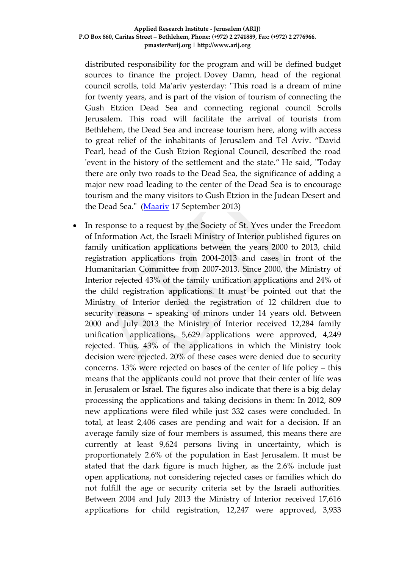distributed responsibility for the program and will be defined budget sources to finance the project. Dovey Damn, head of the regional council scrolls, told Ma'ariv yesterday: "This road is a dream of mine for twenty years, and is part of the vision of tourism of connecting the Gush Etzion Dead Sea and connecting regional council Scrolls Jerusalem. This road will facilitate the arrival of tourists from Bethlehem, the Dead Sea and increase tourism here, along with access to great relief of the inhabitants of Jerusalem and Tel Aviv. "David Pearl, head of the Gush Etzion Regional Council, described the road 'event in the history of the settlement and the state." He said, "Today there are only two roads to the Dead Sea, the significance of adding a major new road leading to the center of the Dead Sea is to encourage tourism and the many visitors to Gush Etzion in the Judean Desert and the Dead Sea." [\(Maariv](http://www.nrg.co.il/online/1/ART2/507/588.html?hp=1&cat=404&loc=17) 17 September 2013)

In response to a request by the Society of St. Yves under the Freedom of Information Act, the Israeli Ministry of Interior published figures on family unification applications between the years 2000 to 2013, child registration applications from 2004-2013 and cases in front of the Humanitarian Committee from 2007-2013. Since 2000, the Ministry of Interior rejected 43% of the family unification applications and 24% of the child registration applications. It must be pointed out that the Ministry of Interior denied the registration of 12 children due to security reasons – speaking of minors under 14 years old. Between 2000 and July 2013 the Ministry of Interior received 12,284 family unification applications, 5,629 applications were approved, 4,249 rejected. Thus, 43% of the applications in which the Ministry took decision were rejected. 20% of these cases were denied due to security concerns. 13% were rejected on bases of the center of life policy – this means that the applicants could not prove that their center of life was in Jerusalem or Israel. The figures also indicate that there is a big delay processing the applications and taking decisions in them: In 2012, 809 new applications were filed while just 332 cases were concluded. In total, at least 2,406 cases are pending and wait for a decision. If an average family size of four members is assumed, this means there are currently at least 9,624 persons living in uncertainty, which is proportionately 2.6% of the population in East Jerusalem. It must be stated that the dark figure is much higher, as the 2.6% include just open applications, not considering rejected cases or families which do not fulfill the age or security criteria set by the Israeli authorities. Between 2004 and July 2013 the Ministry of Interior received 17,616 applications for child registration, 12,247 were approved, 3,933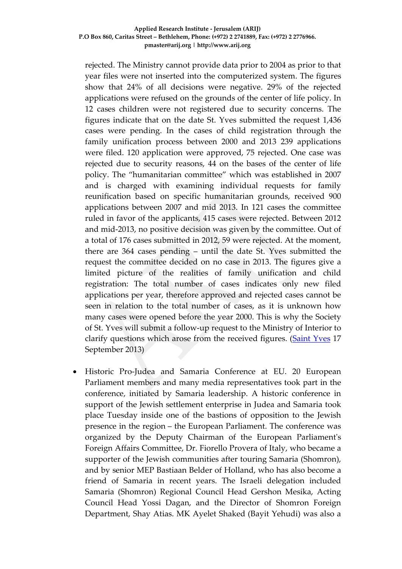rejected. The Ministry cannot provide data prior to 2004 as prior to that year files were not inserted into the computerized system. The figures show that 24% of all decisions were negative. 29% of the rejected applications were refused on the grounds of the center of life policy. In 12 cases children were not registered due to security concerns. The figures indicate that on the date St. Yves submitted the request 1,436 cases were pending. In the cases of child registration through the family unification process between 2000 and 2013 239 applications were filed. 120 application were approved, 75 rejected. One case was rejected due to security reasons, 44 on the bases of the center of life policy. The "humanitarian committee" which was established in 2007 and is charged with examining individual requests for family reunification based on specific humanitarian grounds, received 900 applications between 2007 and mid 2013. In 121 cases the committee ruled in favor of the applicants, 415 cases were rejected. Between 2012 and mid-2013, no positive decision was given by the committee. Out of a total of 176 cases submitted in 2012, 59 were rejected. At the moment, there are 364 cases pending – until the date St. Yves submitted the request the committee decided on no case in 2013. The figures give a limited picture of the realities of family unification and child registration: The total number of cases indicates only new filed applications per year, therefore approved and rejected cases cannot be seen in relation to the total number of cases, as it is unknown how many cases were opened before the year 2000. This is why the Society of St. Yves will submit a follow-up request to the Ministry of Interior to clarify questions which arose from the received figures. [\(Saint Yves](http://saintyves.org/index.php?option=com_content&view=article&id=198%3Aministry-of-interior-43-of-the-family-unification-applications-rejected-between-2000-and-2013&catid=49%3Apress-release&Itemid=18&lang=en) 17 September 2013)

• Historic Pro-Judea and Samaria Conference at EU. 20 European Parliament members and many media representatives took part in the conference, initiated by Samaria leadership. A historic conference in support of the Jewish settlement enterprise in Judea and Samaria took place Tuesday inside one of the bastions of opposition to the Jewish presence in the region – the European Parliament. The conference was organized by the Deputy Chairman of the European Parliament's Foreign Affairs Committee, Dr. Fiorello Provera of Italy, who became a supporter of the Jewish communities after touring Samaria (Shomron), and by senior MEP Bastiaan Belder of Holland, who has also become a friend of Samaria in recent years. The Israeli delegation included Samaria (Shomron) Regional Council Head Gershon Mesika, Acting Council Head Yossi Dagan, and the Director of Shomron Foreign Department, Shay Atias. MK Ayelet Shaked (Bayit Yehudi) was also a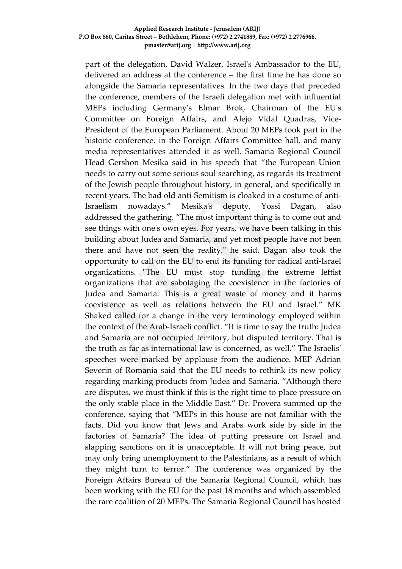part of the delegation. David Walzer, Israel's Ambassador to the EU, delivered an address at the conference – the first time he has done so alongside the Samaria representatives. In the two days that preceded the conference, members of the Israeli delegation met with influential MEPs including Germany's Elmar Brok, Chairman of the EU's Committee on Foreign Affairs, and Alejo Vidal Quadras, Vice-President of the European Parliament. About 20 MEPs took part in the historic conference, in the Foreign Affairs Committee hall, and many media representatives attended it as well. Samaria Regional Council Head Gershon Mesika said in his speech that "the European Union needs to carry out some serious soul searching, as regards its treatment of the Jewish people throughout history, in general, and specifically in recent years. The bad old anti-Semitism is cloaked in a costume of anti-Israelism nowadays." Mesika's deputy, Yossi Dagan, also addressed the gathering. "The most important thing is to come out and see things with one's own eyes. For years, we have been talking in this building about Judea and Samaria, and yet most people have not been there and have not seen the reality," he said. Dagan also took the opportunity to call on the EU to end its funding for radical anti-Israel organizations. "The EU must stop funding the extreme leftist organizations that are sabotaging the coexistence in the factories of Judea and Samaria. This is a great waste of money and it harms coexistence as well as relations between the EU and Israel." MK Shaked called for a change in the very terminology employed within the context of the Arab-Israeli conflict. "It is time to say the truth: Judea and Samaria are not occupied territory, but disputed territory. That is the truth as far as international law is concerned, as well." The Israelis' speeches were marked by applause from the audience. MEP Adrian Severin of Romania said that the EU needs to rethink its new policy regarding marking products from Judea and Samaria. "Although there are disputes, we must think if this is the right time to place pressure on the only stable place in the Middle East." Dr. Provera summed up the conference, saying that "MEPs in this house are not familiar with the facts. Did you know that Jews and Arabs work side by side in the factories of Samaria? The idea of putting pressure on Israel and slapping sanctions on it is unacceptable. It will not bring peace, but may only bring unemployment to the Palestinians, as a result of which they might turn to terror." The conference was organized by the Foreign Affairs Bureau of the Samaria Regional Council, which has been working with the EU for the past 18 months and which assembled the rare coalition of 20 MEPs. The Samaria Regional Council has hosted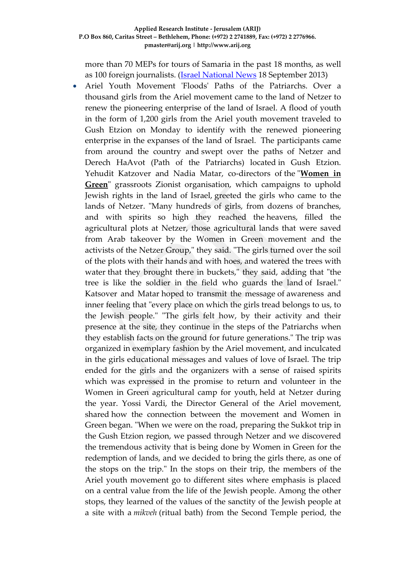more than 70 MEPs for tours of Samaria in the past 18 months, as well as 100 foreign journalists. [\(Israel National News](http://www.israelnationalnews.com/News/News.aspx/172049) 18 September 2013)

• Ariel Youth Movement 'Floods' Paths of the Patriarchs. Over a thousand girls from the Ariel movement came to the land of Netzer to renew the pioneering enterprise of the land of Israel. A flood of youth in the form of 1,200 girls from the Ariel youth movement traveled to Gush Etzion on Monday to identify with the renewed pioneering enterprise in the expanses of the land of Israel. The participants came from around the country and swept over the paths of Netzer and Derech HaAvot (Path of the Patriarchs) located in Gush Etzion. Yehudit Katzover and Nadia Matar, co-directors of the "**[Women in](http://www.womeningreen.org/)  [Green](http://www.womeningreen.org/)**" grassroots Zionist organisation, which campaigns to uphold Jewish rights in the land of Israel, greeted the girls who came to the lands of Netzer. "Many hundreds of girls, from dozens of branches, and with spirits so high they reached the heavens, filled the agricultural plots at Netzer, those agricultural lands that were saved from Arab takeover by the Women in Green movement and the activists of the Netzer Group," they said. "The girls turned over the soil of the plots with their hands and with hoes, and watered the trees with water that they brought there in buckets," they said, adding that "the tree is like the soldier in the field who guards the land of Israel." Katsover and Matar hoped to transmit the message of awareness and inner feeling that "every place on which the girls tread belongs to us, to the Jewish people." "The girls felt how, by their activity and their presence at the site, they continue in the steps of the Patriarchs when they establish facts on the ground for future generations." The trip was organized in exemplary fashion by the Ariel movement, and inculcated in the girls educational messages and values of love of Israel. The trip ended for the girls and the organizers with a sense of raised spirits which was expressed in the promise to return and volunteer in the Women in Green agricultural camp for youth, held at Netzer during the year. Yossi Vardi, the Director General of the Ariel movement, shared how the connection between the movement and Women in Green began. "When we were on the road, preparing the Sukkot trip in the Gush Etzion region, we passed through Netzer and we discovered the tremendous activity that is being done by Women in Green for the redemption of lands, and we decided to bring the girls there, as one of the stops on the trip." In the stops on their trip, the members of the Ariel youth movement go to different sites where emphasis is placed on a central value from the life of the Jewish people. Among the other stops, they learned of the values of the sanctity of the Jewish people at a site with a *mikveh* (ritual bath) from the Second Temple period, the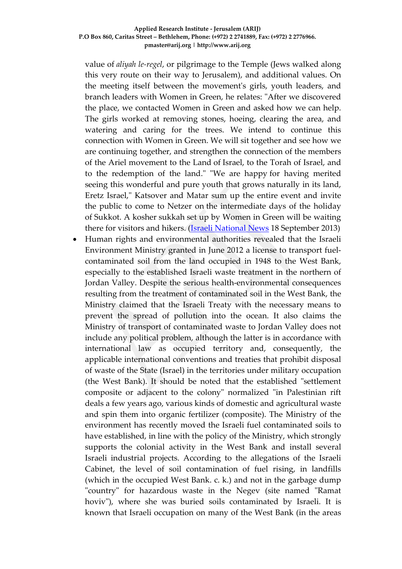value of *aliyah le-regel*, or pilgrimage to the Temple (Jews walked along this very route on their way to Jerusalem), and additional values. On the meeting itself between the movement's girls, youth leaders, and branch leaders with Women in Green, he relates: "After we discovered the place, we contacted Women in Green and asked how we can help. The girls worked at removing stones, hoeing, clearing the area, and watering and caring for the trees. We intend to continue this connection with Women in Green. We will sit together and see how we are continuing together, and strengthen the connection of the members of the Ariel movement to the Land of Israel, to the Torah of Israel, and to the redemption of the land." "We are happy for having merited seeing this wonderful and pure youth that grows naturally in its land, Eretz Israel," Katsover and Matar sum up the entire event and invite the public to come to Netzer on the intermediate days of the holiday of Sukkot. A kosher sukkah set up by Women in Green will be waiting there for visitors and hikers. [\(Israeli National News](http://www.israelnationalnews.com/News/News.aspx/172045) 18 September 2013)

• Human rights and environmental authorities revealed that the Israeli Environment Ministry granted in June 2012 a license to transport fuelcontaminated soil from the land occupied in 1948 to the West Bank, especially to the established Israeli waste treatment in the northern of Jordan Valley. Despite the serious health-environmental consequences resulting from the treatment of contaminated soil in the West Bank, the Ministry claimed that the Israeli Treaty with the necessary means to prevent the spread of pollution into the ocean. It also claims the Ministry of transport of contaminated waste to Jordan Valley does not include any political problem, although the latter is in accordance with international law as occupied territory and, consequently, the applicable international conventions and treaties that prohibit disposal of waste of the State (Israel) in the territories under military occupation (the West Bank). It should be noted that the established "settlement composite or adjacent to the colony" normalized "in Palestinian rift deals a few years ago, various kinds of domestic and agricultural waste and spin them into organic fertilizer (composite). The Ministry of the environment has recently moved the Israeli fuel contaminated soils to have established, in line with the policy of the Ministry, which strongly supports the colonial activity in the West Bank and install several Israeli industrial projects. According to the allegations of the Israeli Cabinet, the level of soil contamination of fuel rising, in landfills (which in the occupied West Bank. c. k.) and not in the garbage dump "country" for hazardous waste in the Negev (site named "Ramat hoviv"), where she was buried soils contaminated by Israeli. It is known that Israeli occupation on many of the West Bank (in the areas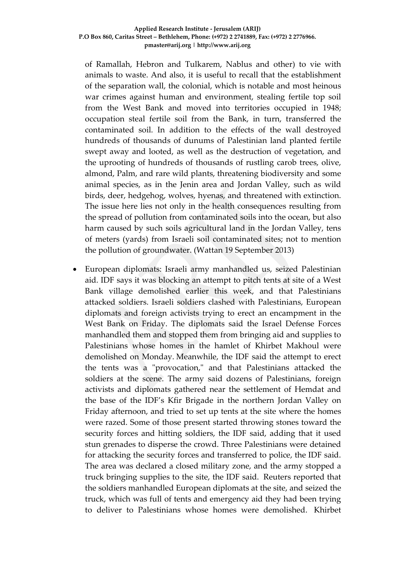of Ramallah, Hebron and Tulkarem, Nablus and other) to vie with animals to waste. And also, it is useful to recall that the establishment of the separation wall, the colonial, which is notable and most heinous war crimes against human and environment, stealing fertile top soil from the West Bank and moved into territories occupied in 1948; occupation steal fertile soil from the Bank, in turn, transferred the contaminated soil. In addition to the effects of the wall destroyed hundreds of thousands of dunums of Palestinian land planted fertile swept away and looted, as well as the destruction of vegetation, and the uprooting of hundreds of thousands of rustling carob trees, olive, almond, Palm, and rare wild plants, threatening biodiversity and some animal species, as in the Jenin area and Jordan Valley, such as wild birds, deer, hedgehog, wolves, hyenas, and threatened with extinction. The issue here lies not only in the health consequences resulting from the spread of pollution from contaminated soils into the ocean, but also harm caused by such soils agricultural land in the Jordan Valley, tens of meters (yards) from Israeli soil contaminated sites; not to mention the pollution of groundwater. (Wattan 19 September 2013)

• European diplomats: Israeli army manhandled us, seized Palestinian aid. IDF says it was blocking an attempt to pitch tents at site of a West Bank village demolished earlier this week, and that Palestinians attacked soldiers. Israeli soldiers clashed with Palestinians, European diplomats and foreign activists trying to erect an encampment in the West Bank on Friday. The diplomats said the Israel Defense Forces manhandled them and stopped them from bringing aid and supplies to Palestinians whose homes in the hamlet of Khirbet Makhoul were demolished on Monday. Meanwhile, the IDF said the attempt to erect the tents was a "provocation," and that Palestinians attacked the soldiers at the scene. The army said dozens of Palestinians, foreign activists and diplomats gathered near the settlement of Hemdat and the base of the IDF's Kfir Brigade in the northern Jordan Valley on Friday afternoon, and tried to set up tents at the site where the homes were razed. Some of those present started throwing stones toward the security forces and hitting soldiers, the IDF said, adding that it used stun grenades to disperse the crowd. Three Palestinians were detained for attacking the security forces and transferred to police, the IDF said. The area was declared a closed military zone, and the army stopped a truck bringing supplies to the site, the IDF said. Reuters reported that the soldiers manhandled European diplomats at the site, and seized the truck, which was full of tents and emergency aid they had been trying to deliver to Palestinians whose homes were demolished. Khirbet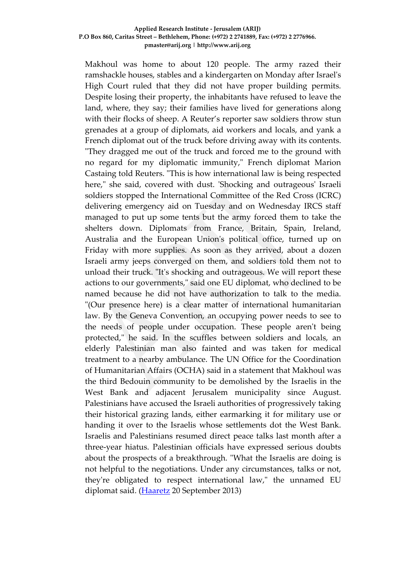Makhoul was home to about 120 people. The army razed their ramshackle houses, stables and a kindergarten on Monday after Israel's High Court ruled that they did not have proper building permits. Despite losing their property, the inhabitants have refused to leave the land, where, they say; their families have lived for generations along with their flocks of sheep. A Reuter's reporter saw soldiers throw stun grenades at a group of diplomats, aid workers and locals, and yank a French diplomat out of the truck before driving away with its contents. "They dragged me out of the truck and forced me to the ground with no regard for my diplomatic immunity," French diplomat Marion Castaing told Reuters. "This is how international law is being respected here," she said, covered with dust. 'Shocking and outrageous' Israeli soldiers stopped the International Committee of the Red Cross (ICRC) delivering emergency aid on Tuesday and on Wednesday IRCS staff managed to put up some tents but the army forced them to take the shelters down. Diplomats from France, Britain, Spain, Ireland, Australia and the European Union's political office, turned up on Friday with more supplies. As soon as they arrived, about a dozen Israeli army jeeps converged on them, and soldiers told them not to unload their truck. "It's shocking and outrageous. We will report these actions to our governments," said one EU diplomat, who declined to be named because he did not have authorization to talk to the media. "(Our presence here) is a clear matter of international humanitarian law. By the Geneva Convention, an occupying power needs to see to the needs of people under occupation. These people aren't being protected," he said. In the scuffles between soldiers and locals, an elderly Palestinian man also fainted and was taken for medical treatment to a nearby ambulance. The UN Office for the Coordination of Humanitarian Affairs (OCHA) said in a statement that Makhoul was the third Bedouin community to be demolished by the Israelis in the West Bank and adjacent Jerusalem municipality since August. Palestinians have accused the Israeli authorities of progressively taking their historical grazing lands, either earmarking it for military use or handing it over to the Israelis whose settlements dot the West Bank. Israelis and Palestinians resumed direct peace talks last month after a three-year hiatus. Palestinian officials have expressed serious doubts about the prospects of a breakthrough. "What the Israelis are doing is not helpful to the negotiations. Under any circumstances, talks or not, they're obligated to respect international law," the unnamed EU diplomat said. [\(Haaretz](http://www.haaretz.com/news/diplomacy-defense/1.548043) 20 September 2013)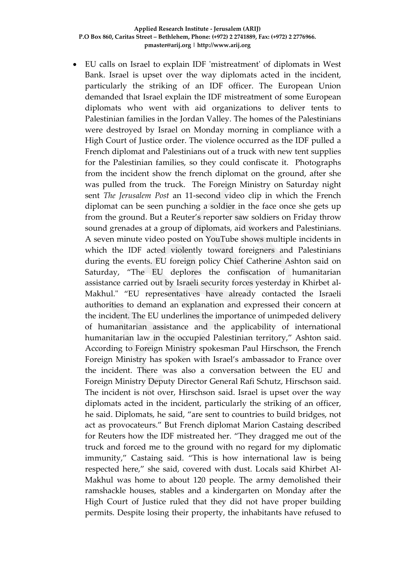• EU calls on Israel to explain IDF 'mistreatment' of diplomats in West Bank. Israel is upset over the way diplomats acted in the incident, particularly the striking of an IDF officer. The European Union demanded that Israel explain the IDF mistreatment of some European diplomats who went with aid organizations to deliver tents to Palestinian families in the Jordan Valley. The homes of the Palestinians were destroyed by Israel on Monday morning in compliance with a High Court of Justice order. The violence occurred as the IDF pulled a French diplomat and Palestinians out of a truck with new tent supplies for the Palestinian families, so they could confiscate it. Photographs from the incident show the french diplomat on the ground, after she was pulled from the truck. The Foreign Ministry on Saturday night sent *The Jerusalem Post* an 11-second video clip in which the French diplomat can be seen punching a soldier in the face once she gets up from the ground. But a Reuter's reporter saw soldiers on Friday throw sound grenades at a group of diplomats, aid workers and Palestinians. A seven minute video posted on YouTube shows multiple incidents in which the IDF acted violently toward foreigners and Palestinians during the events. EU foreign policy Chief Catherine Ashton said on Saturday, "The EU deplores the confiscation of humanitarian assistance carried out by Israeli security forces yesterday in Khirbet al-Makhul." "EU representatives have already contacted the Israeli authorities to demand an explanation and expressed their concern at the incident. The EU underlines the importance of unimpeded delivery of humanitarian assistance and the applicability of international humanitarian law in the occupied Palestinian territory," Ashton said. According to Foreign Ministry spokesman Paul Hirschson, the French Foreign Ministry has spoken with Israel's ambassador to France over the incident. There was also a conversation between the EU and Foreign Ministry Deputy Director General Rafi Schutz, Hirschson said. The incident is not over, Hirschson said. Israel is upset over the way diplomats acted in the incident, particularly the striking of an officer, he said. Diplomats, he said, "are sent to countries to build bridges, not act as provocateurs." But French diplomat Marion Castaing described for Reuters how the IDF mistreated her. "They dragged me out of the truck and forced me to the ground with no regard for my diplomatic immunity," Castaing said. "This is how international law is being respected here," she said, covered with dust. Locals said Khirbet Al-Makhul was home to about 120 people. The army demolished their ramshackle houses, stables and a kindergarten on Monday after the High Court of Justice ruled that they did not have proper building permits. Despite losing their property, the inhabitants have refused to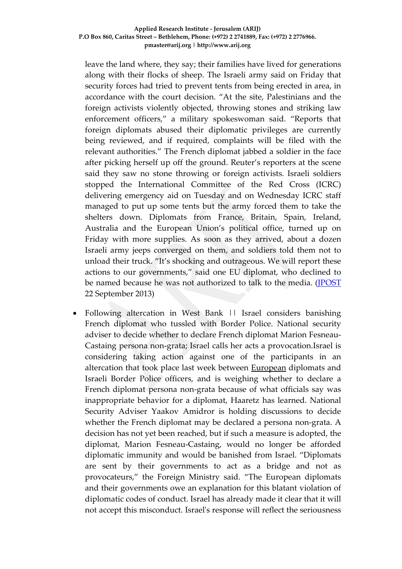## **Applied Research Institute - Jerusalem (ARIJ) P.O Box 860, Caritas Street – Bethlehem, Phone: (+972) 2 2741889, Fax: (+972) 2 2776966. pmaster@arij.org | http://www.arij.org**

leave the land where, they say; their families have lived for generations along with their flocks of sheep. The Israeli army said on Friday that security forces had tried to prevent tents from being erected in area, in accordance with the court decision. "At the site, Palestinians and the foreign activists violently objected, throwing stones and striking law enforcement officers," a military spokeswoman said. "Reports that foreign diplomats abused their diplomatic privileges are currently being reviewed, and if required, complaints will be filed with the relevant authorities." The French diplomat jabbed a soldier in the face after picking herself up off the ground. Reuter's reporters at the scene said they saw no stone throwing or foreign activists. Israeli soldiers stopped the International Committee of the Red Cross (ICRC) delivering emergency aid on Tuesday and on Wednesday ICRC staff managed to put up some tents but the army forced them to take the shelters down. Diplomats from France, Britain, Spain, Ireland, Australia and the European Union's political office, turned up on Friday with more supplies. As soon as they arrived, about a dozen Israeli army jeeps converged on them, and soldiers told them not to unload their truck. "It's shocking and outrageous. We will report these actions to our governments," said one EU diplomat, who declined to be named because he was not authorized to talk to the media. [\(JPOST](http://www.jpost.com/Diplomacy-and-Politics/EU-calls-on-Israel-to-explain-IDF-mistreatment-of-diplomats-in-West-Bank-326721) 22 September 2013)

• Following altercation in West Bank || Israel considers banishing French diplomat who tussled with Border Police. National security adviser to decide whether to declare French diplomat Marion Fesneau-Castaing persona non-grata; Israel calls her acts a provocation.Israel is considering taking action against one of the participants in an altercation that took place last week between [European](http://www.haaretz.com/misc/tags/Europe-1.477701) diplomats and Israeli Border Police officers, and is weighing whether to declare a French diplomat persona non-grata because of what officials say was inappropriate behavior for a diplomat, Haaretz has learned. National Security Adviser Yaakov Amidror is holding discussions to decide whether the French diplomat may be declared a persona non-grata. A decision has not yet been reached, but if such a measure is adopted, the diplomat, Marion Fesneau-Castaing, would no longer be afforded diplomatic immunity and would be banished from Israel. "Diplomats are sent by their governments to act as a bridge and not as provocateurs," the Foreign Ministry said. "The European diplomats and their governments owe an explanation for this blatant violation of diplomatic codes of conduct. Israel has already made it clear that it will not accept this misconduct. Israel's response will reflect the seriousness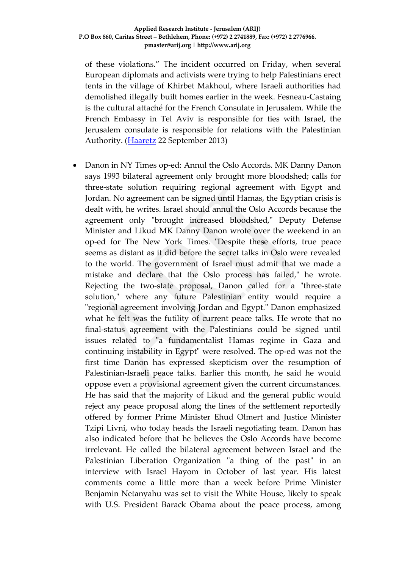of these violations." [The incident](http://www.haaretz.com/news/diplomacy-defense/1.548043) occurred on Friday, when several European diplomats and activists were trying to help Palestinians erect tents in the village of Khirbet Makhoul, where Israeli authorities had demolished illegally built homes earlier in the week. Fesneau-Castaing is the cultural attaché for the French Consulate in Jerusalem. While the French Embassy in Tel Aviv is responsible for ties with Israel, the Jerusalem consulate is responsible for relations with the Palestinian Authority. [\(Haaretz](http://projects.bdp.co.il/laceiba/minisite1/?ref=ynet&thanx=ynet) 22 September 2013)

• Danon in NY Times op-ed: Annul the Oslo Accords. MK Danny Danon says 1993 bilateral agreement only brought more bloodshed; calls for three-state solution requiring regional agreement with Egypt and Jordan. No agreement can be signed until Hamas, the Egyptian crisis is dealt with, he writes. Israel should annul the Oslo Accords because the agreement only "brought increased bloodshed," Deputy Defense Minister and Likud MK Danny Danon wrote over the weekend in an op-ed for The New York Times. "Despite these efforts, true peace seems as distant as it did before the secret talks in Oslo were revealed to the world. The government of Israel must admit that we made a mistake and declare that the Oslo process has failed," he wrote. Rejecting the two-state proposal, Danon called for a "three-state solution," where any future Palestinian entity would require a "regional agreement involving Jordan and Egypt." Danon emphasized what he felt was the futility of current peace talks. He wrote that no final-status agreement with the Palestinians could be signed until issues related to "a fundamentalist Hamas regime in Gaza and continuing instability in Egypt" were resolved. The op-ed was not the first time Danon has expressed skepticism over the resumption of Palestinian-Israeli peace talks. Earlier this month, he said he would oppose even a provisional agreement given the current circumstances. He has said that the majority of Likud and the general public would reject any peace proposal along the lines of the settlement reportedly offered by former Prime Minister Ehud Olmert and Justice Minister Tzipi Livni, who today heads the Israeli negotiating team. Danon has also indicated before that he believes the Oslo Accords have become irrelevant. He called the bilateral agreement between Israel and the Palestinian Liberation Organization "a thing of the past" in an interview with Israel Hayom in October of last year. His latest comments come a little more than a week before Prime Minister Benjamin Netanyahu was set to visit the White House, likely to speak with U.S. President Barack Obama about the peace process, among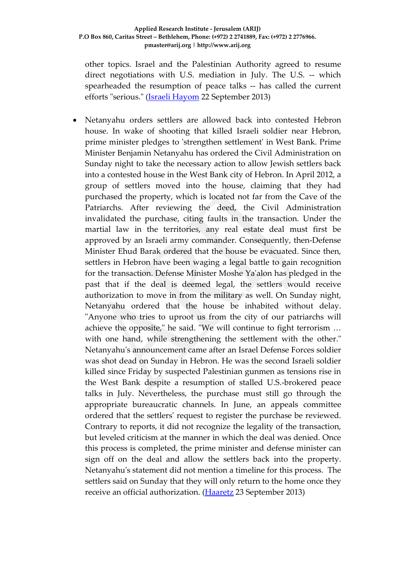other topics. Israel and the Palestinian Authority agreed to resume direct negotiations with U.S. mediation in July. The U.S. -- which spearheaded the resumption of peace talks -- has called the current efforts "serious." (**Israeli Hayom** 22 September 2013)

• Netanyahu orders settlers are allowed back into contested Hebron house. In wake of shooting that killed Israeli soldier near Hebron, prime minister pledges to 'strengthen settlement' in West Bank. Prime Minister Benjamin Netanyahu has ordered the Civil Administration on Sunday night to take the necessary action to allow Jewish settlers back into a contested house in the West Bank city of Hebron. In April 2012, a group of settlers moved into the house, claiming that they had purchased the property, which is located not far from the Cave of the Patriarchs. After reviewing the deed, the Civil Administration invalidated the purchase, citing faults in the transaction. Under the martial law in the territories, any real estate deal must first be approved by an Israeli army commander. Consequently, then-Defense Minister Ehud Barak ordered that the house be evacuated. Since then, settlers in Hebron have been waging a legal battle to gain recognition for the transaction. Defense Minister Moshe Ya'alon has pledged in the past that if the deal is deemed legal, the settlers would receive authorization to move in from the military as well. On Sunday night, Netanyahu ordered that the house be inhabited without delay. "Anyone who tries to uproot us from the city of our patriarchs will achieve the opposite," he said. "We will continue to fight terrorism … with one hand, while strengthening the settlement with the other." Netanyahu's announcement came after an Israel Defense Forces soldier was shot dead on Sunday in Hebron. He was the second Israeli soldier killed since Friday by suspected Palestinian gunmen as tensions rise in the West Bank despite a resumption of stalled U.S.-brokered peace talks in July. Nevertheless, the purchase must still go through the appropriate bureaucratic channels. In June, an appeals committee ordered that the settlers' request to register the purchase be reviewed. Contrary to reports, it did not recognize the legality of the transaction, but leveled criticism at the manner in which the deal was denied. Once this process is completed, the prime minister and defense minister can sign off on the deal and allow the settlers back into the property. Netanyahu's statement did not mention a timeline for this process. The settlers said on Sunday that they will only return to the home once they receive an official authorization. [\(Haaretz](http://www.haaretz.com/news/diplomacy-defense/.premium-1.548368) 23 September 2013)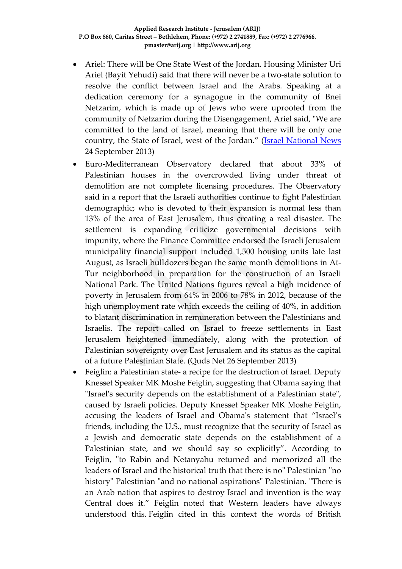- Ariel: There will be One State West of the Jordan. Housing Minister Uri Ariel (Bayit Yehudi) said that there will never be a two-state solution to resolve the conflict between Israel and the Arabs. Speaking at a dedication ceremony for a synagogue in the community of Bnei Netzarim, which is made up of Jews who were uprooted from the community of Netzarim during the Disengagement, Ariel said, "We are committed to the land of Israel, meaning that there will be only one country, the State of Israel, west of the Jordan." [\(Israel National News](http://www.israelnationalnews.com/News/Flash.aspx/276878) 24 September 2013)
- Euro-Mediterranean Observatory declared that about 33% of Palestinian houses in the overcrowded living under threat of demolition are not complete licensing procedures. The Observatory said in a report that the Israeli authorities continue to fight Palestinian demographic; who is devoted to their expansion is normal less than 13% of the area of East Jerusalem, thus creating a real disaster. The settlement is expanding criticize governmental decisions with impunity, where the Finance Committee endorsed the Israeli Jerusalem municipality financial support included 1,500 housing units late last August, as Israeli bulldozers began the same month demolitions in At-Tur neighborhood in preparation for the construction of an Israeli National Park. The United Nations figures reveal a high incidence of poverty in Jerusalem from 64% in 2006 to 78% in 2012, because of the high unemployment rate which exceeds the ceiling of 40%, in addition to blatant discrimination in remuneration between the Palestinians and Israelis. The report called on Israel to freeze settlements in East Jerusalem heightened immediately, along with the protection of Palestinian sovereignty over East Jerusalem and its status as the capital of a future Palestinian State. (Quds Net 26 September 2013)
- Feiglin: a Palestinian state- a recipe for the destruction of Israel. Deputy Knesset Speaker MK Moshe Feiglin, suggesting that Obama saying that "Israel's security depends on the establishment of a Palestinian state", caused by Israeli policies. Deputy Knesset Speaker MK Moshe Feiglin, accusing the leaders of Israel and Obama's statement that "Israel's friends, including the U.S., must recognize that the security of Israel as a Jewish and democratic state depends on the establishment of a Palestinian state, and we should say so explicitly". According to Feiglin, "to Rabin and Netanyahu returned and memorized all the leaders of Israel and the historical truth that there is no" Palestinian "no history" Palestinian "and no national aspirations" Palestinian. "There is an Arab nation that aspires to destroy Israel and invention is the way Central does it." Feiglin noted that Western leaders have always understood this. Feiglin cited in this context the words of British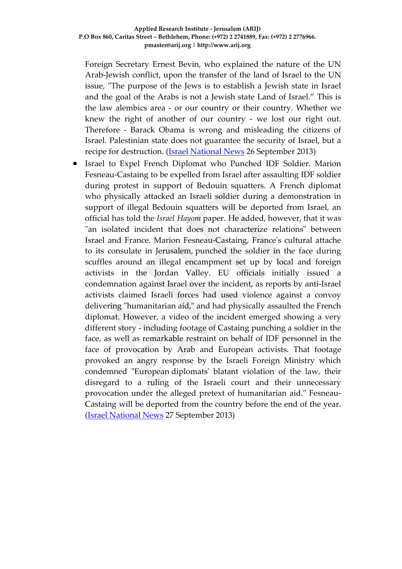Foreign Secretary Ernest Bevin, who explained the nature of the UN Arab-Jewish conflict, upon the transfer of the land of Israel to the UN issue, "The purpose of the Jews is to establish a Jewish state in Israel and the goal of the Arabs is not a Jewish state Land of Israel." This is the law alembics area - or our country or their country. Whether we knew the right of another of our country - we lost our right out. Therefore - Barack Obama is wrong and misleading the citizens of Israel. Palestinian state does not guarantee the security of Israel, but a recipe for destruction. [\(Israel National News](http://www.inn.co.il/News/News.aspx/262747) 26 September 2013)

• Israel to Expel French Diplomat who Punched IDF Soldier. Marion Fesneau-Castaing to be expelled from Israel after assaulting IDF soldier during protest in support of Bedouin squatters. A French diplomat who [physically attacked](http://www.israelnationalnews.com/News/News.aspx/172118) an Israeli soldier during a demonstration in support of illegal Bedouin squatters will be deported from Israel, an official has told the *Israel Hayom* paper. He added, however, that it was "an isolated incident that does not characterize relations" between Israel and France. Marion Fesneau-Castaing, France's cultural attache to its consulate in Jerusalem, punched the soldier in the face during scuffles around an illegal encampment set up by local and foreign activists in the Jordan Valley. EU officials initially issued a condemnation against Israel over the incident, as reports by anti-Israel activists claimed Israeli forces had used violence against a convoy delivering "humanitarian aid," and had physically assaulted the French diplomat. However, a [video of the incident e](http://www.israelnationalnews.com/News/News.aspx/172118)merged showing a very different story - including footage of Castaing punching a soldier in the face, as well as remarkable restraint on behalf of IDF personnel in the face of provocation by Arab and European activists. That footage provoked an angry response by the Israeli Foreign Ministry which condemned "European diplomats' blatant violation of the law, their disregard to a ruling of the Israeli court and their unnecessary provocation under the alleged pretext of humanitarian aid." Fesneau-Castaing will be deported from the country before the end of the year. [\(Israel National News](http://www.israelnationalnews.com/News/News.aspx/172263) 27 September 2013)